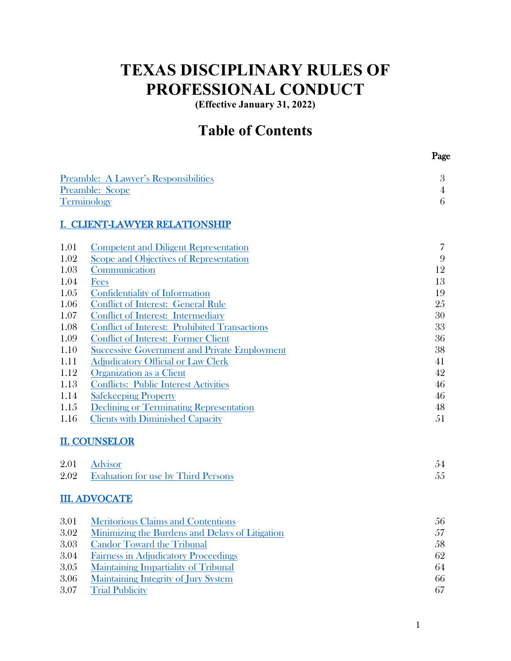# **TEXAS DISCIPLINARY RULES OF PROFESSIONAL CONDUCT**

**(Effective January 31, 2022)**

# **Table of Contents**

| $\overline{7}$<br>9<br>12<br>13<br>19<br>25<br>30<br>33<br>36<br>38<br>41<br>42<br>46<br>46<br>48 |
|---------------------------------------------------------------------------------------------------|
| 51                                                                                                |
|                                                                                                   |
| 54<br>55                                                                                          |
|                                                                                                   |
| 56<br>57<br>58<br>62<br>64<br>66<br>67                                                            |
|                                                                                                   |

Page

1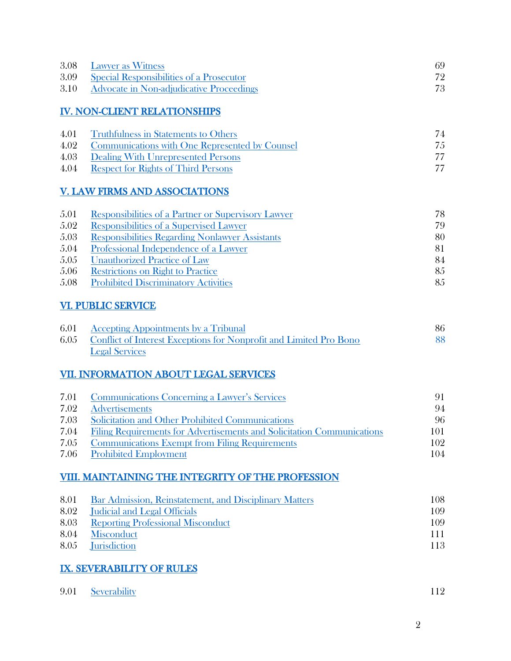| 3.08 Lawyer as Witness                        | 69 |
|-----------------------------------------------|----|
| 3.09 Special Responsibilities of a Prosecutor | 72 |
| 3.10 Advocate in Non-adjudicative Proceedings | 73 |

#### [IV. NON-CLIENT RELATIONSHIPS](#page-73-0)

| 4.01 | Truthfulness in Statements to Others           | 74  |
|------|------------------------------------------------|-----|
| 4.02 | Communications with One Represented by Counsel | 7.5 |
| 4.03 | Dealing With Unrepresented Persons             | 77  |
| 4.04 | Respect for Rights of Third Persons            | 77  |

# [V. LAW FIRMS AND ASSOCIATIONS](#page-77-0)

| 5.01 | Responsibilities of a Partner or Supervisory Lawyer    | 78 |
|------|--------------------------------------------------------|----|
| 5.02 | Responsibilities of a Supervised Lawyer                | 79 |
| 5.03 | <b>Responsibilities Regarding Nonlawyer Assistants</b> | 80 |
| 5.04 | Professional Independence of a Lawyer                  | 81 |
| 5.05 | <b>Unauthorized Practice of Law</b>                    | 84 |
| 5.06 | Restrictions on Right to Practice                      | 85 |
| 5.08 | <b>Prohibited Discriminatory Activities</b>            | 85 |

# [VI. PUBLIC SERVICE](#page-85-0)

| 6.01 | Accepting Appointments by a Tribunal                               | 86 |
|------|--------------------------------------------------------------------|----|
| 6.05 | Conflict of Interest Exceptions for Nonprofit and Limited Pro Bono | 88 |
|      | <b>Legal Services</b>                                              |    |

# [VII. INFORMATION ABOUT LEGAL SERVICES](#page-90-0)

| 7.01 | Communications Concerning a Lawyer's Services                                 | 91  |
|------|-------------------------------------------------------------------------------|-----|
| 7.02 | Advertisements                                                                | 94  |
| 7.03 | Solicitation and Other Prohibited Communications                              | 96  |
| 7.04 | <b>Filing Requirements for Advertisements and Solicitation Communications</b> | 101 |
| 7.05 | Communications Exempt from Filing Requirements                                | 102 |
|      | 7.06 Prohibited Employment                                                    | 104 |

# [VIII. MAINTAINING THE INTEGRITY OF THE PROFESSION](#page-105-0)

|      | 8.01 Bar Admission, Reinstatement, and Disciplinary Matters | 108 |
|------|-------------------------------------------------------------|-----|
|      | 8.02 Judicial and Legal Officials                           | 109 |
|      | 8.03 Reporting Professional Misconduct                      | 109 |
| 8.04 | Misconduct                                                  | 111 |
|      | 8.05 Jurisdiction                                           | 113 |
|      |                                                             |     |

# [IX. SEVERABILITY OF RULES](#page-111-0)

| 9.01 Severability | 112 |
|-------------------|-----|
|                   |     |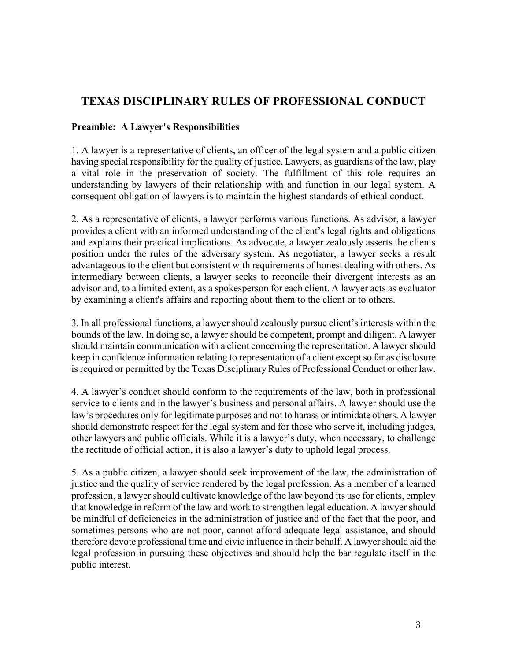# **TEXAS DISCIPLINARY RULES OF PROFESSIONAL CONDUCT**

#### <span id="page-2-0"></span>**Preamble: A Lawyer's Responsibilities**

1. A lawyer is a representative of clients, an officer of the legal system and a public citizen having special responsibility for the quality of justice. Lawyers, as guardians of the law, play a vital role in the preservation of society. The fulfillment of this role requires an understanding by lawyers of their relationship with and function in our legal system. A consequent obligation of lawyers is to maintain the highest standards of ethical conduct.

2. As a representative of clients, a lawyer performs various functions. As advisor, a lawyer provides a client with an informed understanding of the client's legal rights and obligations and explains their practical implications. As advocate, a lawyer zealously asserts the clients position under the rules of the adversary system. As negotiator, a lawyer seeks a result advantageous to the client but consistent with requirements of honest dealing with others. As intermediary between clients, a lawyer seeks to reconcile their divergent interests as an advisor and, to a limited extent, as a spokesperson for each client. A lawyer acts as evaluator by examining a client's affairs and reporting about them to the client or to others.

3. In all professional functions, a lawyer should zealously pursue client's interests within the bounds of the law. In doing so, a lawyer should be competent, prompt and diligent. A lawyer should maintain communication with a client concerning the representation. A lawyer should keep in confidence information relating to representation of a client exceptso far as disclosure is required or permitted by the Texas Disciplinary Rules of Professional Conduct or other law.

4. A lawyer's conduct should conform to the requirements of the law, both in professional service to clients and in the lawyer's business and personal affairs. A lawyer should use the law's procedures only for legitimate purposes and not to harass or intimidate others. A lawyer should demonstrate respect for the legal system and for those who serve it, including judges, other lawyers and public officials. While it is a lawyer's duty, when necessary, to challenge the rectitude of official action, it is also a lawyer's duty to uphold legal process.

5. As a public citizen, a lawyer should seek improvement of the law, the administration of justice and the quality of service rendered by the legal profession. As a member of a learned profession, a lawyer should cultivate knowledge of the law beyond its use for clients, employ that knowledge in reform of the law and work to strengthen legal education. A lawyer should be mindful of deficiencies in the administration of justice and of the fact that the poor, and sometimes persons who are not poor, cannot afford adequate legal assistance, and should therefore devote professional time and civic influence in their behalf. A lawyer should aid the legal profession in pursuing these objectives and should help the bar regulate itself in the public interest.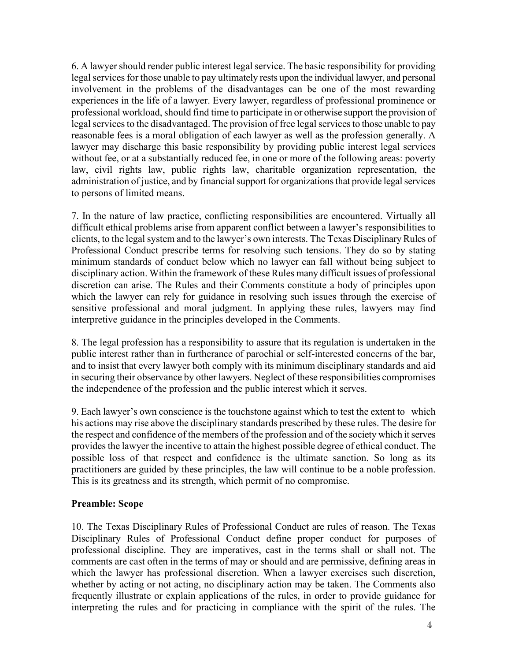6. A lawyer should render public interest legal service. The basic responsibility for providing legal services for those unable to pay ultimately rests upon the individual lawyer, and personal involvement in the problems of the disadvantages can be one of the most rewarding experiences in the life of a lawyer. Every lawyer, regardless of professional prominence or professional workload, should find time to participate in or otherwise support the provision of legal services to the disadvantaged. The provision of free legal services to those unable to pay reasonable fees is a moral obligation of each lawyer as well as the profession generally. A lawyer may discharge this basic responsibility by providing public interest legal services without fee, or at a substantially reduced fee, in one or more of the following areas: poverty law, civil rights law, public rights law, charitable organization representation, the administration of justice, and by financial support for organizations that provide legal services to persons of limited means.

7. In the nature of law practice, conflicting responsibilities are encountered. Virtually all difficult ethical problems arise from apparent conflict between a lawyer's responsibilities to clients, to the legal system and to the lawyer's own interests. The Texas Disciplinary Rules of Professional Conduct prescribe terms for resolving such tensions. They do so by stating minimum standards of conduct below which no lawyer can fall without being subject to disciplinary action. Within the framework of these Rules many difficult issues of professional discretion can arise. The Rules and their Comments constitute a body of principles upon which the lawyer can rely for guidance in resolving such issues through the exercise of sensitive professional and moral judgment. In applying these rules, lawyers may find interpretive guidance in the principles developed in the Comments.

8. The legal profession has a responsibility to assure that its regulation is undertaken in the public interest rather than in furtherance of parochial or self-interested concerns of the bar, and to insist that every lawyer both comply with its minimum disciplinary standards and aid in securing their observance by other lawyers. Neglect of these responsibilities compromises the independence of the profession and the public interest which it serves.

9. Each lawyer's own conscience is the touchstone against which to test the extent to which his actions may rise above the disciplinary standards prescribed by these rules. The desire for the respect and confidence of the members of the profession and of the society which it serves provides the lawyer the incentive to attain the highest possible degree of ethical conduct. The possible loss of that respect and confidence is the ultimate sanction. So long as its practitioners are guided by these principles, the law will continue to be a noble profession. This is its greatness and its strength, which permit of no compromise.

#### <span id="page-3-0"></span>**Preamble: Scope**

10. The Texas Disciplinary Rules of Professional Conduct are rules of reason. The Texas Disciplinary Rules of Professional Conduct define proper conduct for purposes of professional discipline. They are imperatives, cast in the terms shall or shall not. The comments are cast often in the terms of may or should and are permissive, defining areas in which the lawyer has professional discretion. When a lawyer exercises such discretion, whether by acting or not acting, no disciplinary action may be taken. The Comments also frequently illustrate or explain applications of the rules, in order to provide guidance for interpreting the rules and for practicing in compliance with the spirit of the rules. The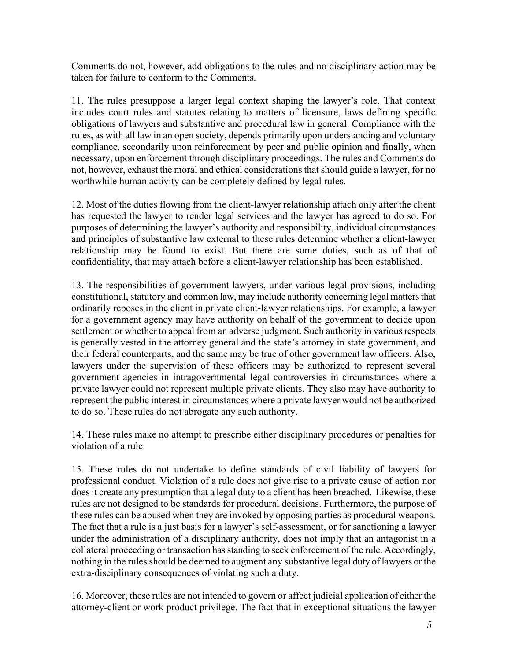Comments do not, however, add obligations to the rules and no disciplinary action may be taken for failure to conform to the Comments.

11. The rules presuppose a larger legal context shaping the lawyer's role. That context includes court rules and statutes relating to matters of licensure, laws defining specific obligations of lawyers and substantive and procedural law in general. Compliance with the rules, as with all law in an open society, depends primarily upon understanding and voluntary compliance, secondarily upon reinforcement by peer and public opinion and finally, when necessary, upon enforcement through disciplinary proceedings. The rules and Comments do not, however, exhaust the moral and ethical considerations that should guide a lawyer, for no worthwhile human activity can be completely defined by legal rules.

12. Most of the duties flowing from the client-lawyer relationship attach only after the client has requested the lawyer to render legal services and the lawyer has agreed to do so. For purposes of determining the lawyer's authority and responsibility, individual circumstances and principles of substantive law external to these rules determine whether a client-lawyer relationship may be found to exist. But there are some duties, such as of that of confidentiality, that may attach before a client-lawyer relationship has been established.

13. The responsibilities of government lawyers, under various legal provisions, including constitutional, statutory and common law, may include authority concerning legal matters that ordinarily reposes in the client in private client-lawyer relationships. For example, a lawyer for a government agency may have authority on behalf of the government to decide upon settlement or whether to appeal from an adverse judgment. Such authority in various respects is generally vested in the attorney general and the state's attorney in state government, and their federal counterparts, and the same may be true of other government law officers. Also, lawyers under the supervision of these officers may be authorized to represent several government agencies in intragovernmental legal controversies in circumstances where a private lawyer could not represent multiple private clients. They also may have authority to represent the public interest in circumstances where a private lawyer would not be authorized to do so. These rules do not abrogate any such authority.

14. These rules make no attempt to prescribe either disciplinary procedures or penalties for violation of a rule.

15. These rules do not undertake to define standards of civil liability of lawyers for professional conduct. Violation of a rule does not give rise to a private cause of action nor does it create any presumption that a legal duty to a client has been breached. Likewise, these rules are not designed to be standards for procedural decisions. Furthermore, the purpose of these rules can be abused when they are invoked by opposing parties as procedural weapons. The fact that a rule is a just basis for a lawyer's self-assessment, or for sanctioning a lawyer under the administration of a disciplinary authority, does not imply that an antagonist in a collateral proceeding or transaction has standing to seek enforcement of the rule. Accordingly, nothing in the rules should be deemed to augment any substantive legal duty of lawyers or the extra-disciplinary consequences of violating such a duty.

16. Moreover, these rules are not intended to govern or affect judicial application of either the attorney-client or work product privilege. The fact that in exceptional situations the lawyer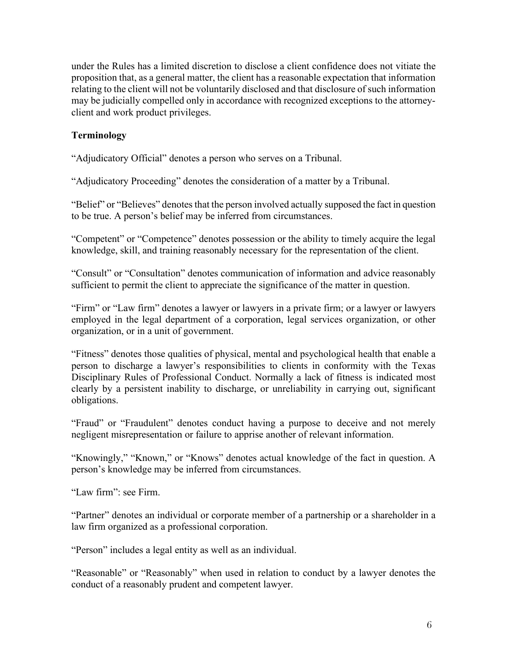under the Rules has a limited discretion to disclose a client confidence does not vitiate the proposition that, as a general matter, the client has a reasonable expectation that information relating to the client will not be voluntarily disclosed and that disclosure of such information may be judicially compelled only in accordance with recognized exceptions to the attorneyclient and work product privileges.

#### <span id="page-5-0"></span>**Terminology**

"Adjudicatory Official" denotes a person who serves on a Tribunal.

"Adjudicatory Proceeding" denotes the consideration of a matter by a Tribunal.

"Belief" or "Believes" denotes that the person involved actually supposed the fact in question to be true. A person's belief may be inferred from circumstances.

"Competent" or "Competence" denotes possession or the ability to timely acquire the legal knowledge, skill, and training reasonably necessary for the representation of the client.

"Consult" or "Consultation" denotes communication of information and advice reasonably sufficient to permit the client to appreciate the significance of the matter in question.

"Firm" or "Law firm" denotes a lawyer or lawyers in a private firm; or a lawyer or lawyers employed in the legal department of a corporation, legal services organization, or other organization, or in a unit of government.

"Fitness" denotes those qualities of physical, mental and psychological health that enable a person to discharge a lawyer's responsibilities to clients in conformity with the Texas Disciplinary Rules of Professional Conduct. Normally a lack of fitness is indicated most clearly by a persistent inability to discharge, or unreliability in carrying out, significant obligations.

"Fraud" or "Fraudulent" denotes conduct having a purpose to deceive and not merely negligent misrepresentation or failure to apprise another of relevant information.

"Knowingly," "Known," or "Knows" denotes actual knowledge of the fact in question. A person's knowledge may be inferred from circumstances.

"Law firm": see Firm.

"Partner" denotes an individual or corporate member of a partnership or a shareholder in a law firm organized as a professional corporation.

"Person" includes a legal entity as well as an individual.

"Reasonable" or "Reasonably" when used in relation to conduct by a lawyer denotes the conduct of a reasonably prudent and competent lawyer.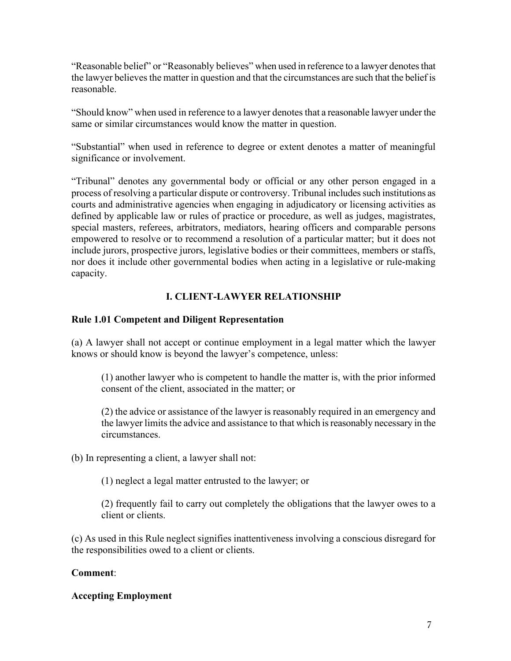"Reasonable belief" or "Reasonably believes" when used in reference to a lawyer denotes that the lawyer believes the matter in question and that the circumstances are such that the belief is reasonable.

"Should know" when used in reference to a lawyer denotes that a reasonable lawyer under the same or similar circumstances would know the matter in question.

"Substantial" when used in reference to degree or extent denotes a matter of meaningful significance or involvement.

"Tribunal" denotes any governmental body or official or any other person engaged in a process of resolving a particular dispute or controversy. Tribunal includes such institutions as courts and administrative agencies when engaging in adjudicatory or licensing activities as defined by applicable law or rules of practice or procedure, as well as judges, magistrates, special masters, referees, arbitrators, mediators, hearing officers and comparable persons empowered to resolve or to recommend a resolution of a particular matter; but it does not include jurors, prospective jurors, legislative bodies or their committees, members or staffs, nor does it include other governmental bodies when acting in a legislative or rule-making capacity.

# **I. CLIENT-LAWYER RELATIONSHIP**

## <span id="page-6-1"></span><span id="page-6-0"></span>**Rule 1.01 Competent and Diligent Representation**

(a) A lawyer shall not accept or continue employment in a legal matter which the lawyer knows or should know is beyond the lawyer's competence, unless:

(1) another lawyer who is competent to handle the matter is, with the prior informed consent of the client, associated in the matter; or

(2) the advice or assistance of the lawyer is reasonably required in an emergency and the lawyer limits the advice and assistance to that which is reasonably necessary in the circumstances.

(b) In representing a client, a lawyer shall not:

(1) neglect a legal matter entrusted to the lawyer; or

(2) frequently fail to carry out completely the obligations that the lawyer owes to a client or clients.

(c) As used in this Rule neglect signifies inattentiveness involving a conscious disregard for the responsibilities owed to a client or clients.

# **Comment**:

#### **Accepting Employment**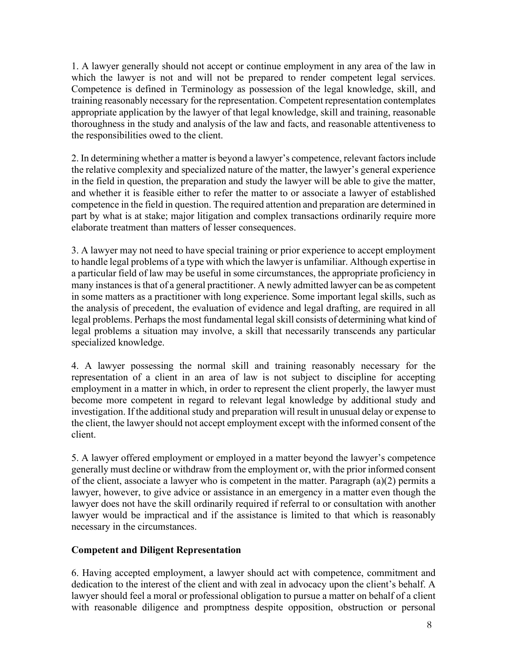1. A lawyer generally should not accept or continue employment in any area of the law in which the lawyer is not and will not be prepared to render competent legal services. Competence is defined in Terminology as possession of the legal knowledge, skill, and training reasonably necessary for the representation. Competent representation contemplates appropriate application by the lawyer of that legal knowledge, skill and training, reasonable thoroughness in the study and analysis of the law and facts, and reasonable attentiveness to the responsibilities owed to the client.

2. In determining whether a matter is beyond a lawyer's competence, relevant factors include the relative complexity and specialized nature of the matter, the lawyer's general experience in the field in question, the preparation and study the lawyer will be able to give the matter, and whether it is feasible either to refer the matter to or associate a lawyer of established competence in the field in question. The required attention and preparation are determined in part by what is at stake; major litigation and complex transactions ordinarily require more elaborate treatment than matters of lesser consequences.

3. A lawyer may not need to have special training or prior experience to accept employment to handle legal problems of a type with which the lawyer is unfamiliar. Although expertise in a particular field of law may be useful in some circumstances, the appropriate proficiency in many instances is that of a general practitioner. A newly admitted lawyer can be as competent in some matters as a practitioner with long experience. Some important legal skills, such as the analysis of precedent, the evaluation of evidence and legal drafting, are required in all legal problems. Perhaps the most fundamental legal skill consists of determining what kind of legal problems a situation may involve, a skill that necessarily transcends any particular specialized knowledge.

4. A lawyer possessing the normal skill and training reasonably necessary for the representation of a client in an area of law is not subject to discipline for accepting employment in a matter in which, in order to represent the client properly, the lawyer must become more competent in regard to relevant legal knowledge by additional study and investigation. If the additional study and preparation will result in unusual delay or expense to the client, the lawyer should not accept employment except with the informed consent of the client.

5. A lawyer offered employment or employed in a matter beyond the lawyer's competence generally must decline or withdraw from the employment or, with the prior informed consent of the client, associate a lawyer who is competent in the matter. Paragraph (a)(2) permits a lawyer, however, to give advice or assistance in an emergency in a matter even though the lawyer does not have the skill ordinarily required if referral to or consultation with another lawyer would be impractical and if the assistance is limited to that which is reasonably necessary in the circumstances.

#### **Competent and Diligent Representation**

6. Having accepted employment, a lawyer should act with competence, commitment and dedication to the interest of the client and with zeal in advocacy upon the client's behalf. A lawyer should feel a moral or professional obligation to pursue a matter on behalf of a client with reasonable diligence and promptness despite opposition, obstruction or personal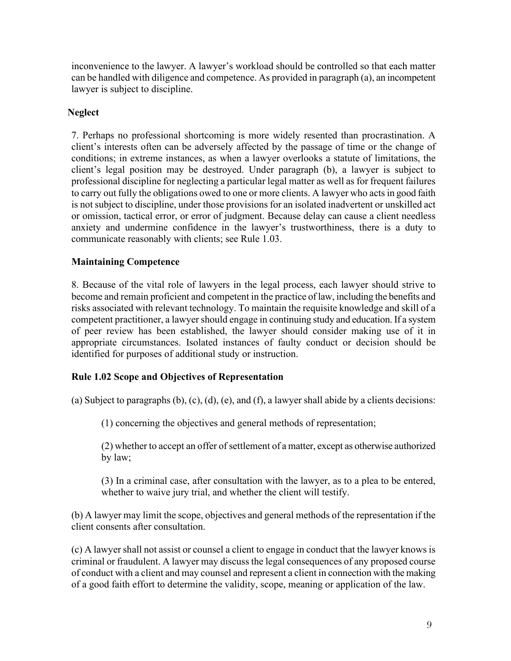inconvenience to the lawyer. A lawyer's workload should be controlled so that each matter can be handled with diligence and competence. As provided in paragraph (a), an incompetent lawyer is subject to discipline.

#### **Neglect**

7. Perhaps no professional shortcoming is more widely resented than procrastination. A client's interests often can be adversely affected by the passage of time or the change of conditions; in extreme instances, as when a lawyer overlooks a statute of limitations, the client's legal position may be destroyed. Under paragraph (b), a lawyer is subject to professional discipline for neglecting a particular legal matter as well as for frequent failures to carry out fully the obligations owed to one or more clients. A lawyer who acts in good faith is not subject to discipline, under those provisions for an isolated inadvertent or unskilled act or omission, tactical error, or error of judgment. Because delay can cause a client needless anxiety and undermine confidence in the lawyer's trustworthiness, there is a duty to communicate reasonably with clients; see Rule 1.03.

## **Maintaining Competence**

8. Because of the vital role of lawyers in the legal process, each lawyer should strive to become and remain proficient and competent in the practice of law, including the benefits and risks associated with relevant technology. To maintain the requisite knowledge and skill of a competent practitioner, a lawyer should engage in continuing study and education. If a system of peer review has been established, the lawyer should consider making use of it in appropriate circumstances. Isolated instances of faulty conduct or decision should be identified for purposes of additional study or instruction.

# <span id="page-8-0"></span>**Rule 1.02 Scope and Objectives of Representation**

(a) Subject to paragraphs  $(b)$ ,  $(c)$ ,  $(d)$ ,  $(e)$ , and  $(f)$ , a lawyer shall abide by a clients decisions:

(1) concerning the objectives and general methods of representation;

(2) whether to accept an offer of settlement of a matter, except as otherwise authorized by law;

(3) In a criminal case, after consultation with the lawyer, as to a plea to be entered, whether to waive jury trial, and whether the client will testify.

(b) A lawyer may limit the scope, objectives and general methods of the representation if the client consents after consultation.

(c) A lawyer shall not assist or counsel a client to engage in conduct that the lawyer knows is criminal or fraudulent. A lawyer may discuss the legal consequences of any proposed course of conduct with a client and may counsel and represent a client in connection with the making of a good faith effort to determine the validity, scope, meaning or application of the law.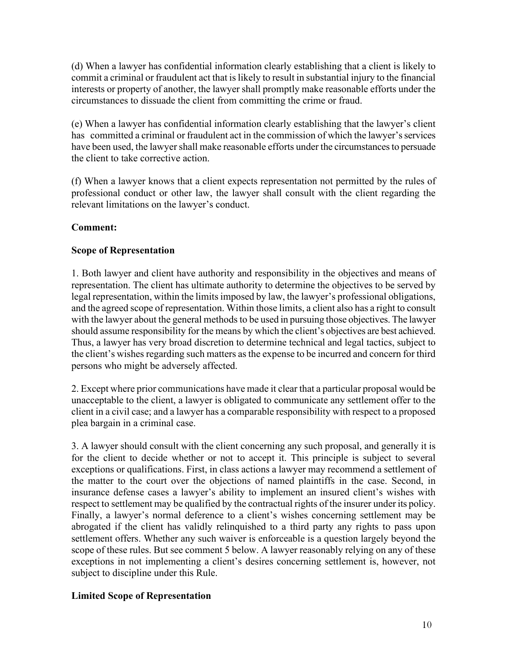(d) When a lawyer has confidential information clearly establishing that a client is likely to commit a criminal or fraudulent act that is likely to result in substantial injury to the financial interests or property of another, the lawyer shall promptly make reasonable efforts under the circumstances to dissuade the client from committing the crime or fraud.

(e) When a lawyer has confidential information clearly establishing that the lawyer's client has committed a criminal or fraudulent act in the commission of which the lawyer's services have been used, the lawyer shall make reasonable efforts under the circumstances to persuade the client to take corrective action.

(f) When a lawyer knows that a client expects representation not permitted by the rules of professional conduct or other law, the lawyer shall consult with the client regarding the relevant limitations on the lawyer's conduct.

## **Comment:**

## **Scope of Representation**

1. Both lawyer and client have authority and responsibility in the objectives and means of representation. The client has ultimate authority to determine the objectives to be served by legal representation, within the limits imposed by law, the lawyer's professional obligations, and the agreed scope of representation. Within those limits, a client also has a right to consult with the lawyer about the general methods to be used in pursuing those objectives. The lawyer should assume responsibility for the means by which the client's objectives are best achieved. Thus, a lawyer has very broad discretion to determine technical and legal tactics, subject to the client's wishes regarding such matters as the expense to be incurred and concern for third persons who might be adversely affected.

2. Except where prior communications have made it clear that a particular proposal would be unacceptable to the client, a lawyer is obligated to communicate any settlement offer to the client in a civil case; and a lawyer has a comparable responsibility with respect to a proposed plea bargain in a criminal case.

3. A lawyer should consult with the client concerning any such proposal, and generally it is for the client to decide whether or not to accept it. This principle is subject to several exceptions or qualifications. First, in class actions a lawyer may recommend a settlement of the matter to the court over the objections of named plaintiffs in the case. Second, in insurance defense cases a lawyer's ability to implement an insured client's wishes with respect to settlement may be qualified by the contractual rights of the insurer under its policy. Finally, a lawyer's normal deference to a client's wishes concerning settlement may be abrogated if the client has validly relinquished to a third party any rights to pass upon settlement offers. Whether any such waiver is enforceable is a question largely beyond the scope of these rules. But see comment 5 below. A lawyer reasonably relying on any of these exceptions in not implementing a client's desires concerning settlement is, however, not subject to discipline under this Rule.

#### **Limited Scope of Representation**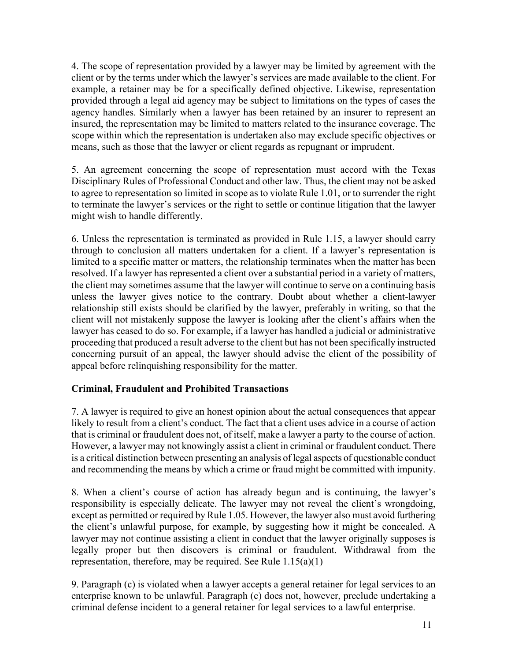4. The scope of representation provided by a lawyer may be limited by agreement with the client or by the terms under which the lawyer's services are made available to the client. For example, a retainer may be for a specifically defined objective. Likewise, representation provided through a legal aid agency may be subject to limitations on the types of cases the agency handles. Similarly when a lawyer has been retained by an insurer to represent an insured, the representation may be limited to matters related to the insurance coverage. The scope within which the representation is undertaken also may exclude specific objectives or means, such as those that the lawyer or client regards as repugnant or imprudent.

5. An agreement concerning the scope of representation must accord with the Texas Disciplinary Rules of Professional Conduct and other law. Thus, the client may not be asked to agree to representation so limited in scope as to violate Rule 1.01, or to surrender the right to terminate the lawyer's services or the right to settle or continue litigation that the lawyer might wish to handle differently.

6. Unless the representation is terminated as provided in Rule 1.15, a lawyer should carry through to conclusion all matters undertaken for a client. If a lawyer's representation is limited to a specific matter or matters, the relationship terminates when the matter has been resolved. If a lawyer has represented a client over a substantial period in a variety of matters, the client may sometimes assume that the lawyer will continue to serve on a continuing basis unless the lawyer gives notice to the contrary. Doubt about whether a client-lawyer relationship still exists should be clarified by the lawyer, preferably in writing, so that the client will not mistakenly suppose the lawyer is looking after the client's affairs when the lawyer has ceased to do so. For example, if a lawyer has handled a judicial or administrative proceeding that produced a result adverse to the client but has not been specifically instructed concerning pursuit of an appeal, the lawyer should advise the client of the possibility of appeal before relinquishing responsibility for the matter.

#### **Criminal, Fraudulent and Prohibited Transactions**

7. A lawyer is required to give an honest opinion about the actual consequences that appear likely to result from a client's conduct. The fact that a client uses advice in a course of action that is criminal or fraudulent does not, of itself, make a lawyer a party to the course of action. However, a lawyer may not knowingly assist a client in criminal or fraudulent conduct. There is a critical distinction between presenting an analysis of legal aspects of questionable conduct and recommending the means by which a crime or fraud might be committed with impunity.

8. When a client's course of action has already begun and is continuing, the lawyer's responsibility is especially delicate. The lawyer may not reveal the client's wrongdoing, except as permitted or required by Rule 1.05. However, the lawyer also must avoid furthering the client's unlawful purpose, for example, by suggesting how it might be concealed. A lawyer may not continue assisting a client in conduct that the lawyer originally supposes is legally proper but then discovers is criminal or fraudulent. Withdrawal from the representation, therefore, may be required. See Rule  $1.15(a)(1)$ 

9. Paragraph (c) is violated when a lawyer accepts a general retainer for legal services to an enterprise known to be unlawful. Paragraph (c) does not, however, preclude undertaking a criminal defense incident to a general retainer for legal services to a lawful enterprise.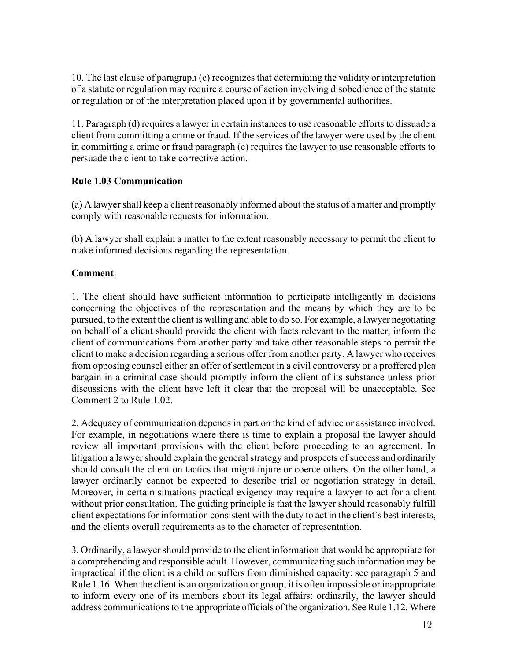10. The last clause of paragraph (c) recognizes that determining the validity or interpretation of a statute or regulation may require a course of action involving disobedience of the statute or regulation or of the interpretation placed upon it by governmental authorities.

11. Paragraph (d) requires a lawyer in certain instances to use reasonable efforts to dissuade a client from committing a crime or fraud. If the services of the lawyer were used by the client in committing a crime or fraud paragraph (e) requires the lawyer to use reasonable efforts to persuade the client to take corrective action.

#### <span id="page-11-0"></span>**Rule 1.03 Communication**

(a) A lawyer shall keep a client reasonably informed about the status of a matter and promptly comply with reasonable requests for information.

(b) A lawyer shall explain a matter to the extent reasonably necessary to permit the client to make informed decisions regarding the representation.

## **Comment**:

1. The client should have sufficient information to participate intelligently in decisions concerning the objectives of the representation and the means by which they are to be pursued, to the extent the client is willing and able to do so. For example, a lawyer negotiating on behalf of a client should provide the client with facts relevant to the matter, inform the client of communications from another party and take other reasonable steps to permit the client to make a decision regarding a serious offer from another party. A lawyer who receives from opposing counsel either an offer of settlement in a civil controversy or a proffered plea bargain in a criminal case should promptly inform the client of its substance unless prior discussions with the client have left it clear that the proposal will be unacceptable. See Comment 2 to Rule 1.02.

2. Adequacy of communication depends in part on the kind of advice or assistance involved. For example, in negotiations where there is time to explain a proposal the lawyer should review all important provisions with the client before proceeding to an agreement. In litigation a lawyer should explain the general strategy and prospects of success and ordinarily should consult the client on tactics that might injure or coerce others. On the other hand, a lawyer ordinarily cannot be expected to describe trial or negotiation strategy in detail. Moreover, in certain situations practical exigency may require a lawyer to act for a client without prior consultation. The guiding principle is that the lawyer should reasonably fulfill client expectations for information consistent with the duty to act in the client's best interests, and the clients overall requirements as to the character of representation.

3. Ordinarily, a lawyer should provide to the client information that would be appropriate for a comprehending and responsible adult. However, communicating such information may be impractical if the client is a child or suffers from diminished capacity; see paragraph 5 and Rule 1.16. When the client is an organization or group, it is often impossible or inappropriate to inform every one of its members about its legal affairs; ordinarily, the lawyer should address communications to the appropriate officials of the organization. See Rule 1.12. Where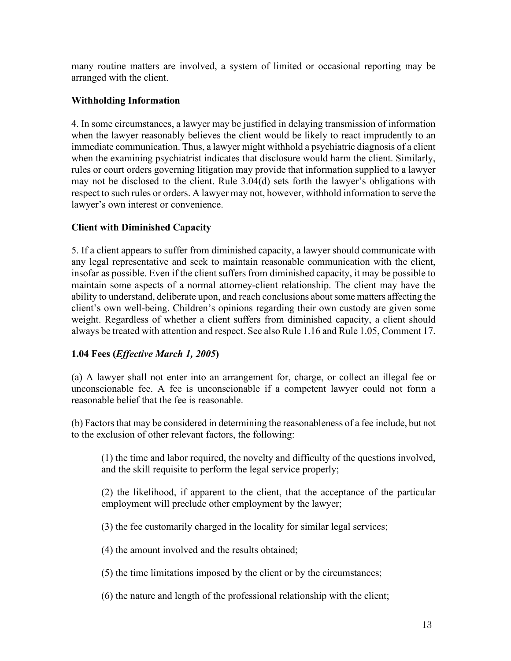many routine matters are involved, a system of limited or occasional reporting may be arranged with the client.

#### **Withholding Information**

4. In some circumstances, a lawyer may be justified in delaying transmission of information when the lawyer reasonably believes the client would be likely to react imprudently to an immediate communication. Thus, a lawyer might withhold a psychiatric diagnosis of a client when the examining psychiatrist indicates that disclosure would harm the client. Similarly, rules or court orders governing litigation may provide that information supplied to a lawyer may not be disclosed to the client. Rule 3.04(d) sets forth the lawyer's obligations with respect to such rules or orders. A lawyer may not, however, withhold information to serve the lawyer's own interest or convenience.

## **Client with Diminished Capacity**

5. If a client appears to suffer from diminished capacity, a lawyer should communicate with any legal representative and seek to maintain reasonable communication with the client, insofar as possible. Even if the client suffers from diminished capacity, it may be possible to maintain some aspects of a normal attorney-client relationship. The client may have the ability to understand, deliberate upon, and reach conclusions about some matters affecting the client's own well-being. Children's opinions regarding their own custody are given some weight. Regardless of whether a client suffers from diminished capacity, a client should always be treated with attention and respect. See also Rule 1.16 and Rule 1.05, Comment 17.

# <span id="page-12-0"></span>**1.04 Fees (***Effective March 1, 2005***)**

(a) A lawyer shall not enter into an arrangement for, charge, or collect an illegal fee or unconscionable fee. A fee is unconscionable if a competent lawyer could not form a reasonable belief that the fee is reasonable.

(b) Factors that may be considered in determining the reasonableness of a fee include, but not to the exclusion of other relevant factors, the following:

(1) the time and labor required, the novelty and difficulty of the questions involved, and the skill requisite to perform the legal service properly;

(2) the likelihood, if apparent to the client, that the acceptance of the particular employment will preclude other employment by the lawyer;

(3) the fee customarily charged in the locality for similar legal services;

(4) the amount involved and the results obtained;

(5) the time limitations imposed by the client or by the circumstances;

(6) the nature and length of the professional relationship with the client;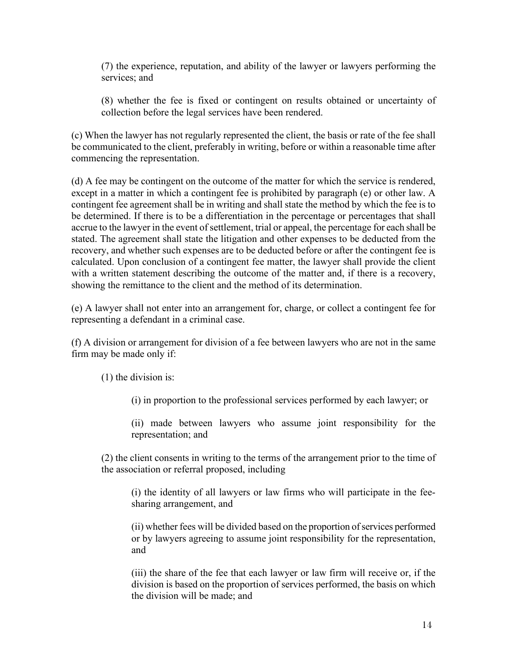(7) the experience, reputation, and ability of the lawyer or lawyers performing the services; and

(8) whether the fee is fixed or contingent on results obtained or uncertainty of collection before the legal services have been rendered.

(c) When the lawyer has not regularly represented the client, the basis or rate of the fee shall be communicated to the client, preferably in writing, before or within a reasonable time after commencing the representation.

(d) A fee may be contingent on the outcome of the matter for which the service is rendered, except in a matter in which a contingent fee is prohibited by paragraph (e) or other law. A contingent fee agreement shall be in writing and shall state the method by which the fee is to be determined. If there is to be a differentiation in the percentage or percentages that shall accrue to the lawyer in the event of settlement, trial or appeal, the percentage for each shall be stated. The agreement shall state the litigation and other expenses to be deducted from the recovery, and whether such expenses are to be deducted before or after the contingent fee is calculated. Upon conclusion of a contingent fee matter, the lawyer shall provide the client with a written statement describing the outcome of the matter and, if there is a recovery, showing the remittance to the client and the method of its determination.

(e) A lawyer shall not enter into an arrangement for, charge, or collect a contingent fee for representing a defendant in a criminal case.

(f) A division or arrangement for division of a fee between lawyers who are not in the same firm may be made only if:

(1) the division is:

(i) in proportion to the professional services performed by each lawyer; or

(ii) made between lawyers who assume joint responsibility for the representation; and

(2) the client consents in writing to the terms of the arrangement prior to the time of the association or referral proposed, including

(i) the identity of all lawyers or law firms who will participate in the feesharing arrangement, and

(ii) whether fees will be divided based on the proportion of services performed or by lawyers agreeing to assume joint responsibility for the representation, and

(iii) the share of the fee that each lawyer or law firm will receive or, if the division is based on the proportion of services performed, the basis on which the division will be made; and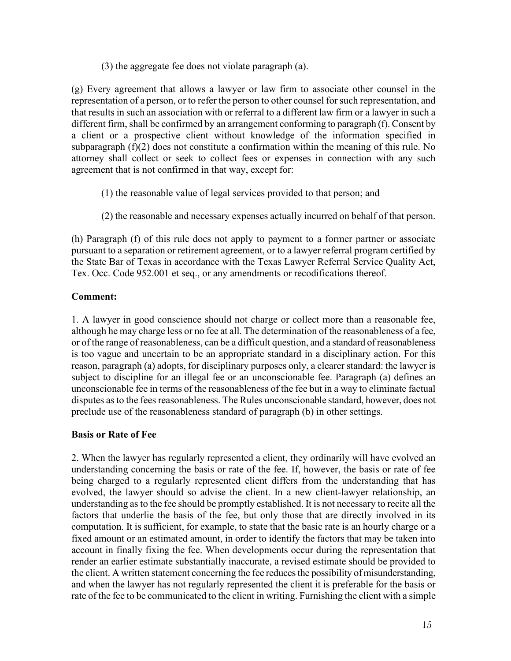(3) the aggregate fee does not violate paragraph (a).

(g) Every agreement that allows a lawyer or law firm to associate other counsel in the representation of a person, or to refer the person to other counsel for such representation, and that results in such an association with or referral to a different law firm or a lawyer in such a different firm, shall be confirmed by an arrangement conforming to paragraph (f). Consent by a client or a prospective client without knowledge of the information specified in subparagraph (f)(2) does not constitute a confirmation within the meaning of this rule. No attorney shall collect or seek to collect fees or expenses in connection with any such agreement that is not confirmed in that way, except for:

- (1) the reasonable value of legal services provided to that person; and
- (2) the reasonable and necessary expenses actually incurred on behalf of that person.

(h) Paragraph (f) of this rule does not apply to payment to a former partner or associate pursuant to a separation or retirement agreement, or to a lawyer referral program certified by the State Bar of Texas in accordance with the Texas Lawyer Referral Service Quality Act, Tex. Occ. Code 952.001 et seq., or any amendments or recodifications thereof.

#### **Comment:**

1. A lawyer in good conscience should not charge or collect more than a reasonable fee, although he may charge less or no fee at all. The determination of the reasonableness of a fee, or of the range of reasonableness, can be a difficult question, and a standard of reasonableness is too vague and uncertain to be an appropriate standard in a disciplinary action. For this reason, paragraph (a) adopts, for disciplinary purposes only, a clearer standard: the lawyer is subject to discipline for an illegal fee or an unconscionable fee. Paragraph (a) defines an unconscionable fee in terms of the reasonableness of the fee but in a way to eliminate factual disputes as to the fees reasonableness. The Rules unconscionable standard, however, does not preclude use of the reasonableness standard of paragraph (b) in other settings.

#### **Basis or Rate of Fee**

2. When the lawyer has regularly represented a client, they ordinarily will have evolved an understanding concerning the basis or rate of the fee. If, however, the basis or rate of fee being charged to a regularly represented client differs from the understanding that has evolved, the lawyer should so advise the client. In a new client-lawyer relationship, an understanding as to the fee should be promptly established. It is not necessary to recite all the factors that underlie the basis of the fee, but only those that are directly involved in its computation. It is sufficient, for example, to state that the basic rate is an hourly charge or a fixed amount or an estimated amount, in order to identify the factors that may be taken into account in finally fixing the fee. When developments occur during the representation that render an earlier estimate substantially inaccurate, a revised estimate should be provided to the client. A written statement concerning the fee reduces the possibility of misunderstanding, and when the lawyer has not regularly represented the client it is preferable for the basis or rate of the fee to be communicated to the client in writing. Furnishing the client with a simple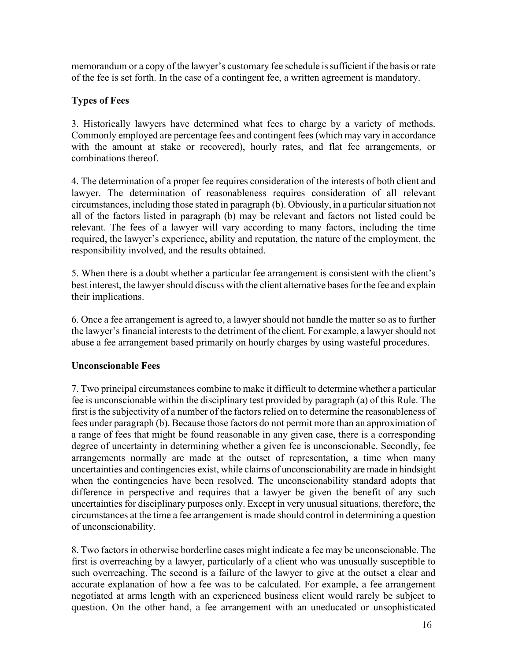memorandum or a copy of the lawyer's customary fee schedule is sufficient if the basis or rate of the fee is set forth. In the case of a contingent fee, a written agreement is mandatory.

# **Types of Fees**

3. Historically lawyers have determined what fees to charge by a variety of methods. Commonly employed are percentage fees and contingent fees (which may vary in accordance with the amount at stake or recovered), hourly rates, and flat fee arrangements, or combinations thereof.

4. The determination of a proper fee requires consideration of the interests of both client and lawyer. The determination of reasonableness requires consideration of all relevant circumstances, including those stated in paragraph (b). Obviously, in a particular situation not all of the factors listed in paragraph (b) may be relevant and factors not listed could be relevant. The fees of a lawyer will vary according to many factors, including the time required, the lawyer's experience, ability and reputation, the nature of the employment, the responsibility involved, and the results obtained.

5. When there is a doubt whether a particular fee arrangement is consistent with the client's best interest, the lawyer should discuss with the client alternative bases for the fee and explain their implications.

6. Once a fee arrangement is agreed to, a lawyer should not handle the matter so as to further the lawyer's financial interests to the detriment of the client. For example, a lawyer should not abuse a fee arrangement based primarily on hourly charges by using wasteful procedures.

# **Unconscionable Fees**

7. Two principal circumstances combine to make it difficult to determine whether a particular fee is unconscionable within the disciplinary test provided by paragraph (a) of this Rule. The first is the subjectivity of a number of the factors relied on to determine the reasonableness of fees under paragraph (b). Because those factors do not permit more than an approximation of a range of fees that might be found reasonable in any given case, there is a corresponding degree of uncertainty in determining whether a given fee is unconscionable. Secondly, fee arrangements normally are made at the outset of representation, a time when many uncertainties and contingencies exist, while claims of unconscionability are made in hindsight when the contingencies have been resolved. The unconscionability standard adopts that difference in perspective and requires that a lawyer be given the benefit of any such uncertainties for disciplinary purposes only. Except in very unusual situations, therefore, the circumstances at the time a fee arrangement is made should control in determining a question of unconscionability.

8. Two factors in otherwise borderline cases might indicate a fee may be unconscionable. The first is overreaching by a lawyer, particularly of a client who was unusually susceptible to such overreaching. The second is a failure of the lawyer to give at the outset a clear and accurate explanation of how a fee was to be calculated. For example, a fee arrangement negotiated at arms length with an experienced business client would rarely be subject to question. On the other hand, a fee arrangement with an uneducated or unsophisticated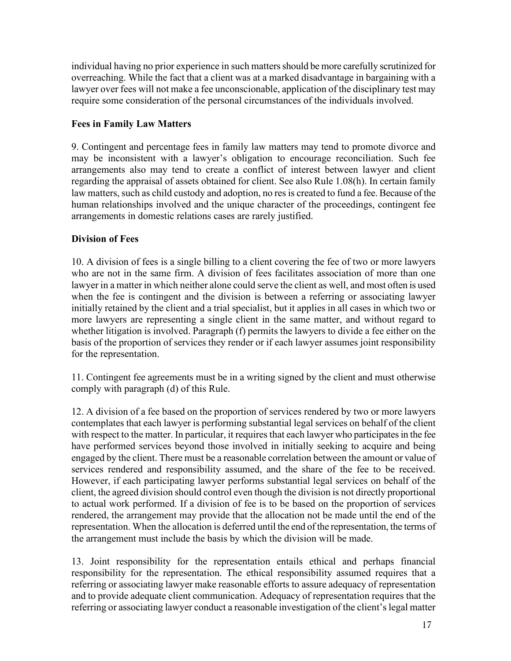individual having no prior experience in such matters should be more carefully scrutinized for overreaching. While the fact that a client was at a marked disadvantage in bargaining with a lawyer over fees will not make a fee unconscionable, application of the disciplinary test may require some consideration of the personal circumstances of the individuals involved.

## **Fees in Family Law Matters**

9. Contingent and percentage fees in family law matters may tend to promote divorce and may be inconsistent with a lawyer's obligation to encourage reconciliation. Such fee arrangements also may tend to create a conflict of interest between lawyer and client regarding the appraisal of assets obtained for client. See also Rule 1.08(h). In certain family law matters, such as child custody and adoption, no res is created to fund a fee. Because of the human relationships involved and the unique character of the proceedings, contingent fee arrangements in domestic relations cases are rarely justified.

#### **Division of Fees**

10. A division of fees is a single billing to a client covering the fee of two or more lawyers who are not in the same firm. A division of fees facilitates association of more than one lawyer in a matter in which neither alone could serve the client as well, and most often is used when the fee is contingent and the division is between a referring or associating lawyer initially retained by the client and a trial specialist, but it applies in all cases in which two or more lawyers are representing a single client in the same matter, and without regard to whether litigation is involved. Paragraph (f) permits the lawyers to divide a fee either on the basis of the proportion of services they render or if each lawyer assumes joint responsibility for the representation.

11. Contingent fee agreements must be in a writing signed by the client and must otherwise comply with paragraph (d) of this Rule.

12. A division of a fee based on the proportion of services rendered by two or more lawyers contemplates that each lawyer is performing substantial legal services on behalf of the client with respect to the matter. In particular, it requires that each lawyer who participates in the fee have performed services beyond those involved in initially seeking to acquire and being engaged by the client. There must be a reasonable correlation between the amount or value of services rendered and responsibility assumed, and the share of the fee to be received. However, if each participating lawyer performs substantial legal services on behalf of the client, the agreed division should control even though the division is not directly proportional to actual work performed. If a division of fee is to be based on the proportion of services rendered, the arrangement may provide that the allocation not be made until the end of the representation. When the allocation is deferred until the end of the representation, the terms of the arrangement must include the basis by which the division will be made.

13. Joint responsibility for the representation entails ethical and perhaps financial responsibility for the representation. The ethical responsibility assumed requires that a referring or associating lawyer make reasonable efforts to assure adequacy of representation and to provide adequate client communication. Adequacy of representation requires that the referring or associating lawyer conduct a reasonable investigation of the client's legal matter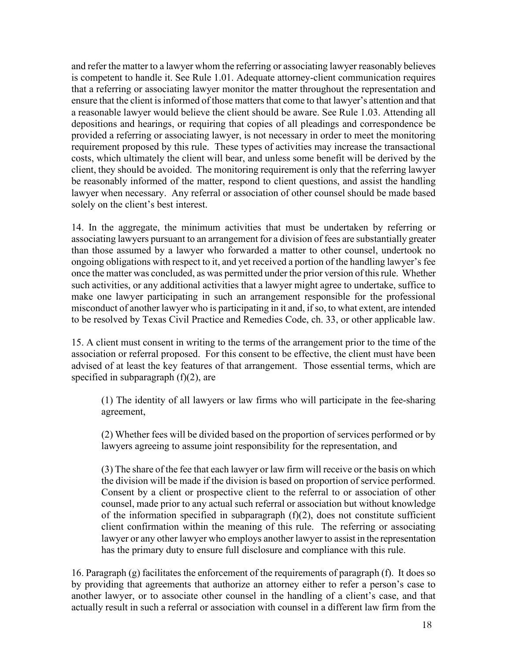and refer the matter to a lawyer whom the referring or associating lawyer reasonably believes is competent to handle it. See Rule 1.01. Adequate attorney-client communication requires that a referring or associating lawyer monitor the matter throughout the representation and ensure that the client is informed of those matters that come to that lawyer's attention and that a reasonable lawyer would believe the client should be aware. See Rule 1.03. Attending all depositions and hearings, or requiring that copies of all pleadings and correspondence be provided a referring or associating lawyer, is not necessary in order to meet the monitoring requirement proposed by this rule. These types of activities may increase the transactional costs, which ultimately the client will bear, and unless some benefit will be derived by the client, they should be avoided. The monitoring requirement is only that the referring lawyer be reasonably informed of the matter, respond to client questions, and assist the handling lawyer when necessary. Any referral or association of other counsel should be made based solely on the client's best interest.

14. In the aggregate, the minimum activities that must be undertaken by referring or associating lawyers pursuant to an arrangement for a division of fees are substantially greater than those assumed by a lawyer who forwarded a matter to other counsel, undertook no ongoing obligations with respect to it, and yet received a portion of the handling lawyer's fee once the matter was concluded, as was permitted under the prior version of this rule. Whether such activities, or any additional activities that a lawyer might agree to undertake, suffice to make one lawyer participating in such an arrangement responsible for the professional misconduct of another lawyer who is participating in it and, if so, to what extent, are intended to be resolved by Texas Civil Practice and Remedies Code, ch. 33, or other applicable law.

15. A client must consent in writing to the terms of the arrangement prior to the time of the association or referral proposed. For this consent to be effective, the client must have been advised of at least the key features of that arrangement. Those essential terms, which are specified in subparagraph  $(f)(2)$ , are

(1) The identity of all lawyers or law firms who will participate in the fee-sharing agreement,

(2) Whether fees will be divided based on the proportion of services performed or by lawyers agreeing to assume joint responsibility for the representation, and

(3) The share of the fee that each lawyer or law firm will receive or the basis on which the division will be made if the division is based on proportion of service performed. Consent by a client or prospective client to the referral to or association of other counsel, made prior to any actual such referral or association but without knowledge of the information specified in subparagraph  $(f)(2)$ , does not constitute sufficient client confirmation within the meaning of this rule. The referring or associating lawyer or any other lawyer who employs another lawyer to assist in the representation has the primary duty to ensure full disclosure and compliance with this rule.

16. Paragraph (g) facilitates the enforcement of the requirements of paragraph (f). It does so by providing that agreements that authorize an attorney either to refer a person's case to another lawyer, or to associate other counsel in the handling of a client's case, and that actually result in such a referral or association with counsel in a different law firm from the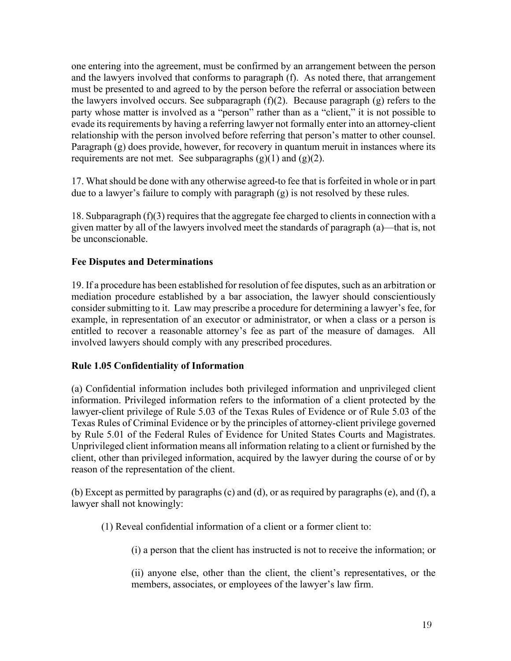one entering into the agreement, must be confirmed by an arrangement between the person and the lawyers involved that conforms to paragraph (f). As noted there, that arrangement must be presented to and agreed to by the person before the referral or association between the lawyers involved occurs. See subparagraph  $(f)(2)$ . Because paragraph  $(g)$  refers to the party whose matter is involved as a "person" rather than as a "client," it is not possible to evade its requirements by having a referring lawyer not formally enter into an attorney-client relationship with the person involved before referring that person's matter to other counsel. Paragraph (g) does provide, however, for recovery in quantum meruit in instances where its requirements are not met. See subparagraphs  $(g)(1)$  and  $(g)(2)$ .

17. What should be done with any otherwise agreed-to fee that is forfeited in whole or in part due to a lawyer's failure to comply with paragraph (g) is not resolved by these rules.

18. Subparagraph (f)(3) requires that the aggregate fee charged to clients in connection with a given matter by all of the lawyers involved meet the standards of paragraph (a)—that is, not be unconscionable.

#### **Fee Disputes and Determinations**

19. If a procedure has been established for resolution of fee disputes, such as an arbitration or mediation procedure established by a bar association, the lawyer should conscientiously consider submitting to it. Law may prescribe a procedure for determining a lawyer's fee, for example, in representation of an executor or administrator, or when a class or a person is entitled to recover a reasonable attorney's fee as part of the measure of damages. All involved lawyers should comply with any prescribed procedures.

#### <span id="page-18-0"></span>**Rule 1.05 Confidentiality of Information**

(a) Confidential information includes both privileged information and unprivileged client information. Privileged information refers to the information of a client protected by the lawyer-client privilege of Rule 5.03 of the Texas Rules of Evidence or of Rule 5.03 of the Texas Rules of Criminal Evidence or by the principles of attorney-client privilege governed by Rule 5.01 of the Federal Rules of Evidence for United States Courts and Magistrates. Unprivileged client information means all information relating to a client or furnished by the client, other than privileged information, acquired by the lawyer during the course of or by reason of the representation of the client.

(b) Except as permitted by paragraphs (c) and (d), or as required by paragraphs (e), and (f), a lawyer shall not knowingly:

(1) Reveal confidential information of a client or a former client to:

(i) a person that the client has instructed is not to receive the information; or

(ii) anyone else, other than the client, the client's representatives, or the members, associates, or employees of the lawyer's law firm.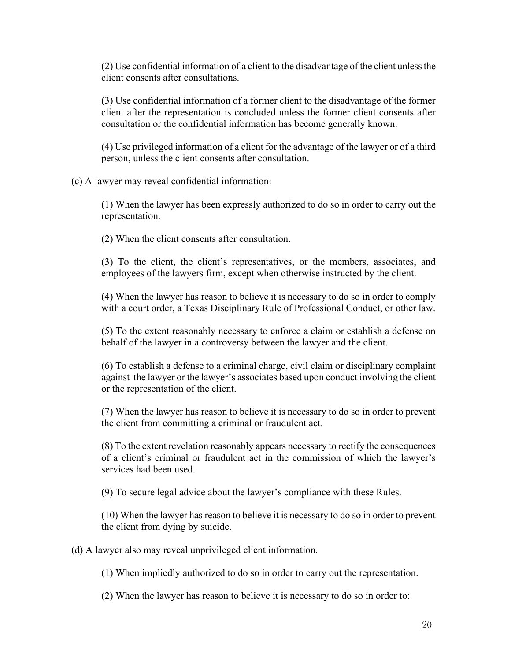(2) Use confidential information of a client to the disadvantage of the client unless the client consents after consultations.

(3) Use confidential information of a former client to the disadvantage of the former client after the representation is concluded unless the former client consents after consultation or the confidential information has become generally known.

(4) Use privileged information of a client for the advantage of the lawyer or of a third person, unless the client consents after consultation.

(c) A lawyer may reveal confidential information:

(1) When the lawyer has been expressly authorized to do so in order to carry out the representation.

(2) When the client consents after consultation.

(3) To the client, the client's representatives, or the members, associates, and employees of the lawyers firm, except when otherwise instructed by the client.

(4) When the lawyer has reason to believe it is necessary to do so in order to comply with a court order, a Texas Disciplinary Rule of Professional Conduct, or other law.

(5) To the extent reasonably necessary to enforce a claim or establish a defense on behalf of the lawyer in a controversy between the lawyer and the client.

(6) To establish a defense to a criminal charge, civil claim or disciplinary complaint against the lawyer or the lawyer's associates based upon conduct involving the client or the representation of the client.

(7) When the lawyer has reason to believe it is necessary to do so in order to prevent the client from committing a criminal or fraudulent act.

(8) To the extent revelation reasonably appears necessary to rectify the consequences of a client's criminal or fraudulent act in the commission of which the lawyer's services had been used.

(9) To secure legal advice about the lawyer's compliance with these Rules.

(10) When the lawyer has reason to believe it is necessary to do so in order to prevent the client from dying by suicide.

(d) A lawyer also may reveal unprivileged client information.

(1) When impliedly authorized to do so in order to carry out the representation.

(2) When the lawyer has reason to believe it is necessary to do so in order to: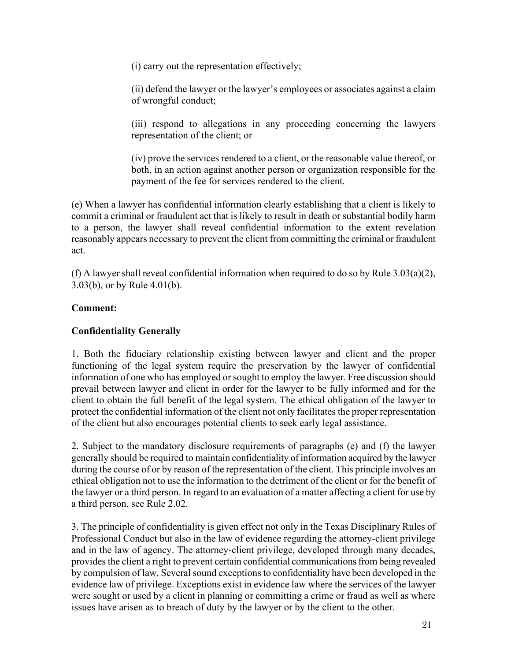(i) carry out the representation effectively;

(ii) defend the lawyer or the lawyer's employees or associates against a claim of wrongful conduct;

(iii) respond to allegations in any proceeding concerning the lawyers representation of the client; or

(iv) prove the services rendered to a client, or the reasonable value thereof, or both, in an action against another person or organization responsible for the payment of the fee for services rendered to the client.

(e) When a lawyer has confidential information clearly establishing that a client is likely to commit a criminal or fraudulent act that is likely to result in death or substantial bodily harm to a person, the lawyer shall reveal confidential information to the extent revelation reasonably appears necessary to prevent the client from committing the criminal or fraudulent act.

(f) A lawyer shall reveal confidential information when required to do so by Rule  $3.03(a)(2)$ , 3.03(b), or by Rule 4.01(b).

## **Comment:**

## **Confidentiality Generally**

1. Both the fiduciary relationship existing between lawyer and client and the proper functioning of the legal system require the preservation by the lawyer of confidential information of one who has employed or sought to employ the lawyer. Free discussion should prevail between lawyer and client in order for the lawyer to be fully informed and for the client to obtain the full benefit of the legal system. The ethical obligation of the lawyer to protect the confidential information of the client not only facilitates the proper representation of the client but also encourages potential clients to seek early legal assistance.

2. Subject to the mandatory disclosure requirements of paragraphs (e) and (f) the lawyer generally should be required to maintain confidentiality of information acquired by the lawyer during the course of or by reason of the representation of the client. This principle involves an ethical obligation not to use the information to the detriment of the client or for the benefit of the lawyer or a third person. In regard to an evaluation of a matter affecting a client for use by a third person, see Rule 2.02.

3. The principle of confidentiality is given effect not only in the Texas Disciplinary Rules of Professional Conduct but also in the law of evidence regarding the attorney-client privilege and in the law of agency. The attorney-client privilege, developed through many decades, provides the client a right to prevent certain confidential communications from being revealed by compulsion of law. Several sound exceptions to confidentiality have been developed in the evidence law of privilege. Exceptions exist in evidence law where the services of the lawyer were sought or used by a client in planning or committing a crime or fraud as well as where issues have arisen as to breach of duty by the lawyer or by the client to the other.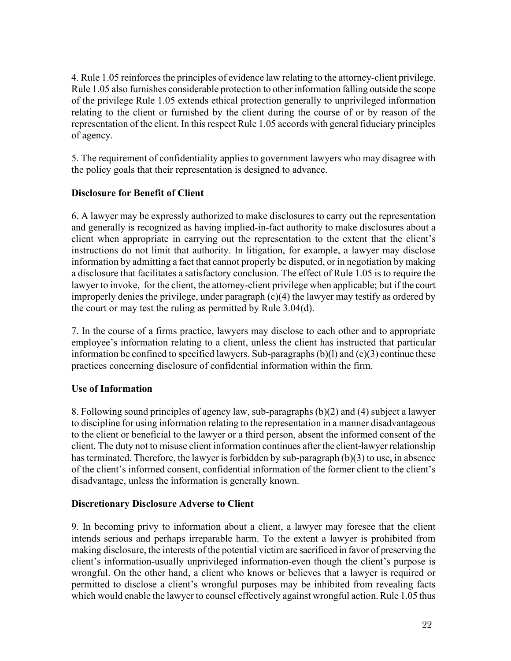4. Rule 1.05 reinforces the principles of evidence law relating to the attorney-client privilege. Rule 1.05 also furnishes considerable protection to other information falling outside the scope of the privilege Rule 1.05 extends ethical protection generally to unprivileged information relating to the client or furnished by the client during the course of or by reason of the representation of the client. In this respect Rule 1.05 accords with general fiduciary principles of agency.

5. The requirement of confidentiality applies to government lawyers who may disagree with the policy goals that their representation is designed to advance.

#### **Disclosure for Benefit of Client**

6. A lawyer may be expressly authorized to make disclosures to carry out the representation and generally is recognized as having implied-in-fact authority to make disclosures about a client when appropriate in carrying out the representation to the extent that the client's instructions do not limit that authority. In litigation, for example, a lawyer may disclose information by admitting a fact that cannot properly be disputed, or in negotiation by making a disclosure that facilitates a satisfactory conclusion. The effect of Rule 1.05 is to require the lawyer to invoke, for the client, the attorney-client privilege when applicable; but if the court improperly denies the privilege, under paragraph (c)(4) the lawyer may testify as ordered by the court or may test the ruling as permitted by Rule 3.04(d).

7. In the course of a firms practice, lawyers may disclose to each other and to appropriate employee's information relating to a client, unless the client has instructed that particular information be confined to specified lawyers. Sub-paragraphs (b)(l) and (c)(3) continue these practices concerning disclosure of confidential information within the firm.

#### **Use of Information**

8. Following sound principles of agency law, sub-paragraphs (b)(2) and (4) subject a lawyer to discipline for using information relating to the representation in a manner disadvantageous to the client or beneficial to the lawyer or a third person, absent the informed consent of the client. The duty not to misuse client information continues after the client-lawyer relationship has terminated. Therefore, the lawyer is forbidden by sub-paragraph (b)(3) to use, in absence of the client's informed consent, confidential information of the former client to the client's disadvantage, unless the information is generally known.

#### **Discretionary Disclosure Adverse to Client**

9. In becoming privy to information about a client, a lawyer may foresee that the client intends serious and perhaps irreparable harm. To the extent a lawyer is prohibited from making disclosure, the interests of the potential victim are sacrificed in favor of preserving the client's information-usually unprivileged information-even though the client's purpose is wrongful. On the other hand, a client who knows or believes that a lawyer is required or permitted to disclose a client's wrongful purposes may be inhibited from revealing facts which would enable the lawyer to counsel effectively against wrongful action. Rule 1.05 thus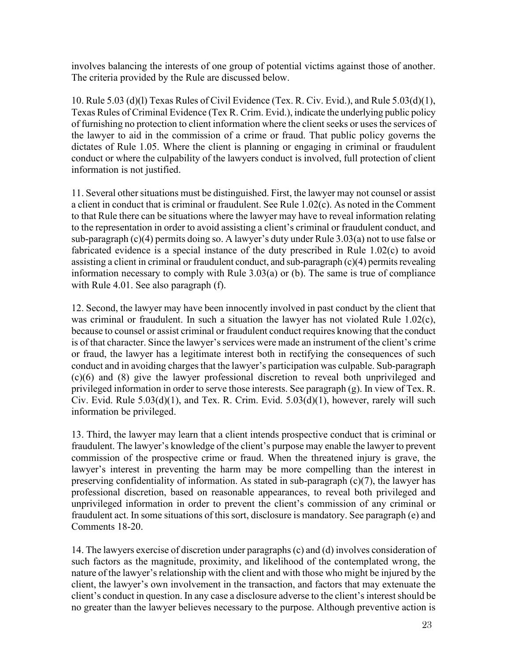involves balancing the interests of one group of potential victims against those of another. The criteria provided by the Rule are discussed below.

10. Rule 5.03 (d)(l) Texas Rules of Civil Evidence (Tex. R. Civ. Evid.), and Rule 5.03(d)(1), Texas Rules of Criminal Evidence (Tex R. Crim. Evid.), indicate the underlying public policy of furnishing no protection to client information where the client seeks or uses the services of the lawyer to aid in the commission of a crime or fraud. That public policy governs the dictates of Rule 1.05. Where the client is planning or engaging in criminal or fraudulent conduct or where the culpability of the lawyers conduct is involved, full protection of client information is not justified.

11. Several other situations must be distinguished. First, the lawyer may not counsel or assist a client in conduct that is criminal or fraudulent. See Rule 1.02(c). As noted in the Comment to that Rule there can be situations where the lawyer may have to reveal information relating to the representation in order to avoid assisting a client's criminal or fraudulent conduct, and sub-paragraph (c)(4) permits doing so. A lawyer's duty under Rule 3.03(a) not to use false or fabricated evidence is a special instance of the duty prescribed in Rule 1.02(c) to avoid assisting a client in criminal or fraudulent conduct, and sub-paragraph (c)(4) permits revealing information necessary to comply with Rule 3.03(a) or (b). The same is true of compliance with Rule 4.01. See also paragraph (f).

12. Second, the lawyer may have been innocently involved in past conduct by the client that was criminal or fraudulent. In such a situation the lawyer has not violated Rule 1.02(c), because to counsel or assist criminal or fraudulent conduct requires knowing that the conduct is of that character. Since the lawyer's services were made an instrument of the client's crime or fraud, the lawyer has a legitimate interest both in rectifying the consequences of such conduct and in avoiding charges that the lawyer's participation was culpable. Sub-paragraph (c)(6) and (8) give the lawyer professional discretion to reveal both unprivileged and privileged information in order to serve those interests. See paragraph (g). In view of Tex. R. Civ. Evid. Rule  $5.03(d)(1)$ , and Tex. R. Crim. Evid.  $5.03(d)(1)$ , however, rarely will such information be privileged.

13. Third, the lawyer may learn that a client intends prospective conduct that is criminal or fraudulent. The lawyer's knowledge of the client's purpose may enable the lawyer to prevent commission of the prospective crime or fraud. When the threatened injury is grave, the lawyer's interest in preventing the harm may be more compelling than the interest in preserving confidentiality of information. As stated in sub-paragraph (c)(7), the lawyer has professional discretion, based on reasonable appearances, to reveal both privileged and unprivileged information in order to prevent the client's commission of any criminal or fraudulent act. In some situations of this sort, disclosure is mandatory. See paragraph (e) and Comments 18-20.

14. The lawyers exercise of discretion under paragraphs (c) and (d) involves consideration of such factors as the magnitude, proximity, and likelihood of the contemplated wrong, the nature of the lawyer's relationship with the client and with those who might be injured by the client, the lawyer's own involvement in the transaction, and factors that may extenuate the client's conduct in question. In any case a disclosure adverse to the client's interest should be no greater than the lawyer believes necessary to the purpose. Although preventive action is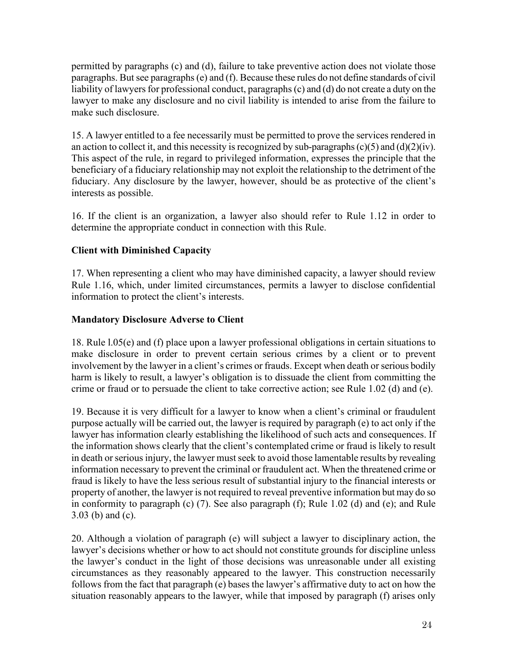permitted by paragraphs (c) and (d), failure to take preventive action does not violate those paragraphs. But see paragraphs (e) and (f). Because these rules do not define standards of civil liability of lawyers for professional conduct, paragraphs (c) and (d) do not create a duty on the lawyer to make any disclosure and no civil liability is intended to arise from the failure to make such disclosure.

15. A lawyer entitled to a fee necessarily must be permitted to prove the services rendered in an action to collect it, and this necessity is recognized by sub-paragraphs  $(c)(5)$  and  $(d)(2)(iv)$ . This aspect of the rule, in regard to privileged information, expresses the principle that the beneficiary of a fiduciary relationship may not exploit the relationship to the detriment of the fiduciary. Any disclosure by the lawyer, however, should be as protective of the client's interests as possible.

16. If the client is an organization, a lawyer also should refer to Rule 1.12 in order to determine the appropriate conduct in connection with this Rule.

## **Client with Diminished Capacity**

17. When representing a client who may have diminished capacity, a lawyer should review Rule 1.16, which, under limited circumstances, permits a lawyer to disclose confidential information to protect the client's interests.

## **Mandatory Disclosure Adverse to Client**

18. Rule l.05(e) and (f) place upon a lawyer professional obligations in certain situations to make disclosure in order to prevent certain serious crimes by a client or to prevent involvement by the lawyer in a client's crimes or frauds. Except when death or serious bodily harm is likely to result, a lawyer's obligation is to dissuade the client from committing the crime or fraud or to persuade the client to take corrective action; see Rule 1.02 (d) and (e).

19. Because it is very difficult for a lawyer to know when a client's criminal or fraudulent purpose actually will be carried out, the lawyer is required by paragraph (e) to act only if the lawyer has information clearly establishing the likelihood of such acts and consequences. If the information shows clearly that the client's contemplated crime or fraud is likely to result in death or serious injury, the lawyer must seek to avoid those lamentable results by revealing information necessary to prevent the criminal or fraudulent act. When the threatened crime or fraud is likely to have the less serious result of substantial injury to the financial interests or property of another, the lawyer is not required to reveal preventive information but may do so in conformity to paragraph (c) (7). See also paragraph (f); Rule 1.02 (d) and (e); and Rule 3.03 (b) and (c).

20. Although a violation of paragraph (e) will subject a lawyer to disciplinary action, the lawyer's decisions whether or how to act should not constitute grounds for discipline unless the lawyer's conduct in the light of those decisions was unreasonable under all existing circumstances as they reasonably appeared to the lawyer. This construction necessarily follows from the fact that paragraph (e) bases the lawyer's affirmative duty to act on how the situation reasonably appears to the lawyer, while that imposed by paragraph (f) arises only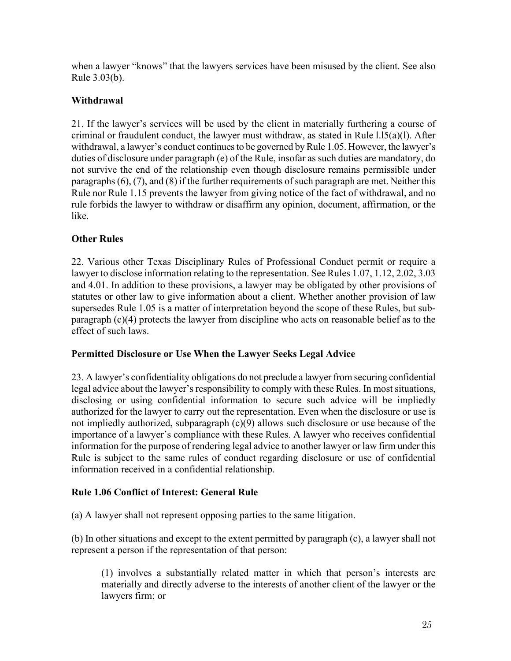when a lawyer "knows" that the lawyers services have been misused by the client. See also Rule 3.03(b).

## **Withdrawal**

21. If the lawyer's services will be used by the client in materially furthering a course of criminal or fraudulent conduct, the lawyer must withdraw, as stated in Rule l.l5(a)(l). After withdrawal, a lawyer's conduct continues to be governed by Rule 1.05. However, the lawyer's duties of disclosure under paragraph (e) of the Rule, insofar as such duties are mandatory, do not survive the end of the relationship even though disclosure remains permissible under paragraphs (6), (7), and (8) if the further requirements of such paragraph are met. Neither this Rule nor Rule 1.15 prevents the lawyer from giving notice of the fact of withdrawal, and no rule forbids the lawyer to withdraw or disaffirm any opinion, document, affirmation, or the like.

## **Other Rules**

22. Various other Texas Disciplinary Rules of Professional Conduct permit or require a lawyer to disclose information relating to the representation. See Rules 1.07, 1.12, 2.02, 3.03 and 4.01. In addition to these provisions, a lawyer may be obligated by other provisions of statutes or other law to give information about a client. Whether another provision of law supersedes Rule 1.05 is a matter of interpretation beyond the scope of these Rules, but subparagraph (c)(4) protects the lawyer from discipline who acts on reasonable belief as to the effect of such laws.

#### **Permitted Disclosure or Use When the Lawyer Seeks Legal Advice**

23. A lawyer's confidentiality obligations do not preclude a lawyer from securing confidential legal advice about the lawyer's responsibility to comply with these Rules. In most situations, disclosing or using confidential information to secure such advice will be impliedly authorized for the lawyer to carry out the representation. Even when the disclosure or use is not impliedly authorized, subparagraph  $(c)(9)$  allows such disclosure or use because of the importance of a lawyer's compliance with these Rules. A lawyer who receives confidential information for the purpose of rendering legal advice to another lawyer or law firm under this Rule is subject to the same rules of conduct regarding disclosure or use of confidential information received in a confidential relationship.

#### <span id="page-24-0"></span>**Rule 1.06 Conflict of Interest: General Rule**

(a) A lawyer shall not represent opposing parties to the same litigation.

(b) In other situations and except to the extent permitted by paragraph (c), a lawyer shall not represent a person if the representation of that person:

(1) involves a substantially related matter in which that person's interests are materially and directly adverse to the interests of another client of the lawyer or the lawyers firm; or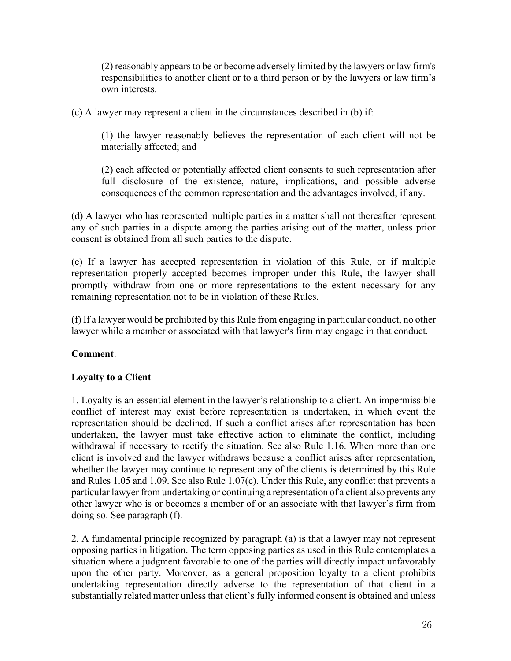(2) reasonably appears to be or become adversely limited by the lawyers or law firm's responsibilities to another client or to a third person or by the lawyers or law firm's own interests.

(c) A lawyer may represent a client in the circumstances described in (b) if:

(1) the lawyer reasonably believes the representation of each client will not be materially affected; and

(2) each affected or potentially affected client consents to such representation after full disclosure of the existence, nature, implications, and possible adverse consequences of the common representation and the advantages involved, if any.

(d) A lawyer who has represented multiple parties in a matter shall not thereafter represent any of such parties in a dispute among the parties arising out of the matter, unless prior consent is obtained from all such parties to the dispute.

(e) If a lawyer has accepted representation in violation of this Rule, or if multiple representation properly accepted becomes improper under this Rule, the lawyer shall promptly withdraw from one or more representations to the extent necessary for any remaining representation not to be in violation of these Rules.

(f) If a lawyer would be prohibited by this Rule from engaging in particular conduct, no other lawyer while a member or associated with that lawyer's firm may engage in that conduct.

#### **Comment**:

#### **Loyalty to a Client**

1. Loyalty is an essential element in the lawyer's relationship to a client. An impermissible conflict of interest may exist before representation is undertaken, in which event the representation should be declined. If such a conflict arises after representation has been undertaken, the lawyer must take effective action to eliminate the conflict, including withdrawal if necessary to rectify the situation. See also Rule 1.16. When more than one client is involved and the lawyer withdraws because a conflict arises after representation, whether the lawyer may continue to represent any of the clients is determined by this Rule and Rules 1.05 and 1.09. See also Rule 1.07(c). Under this Rule, any conflict that prevents a particular lawyer from undertaking or continuing a representation of a client also prevents any other lawyer who is or becomes a member of or an associate with that lawyer's firm from doing so. See paragraph (f).

2. A fundamental principle recognized by paragraph (a) is that a lawyer may not represent opposing parties in litigation. The term opposing parties as used in this Rule contemplates a situation where a judgment favorable to one of the parties will directly impact unfavorably upon the other party. Moreover, as a general proposition loyalty to a client prohibits undertaking representation directly adverse to the representation of that client in a substantially related matter unless that client's fully informed consent is obtained and unless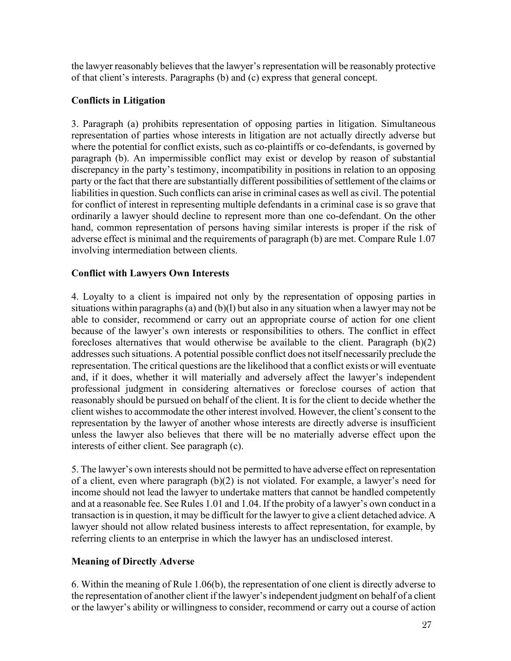the lawyer reasonably believes that the lawyer's representation will be reasonably protective of that client's interests. Paragraphs (b) and (c) express that general concept.

## **Conflicts in Litigation**

3. Paragraph (a) prohibits representation of opposing parties in litigation. Simultaneous representation of parties whose interests in litigation are not actually directly adverse but where the potential for conflict exists, such as co-plaintiffs or co-defendants, is governed by paragraph (b). An impermissible conflict may exist or develop by reason of substantial discrepancy in the party's testimony, incompatibility in positions in relation to an opposing party or the fact that there are substantially different possibilities of settlement of the claims or liabilities in question. Such conflicts can arise in criminal cases as well as civil. The potential for conflict of interest in representing multiple defendants in a criminal case is so grave that ordinarily a lawyer should decline to represent more than one co-defendant. On the other hand, common representation of persons having similar interests is proper if the risk of adverse effect is minimal and the requirements of paragraph (b) are met. Compare Rule 1.07 involving intermediation between clients.

## **Conflict with Lawyers Own Interests**

4. Loyalty to a client is impaired not only by the representation of opposing parties in situations within paragraphs (a) and (b)(l) but also in any situation when a lawyer may not be able to consider, recommend or carry out an appropriate course of action for one client because of the lawyer's own interests or responsibilities to others. The conflict in effect forecloses alternatives that would otherwise be available to the client. Paragraph (b)(2) addresses such situations. A potential possible conflict does not itself necessarily preclude the representation. The critical questions are the likelihood that a conflict exists or will eventuate and, if it does, whether it will materially and adversely affect the lawyer's independent professional judgment in considering alternatives or foreclose courses of action that reasonably should be pursued on behalf of the client. It is for the client to decide whether the client wishes to accommodate the other interest involved. However, the client's consent to the representation by the lawyer of another whose interests are directly adverse is insufficient unless the lawyer also believes that there will be no materially adverse effect upon the interests of either client. See paragraph (c).

5. The lawyer's own interests should not be permitted to have adverse effect on representation of a client, even where paragraph (b)(2) is not violated. For example, a lawyer's need for income should not lead the lawyer to undertake matters that cannot be handled competently and at a reasonable fee. See Rules 1.01 and 1.04. If the probity of a lawyer's own conduct in a transaction is in question, it may be difficult for the lawyer to give a client detached advice. A lawyer should not allow related business interests to affect representation, for example, by referring clients to an enterprise in which the lawyer has an undisclosed interest.

# **Meaning of Directly Adverse**

6. Within the meaning of Rule 1.06(b), the representation of one client is directly adverse to the representation of another client if the lawyer's independent judgment on behalf of a client or the lawyer's ability or willingness to consider, recommend or carry out a course of action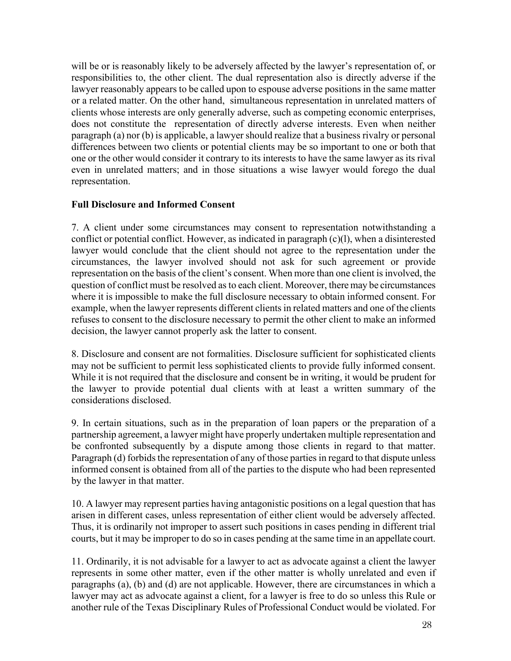will be or is reasonably likely to be adversely affected by the lawyer's representation of, or responsibilities to, the other client. The dual representation also is directly adverse if the lawyer reasonably appears to be called upon to espouse adverse positions in the same matter or a related matter. On the other hand, simultaneous representation in unrelated matters of clients whose interests are only generally adverse, such as competing economic enterprises, does not constitute the representation of directly adverse interests. Even when neither paragraph (a) nor (b) is applicable, a lawyer should realize that a business rivalry or personal differences between two clients or potential clients may be so important to one or both that one or the other would consider it contrary to its interests to have the same lawyer as its rival even in unrelated matters; and in those situations a wise lawyer would forego the dual representation.

#### **Full Disclosure and Informed Consent**

7. A client under some circumstances may consent to representation notwithstanding a conflict or potential conflict. However, as indicated in paragraph (c)(l), when a disinterested lawyer would conclude that the client should not agree to the representation under the circumstances, the lawyer involved should not ask for such agreement or provide representation on the basis of the client's consent. When more than one client is involved, the question of conflict must be resolved as to each client. Moreover, there may be circumstances where it is impossible to make the full disclosure necessary to obtain informed consent. For example, when the lawyer represents different clients in related matters and one of the clients refuses to consent to the disclosure necessary to permit the other client to make an informed decision, the lawyer cannot properly ask the latter to consent.

8. Disclosure and consent are not formalities. Disclosure sufficient for sophisticated clients may not be sufficient to permit less sophisticated clients to provide fully informed consent. While it is not required that the disclosure and consent be in writing, it would be prudent for the lawyer to provide potential dual clients with at least a written summary of the considerations disclosed.

9. In certain situations, such as in the preparation of loan papers or the preparation of a partnership agreement, a lawyer might have properly undertaken multiple representation and be confronted subsequently by a dispute among those clients in regard to that matter. Paragraph (d) forbids the representation of any of those parties in regard to that dispute unless informed consent is obtained from all of the parties to the dispute who had been represented by the lawyer in that matter.

10. A lawyer may represent parties having antagonistic positions on a legal question that has arisen in different cases, unless representation of either client would be adversely affected. Thus, it is ordinarily not improper to assert such positions in cases pending in different trial courts, but it may be improper to do so in cases pending at the same time in an appellate court.

11. Ordinarily, it is not advisable for a lawyer to act as advocate against a client the lawyer represents in some other matter, even if the other matter is wholly unrelated and even if paragraphs (a), (b) and (d) are not applicable. However, there are circumstances in which a lawyer may act as advocate against a client, for a lawyer is free to do so unless this Rule or another rule of the Texas Disciplinary Rules of Professional Conduct would be violated. For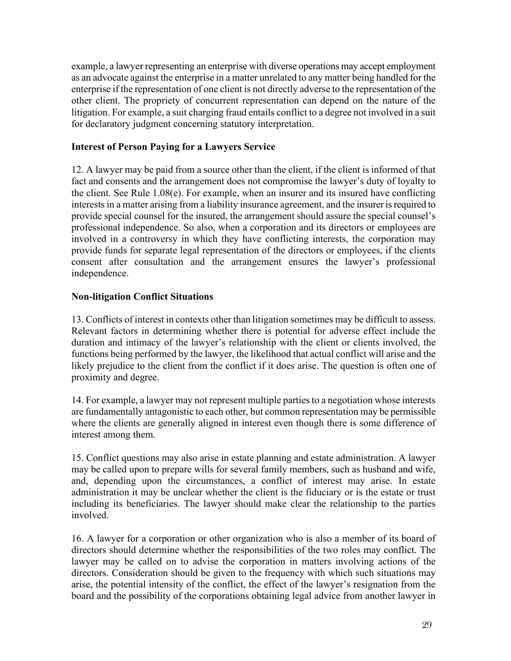example, a lawyer representing an enterprise with diverse operations may accept employment as an advocate against the enterprise in a matter unrelated to any matter being handled for the enterprise if the representation of one client is not directly adverse to the representation of the other client. The propriety of concurrent representation can depend on the nature of the litigation. For example, a suit charging fraud entails conflict to a degree not involved in a suit for declaratory judgment concerning statutory interpretation.

#### **Interest of Person Paying for a Lawyers Service**

12. A lawyer may be paid from a source other than the client, if the client is informed of that fact and consents and the arrangement does not compromise the lawyer's duty of loyalty to the client. See Rule 1.08(e). For example, when an insurer and its insured have conflicting interests in a matter arising from a liability insurance agreement, and the insurer is required to provide special counsel for the insured, the arrangement should assure the special counsel's professional independence. So also, when a corporation and its directors or employees are involved in a controversy in which they have conflicting interests, the corporation may provide funds for separate legal representation of the directors or employees, if the clients consent after consultation and the arrangement ensures the lawyer's professional independence.

## **Non-litigation Conflict Situations**

13. Conflicts of interest in contexts other than litigation sometimes may be difficult to assess. Relevant factors in determining whether there is potential for adverse effect include the duration and intimacy of the lawyer's relationship with the client or clients involved, the functions being performed by the lawyer, the likelihood that actual conflict will arise and the likely prejudice to the client from the conflict if it does arise. The question is often one of proximity and degree.

14. For example, a lawyer may not represent multiple parties to a negotiation whose interests are fundamentally antagonistic to each other, but common representation may be permissible where the clients are generally aligned in interest even though there is some difference of interest among them.

15. Conflict questions may also arise in estate planning and estate administration. A lawyer may be called upon to prepare wills for several family members, such as husband and wife, and, depending upon the circumstances, a conflict of interest may arise. In estate administration it may be unclear whether the client is the fiduciary or is the estate or trust including its beneficiaries. The lawyer should make clear the relationship to the parties involved.

16. A lawyer for a corporation or other organization who is also a member of its board of directors should determine whether the responsibilities of the two roles may conflict. The lawyer may be called on to advise the corporation in matters involving actions of the directors. Consideration should be given to the frequency with which such situations may arise, the potential intensity of the conflict, the effect of the lawyer's resignation from the board and the possibility of the corporations obtaining legal advice from another lawyer in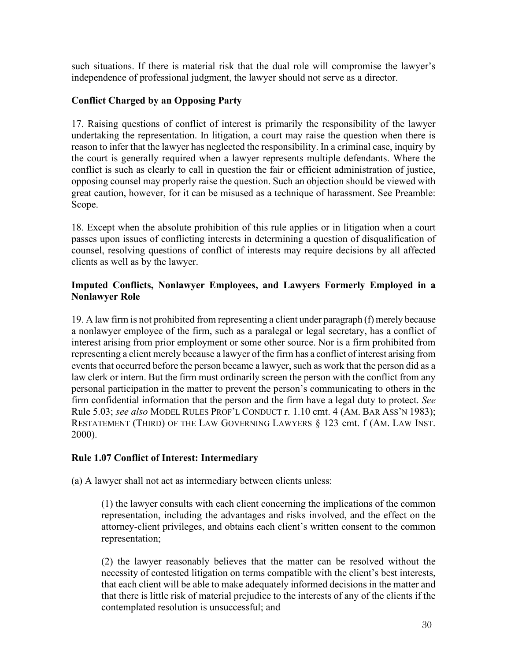such situations. If there is material risk that the dual role will compromise the lawyer's independence of professional judgment, the lawyer should not serve as a director.

#### **Conflict Charged by an Opposing Party**

17. Raising questions of conflict of interest is primarily the responsibility of the lawyer undertaking the representation. In litigation, a court may raise the question when there is reason to infer that the lawyer has neglected the responsibility. In a criminal case, inquiry by the court is generally required when a lawyer represents multiple defendants. Where the conflict is such as clearly to call in question the fair or efficient administration of justice, opposing counsel may properly raise the question. Such an objection should be viewed with great caution, however, for it can be misused as a technique of harassment. See Preamble: Scope.

18. Except when the absolute prohibition of this rule applies or in litigation when a court passes upon issues of conflicting interests in determining a question of disqualification of counsel, resolving questions of conflict of interests may require decisions by all affected clients as well as by the lawyer.

#### **Imputed Conflicts, Nonlawyer Employees, and Lawyers Formerly Employed in a Nonlawyer Role**

19. A law firm is not prohibited from representing a client under paragraph (f) merely because a nonlawyer employee of the firm, such as a paralegal or legal secretary, has a conflict of interest arising from prior employment or some other source. Nor is a firm prohibited from representing a client merely because a lawyer of the firm has a conflict of interest arising from events that occurred before the person became a lawyer, such as work that the person did as a law clerk or intern. But the firm must ordinarily screen the person with the conflict from any personal participation in the matter to prevent the person's communicating to others in the firm confidential information that the person and the firm have a legal duty to protect. *See* Rule 5.03; *see also* MODEL RULES PROF'L CONDUCT r. 1.10 cmt. 4 (AM. BAR ASS'N 1983); RESTATEMENT (THIRD) OF THE LAW GOVERNING LAWYERS § 123 cmt. f (AM. LAW INST. 2000).

#### <span id="page-29-0"></span>**Rule 1.07 Conflict of Interest: Intermediary**

(a) A lawyer shall not act as intermediary between clients unless:

(1) the lawyer consults with each client concerning the implications of the common representation, including the advantages and risks involved, and the effect on the attorney-client privileges, and obtains each client's written consent to the common representation;

(2) the lawyer reasonably believes that the matter can be resolved without the necessity of contested litigation on terms compatible with the client's best interests, that each client will be able to make adequately informed decisions in the matter and that there is little risk of material prejudice to the interests of any of the clients if the contemplated resolution is unsuccessful; and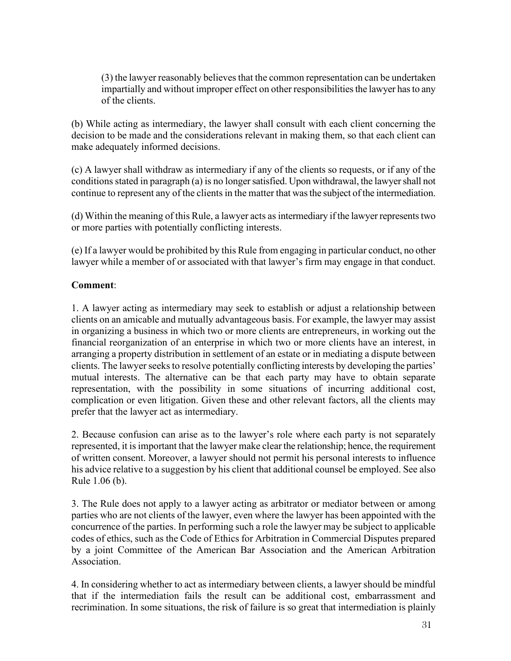(3) the lawyer reasonably believes that the common representation can be undertaken impartially and without improper effect on other responsibilities the lawyer has to any of the clients.

(b) While acting as intermediary, the lawyer shall consult with each client concerning the decision to be made and the considerations relevant in making them, so that each client can make adequately informed decisions.

(c) A lawyer shall withdraw as intermediary if any of the clients so requests, or if any of the conditions stated in paragraph (a) is no longer satisfied. Upon withdrawal, the lawyer shall not continue to represent any of the clients in the matter that was the subject of the intermediation.

(d) Within the meaning of this Rule, a lawyer acts as intermediary if the lawyer represents two or more parties with potentially conflicting interests.

(e) If a lawyer would be prohibited by this Rule from engaging in particular conduct, no other lawyer while a member of or associated with that lawyer's firm may engage in that conduct.

#### **Comment**:

1. A lawyer acting as intermediary may seek to establish or adjust a relationship between clients on an amicable and mutually advantageous basis. For example, the lawyer may assist in organizing a business in which two or more clients are entrepreneurs, in working out the financial reorganization of an enterprise in which two or more clients have an interest, in arranging a property distribution in settlement of an estate or in mediating a dispute between clients. The lawyer seeks to resolve potentially conflicting interests by developing the parties' mutual interests. The alternative can be that each party may have to obtain separate representation, with the possibility in some situations of incurring additional cost, complication or even litigation. Given these and other relevant factors, all the clients may prefer that the lawyer act as intermediary.

2. Because confusion can arise as to the lawyer's role where each party is not separately represented, it is important that the lawyer make clear the relationship; hence, the requirement of written consent. Moreover, a lawyer should not permit his personal interests to influence his advice relative to a suggestion by his client that additional counsel be employed. See also Rule 1.06 (b).

3. The Rule does not apply to a lawyer acting as arbitrator or mediator between or among parties who are not clients of the lawyer, even where the lawyer has been appointed with the concurrence of the parties. In performing such a role the lawyer may be subject to applicable codes of ethics, such as the Code of Ethics for Arbitration in Commercial Disputes prepared by a joint Committee of the American Bar Association and the American Arbitration Association.

4. In considering whether to act as intermediary between clients, a lawyer should be mindful that if the intermediation fails the result can be additional cost, embarrassment and recrimination. In some situations, the risk of failure is so great that intermediation is plainly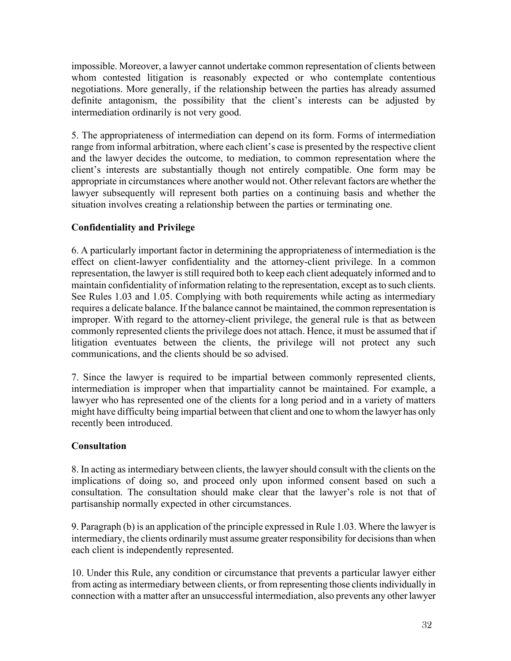impossible. Moreover, a lawyer cannot undertake common representation of clients between whom contested litigation is reasonably expected or who contemplate contentious negotiations. More generally, if the relationship between the parties has already assumed definite antagonism, the possibility that the client's interests can be adjusted by intermediation ordinarily is not very good.

5. The appropriateness of intermediation can depend on its form. Forms of intermediation range from informal arbitration, where each client's case is presented by the respective client and the lawyer decides the outcome, to mediation, to common representation where the client's interests are substantially though not entirely compatible. One form may be appropriate in circumstances where another would not. Other relevant factors are whether the lawyer subsequently will represent both parties on a continuing basis and whether the situation involves creating a relationship between the parties or terminating one.

# **Confidentiality and Privilege**

6. A particularly important factor in determining the appropriateness of intermediation is the effect on client-lawyer confidentiality and the attorney-client privilege. In a common representation, the lawyer is still required both to keep each client adequately informed and to maintain confidentiality of information relating to the representation, except as to such clients. See Rules 1.03 and 1.05. Complying with both requirements while acting as intermediary requires a delicate balance. If the balance cannot be maintained, the common representation is improper. With regard to the attorney-client privilege, the general rule is that as between commonly represented clients the privilege does not attach. Hence, it must be assumed that if litigation eventuates between the clients, the privilege will not protect any such communications, and the clients should be so advised.

7. Since the lawyer is required to be impartial between commonly represented clients, intermediation is improper when that impartiality cannot be maintained. For example, a lawyer who has represented one of the clients for a long period and in a variety of matters might have difficulty being impartial between that client and one to whom the lawyer has only recently been introduced.

#### **Consultation**

8. In acting as intermediary between clients, the lawyer should consult with the clients on the implications of doing so, and proceed only upon informed consent based on such a consultation. The consultation should make clear that the lawyer's role is not that of partisanship normally expected in other circumstances.

9. Paragraph (b) is an application of the principle expressed in Rule 1.03. Where the lawyer is intermediary, the clients ordinarily must assume greater responsibility for decisions than when each client is independently represented.

10. Under this Rule, any condition or circumstance that prevents a particular lawyer either from acting as intermediary between clients, or from representing those clients individually in connection with a matter after an unsuccessful intermediation, also prevents any other lawyer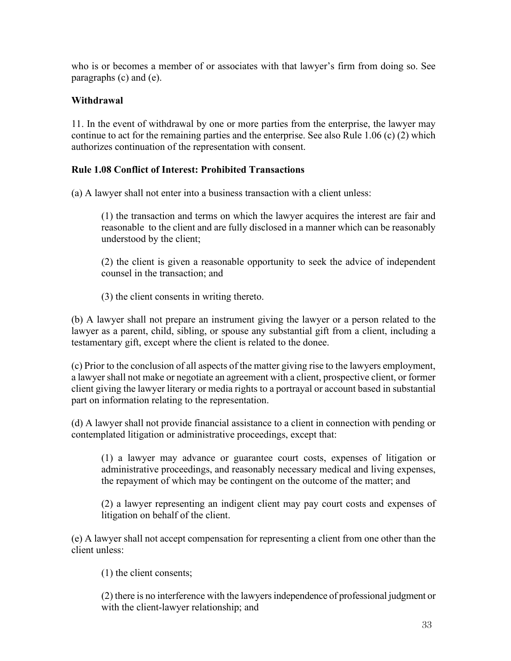who is or becomes a member of or associates with that lawyer's firm from doing so. See paragraphs (c) and (e).

## **Withdrawal**

11. In the event of withdrawal by one or more parties from the enterprise, the lawyer may continue to act for the remaining parties and the enterprise. See also Rule 1.06 (c) (2) which authorizes continuation of the representation with consent.

## <span id="page-32-0"></span>**Rule 1.08 Conflict of Interest: Prohibited Transactions**

(a) A lawyer shall not enter into a business transaction with a client unless:

(1) the transaction and terms on which the lawyer acquires the interest are fair and reasonable to the client and are fully disclosed in a manner which can be reasonably understood by the client;

(2) the client is given a reasonable opportunity to seek the advice of independent counsel in the transaction; and

(3) the client consents in writing thereto.

(b) A lawyer shall not prepare an instrument giving the lawyer or a person related to the lawyer as a parent, child, sibling, or spouse any substantial gift from a client, including a testamentary gift, except where the client is related to the donee.

(c) Prior to the conclusion of all aspects of the matter giving rise to the lawyers employment, a lawyer shall not make or negotiate an agreement with a client, prospective client, or former client giving the lawyer literary or media rights to a portrayal or account based in substantial part on information relating to the representation.

(d) A lawyer shall not provide financial assistance to a client in connection with pending or contemplated litigation or administrative proceedings, except that:

(1) a lawyer may advance or guarantee court costs, expenses of litigation or administrative proceedings, and reasonably necessary medical and living expenses, the repayment of which may be contingent on the outcome of the matter; and

(2) a lawyer representing an indigent client may pay court costs and expenses of litigation on behalf of the client.

(e) A lawyer shall not accept compensation for representing a client from one other than the client unless:

(1) the client consents;

(2) there is no interference with the lawyers independence of professional judgment or with the client-lawyer relationship; and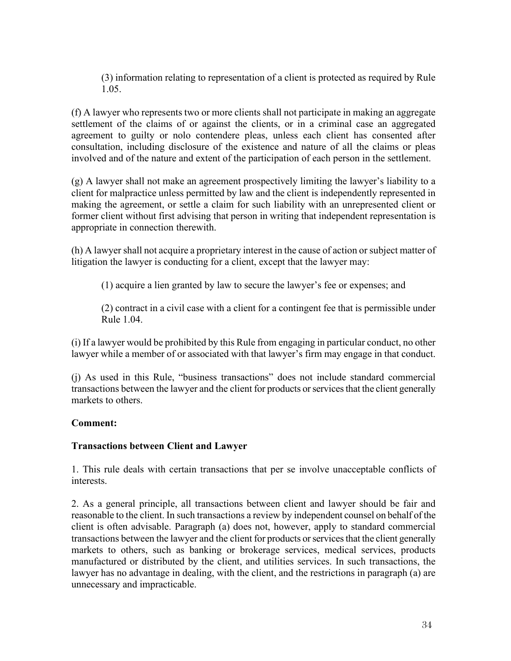(3) information relating to representation of a client is protected as required by Rule 1.05.

(f) A lawyer who represents two or more clients shall not participate in making an aggregate settlement of the claims of or against the clients, or in a criminal case an aggregated agreement to guilty or nolo contendere pleas, unless each client has consented after consultation, including disclosure of the existence and nature of all the claims or pleas involved and of the nature and extent of the participation of each person in the settlement.

(g) A lawyer shall not make an agreement prospectively limiting the lawyer's liability to a client for malpractice unless permitted by law and the client is independently represented in making the agreement, or settle a claim for such liability with an unrepresented client or former client without first advising that person in writing that independent representation is appropriate in connection therewith.

(h) A lawyer shall not acquire a proprietary interest in the cause of action or subject matter of litigation the lawyer is conducting for a client, except that the lawyer may:

(1) acquire a lien granted by law to secure the lawyer's fee or expenses; and

(2) contract in a civil case with a client for a contingent fee that is permissible under Rule 1.04.

(i) If a lawyer would be prohibited by this Rule from engaging in particular conduct, no other lawyer while a member of or associated with that lawyer's firm may engage in that conduct.

(j) As used in this Rule, "business transactions" does not include standard commercial transactions between the lawyer and the client for products or services that the client generally markets to others.

#### **Comment:**

#### **Transactions between Client and Lawyer**

1. This rule deals with certain transactions that per se involve unacceptable conflicts of interests.

2. As a general principle, all transactions between client and lawyer should be fair and reasonable to the client. In such transactions a review by independent counsel on behalf of the client is often advisable. Paragraph (a) does not, however, apply to standard commercial transactions between the lawyer and the client for products or services that the client generally markets to others, such as banking or brokerage services, medical services, products manufactured or distributed by the client, and utilities services. In such transactions, the lawyer has no advantage in dealing, with the client, and the restrictions in paragraph (a) are unnecessary and impracticable.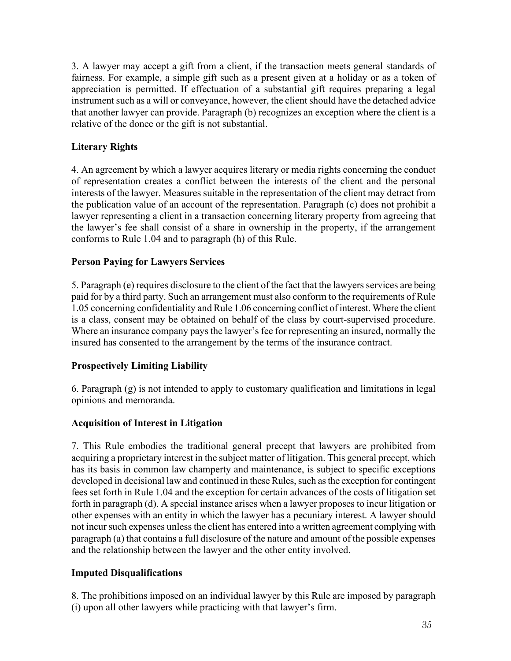3. A lawyer may accept a gift from a client, if the transaction meets general standards of fairness. For example, a simple gift such as a present given at a holiday or as a token of appreciation is permitted. If effectuation of a substantial gift requires preparing a legal instrument such as a will or conveyance, however, the client should have the detached advice that another lawyer can provide. Paragraph (b) recognizes an exception where the client is a relative of the donee or the gift is not substantial.

# **Literary Rights**

4. An agreement by which a lawyer acquires literary or media rights concerning the conduct of representation creates a conflict between the interests of the client and the personal interests of the lawyer. Measures suitable in the representation of the client may detract from the publication value of an account of the representation. Paragraph (c) does not prohibit a lawyer representing a client in a transaction concerning literary property from agreeing that the lawyer's fee shall consist of a share in ownership in the property, if the arrangement conforms to Rule 1.04 and to paragraph (h) of this Rule.

# **Person Paying for Lawyers Services**

5. Paragraph (e) requires disclosure to the client of the fact that the lawyers services are being paid for by a third party. Such an arrangement must also conform to the requirements of Rule 1.05 concerning confidentiality and Rule 1.06 concerning conflict of interest. Where the client is a class, consent may be obtained on behalf of the class by court-supervised procedure. Where an insurance company paysthe lawyer's fee for representing an insured, normally the insured has consented to the arrangement by the terms of the insurance contract.

# **Prospectively Limiting Liability**

6. Paragraph (g) is not intended to apply to customary qualification and limitations in legal opinions and memoranda.

# **Acquisition of Interest in Litigation**

7. This Rule embodies the traditional general precept that lawyers are prohibited from acquiring a proprietary interest in the subject matter of litigation. This general precept, which has its basis in common law champerty and maintenance, is subject to specific exceptions developed in decisional law and continued in these Rules, such as the exception for contingent fees set forth in Rule 1.04 and the exception for certain advances of the costs of litigation set forth in paragraph (d). A special instance arises when a lawyer proposes to incur litigation or other expenses with an entity in which the lawyer has a pecuniary interest. A lawyer should not incur such expenses unless the client has entered into a written agreement complying with paragraph (a) that contains a full disclosure of the nature and amount of the possible expenses and the relationship between the lawyer and the other entity involved.

# **Imputed Disqualifications**

8. The prohibitions imposed on an individual lawyer by this Rule are imposed by paragraph (i) upon all other lawyers while practicing with that lawyer's firm.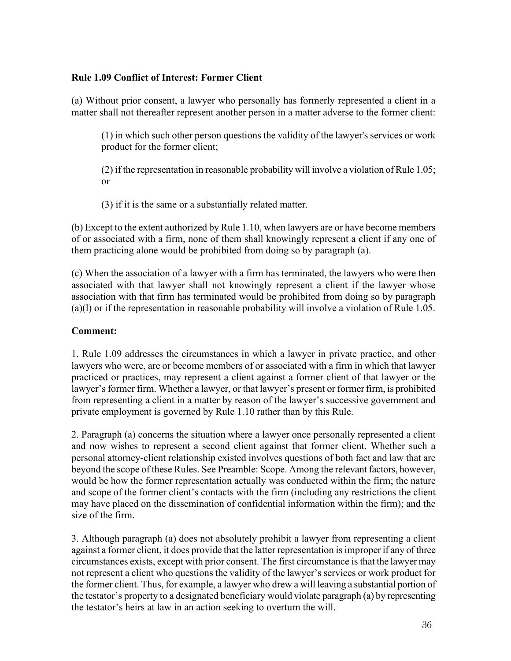#### <span id="page-35-0"></span>**Rule 1.09 Conflict of Interest: Former Client**

(a) Without prior consent, a lawyer who personally has formerly represented a client in a matter shall not thereafter represent another person in a matter adverse to the former client:

(1) in which such other person questions the validity of the lawyer's services or work product for the former client;

(2) if the representation in reasonable probability will involve a violation of Rule 1.05; or

(3) if it is the same or a substantially related matter.

(b) Except to the extent authorized by Rule 1.10, when lawyers are or have become members of or associated with a firm, none of them shall knowingly represent a client if any one of them practicing alone would be prohibited from doing so by paragraph (a).

(c) When the association of a lawyer with a firm has terminated, the lawyers who were then associated with that lawyer shall not knowingly represent a client if the lawyer whose association with that firm has terminated would be prohibited from doing so by paragraph (a)(l) or if the representation in reasonable probability will involve a violation of Rule 1.05.

#### **Comment:**

1. Rule 1.09 addresses the circumstances in which a lawyer in private practice, and other lawyers who were, are or become members of or associated with a firm in which that lawyer practiced or practices, may represent a client against a former client of that lawyer or the lawyer's former firm. Whether a lawyer, or that lawyer's present or former firm, is prohibited from representing a client in a matter by reason of the lawyer's successive government and private employment is governed by Rule 1.10 rather than by this Rule.

2. Paragraph (a) concerns the situation where a lawyer once personally represented a client and now wishes to represent a second client against that former client. Whether such a personal attorney-client relationship existed involves questions of both fact and law that are beyond the scope of these Rules. See Preamble: Scope. Among the relevant factors, however, would be how the former representation actually was conducted within the firm; the nature and scope of the former client's contacts with the firm (including any restrictions the client may have placed on the dissemination of confidential information within the firm); and the size of the firm.

3. Although paragraph (a) does not absolutely prohibit a lawyer from representing a client against a former client, it does provide that the latter representation is improper if any of three circumstances exists, except with prior consent. The first circumstance is that the lawyer may not represent a client who questions the validity of the lawyer's services or work product for the former client. Thus, for example, a lawyer who drew a will leaving a substantial portion of the testator's property to a designated beneficiary would violate paragraph (a) by representing the testator's heirs at law in an action seeking to overturn the will.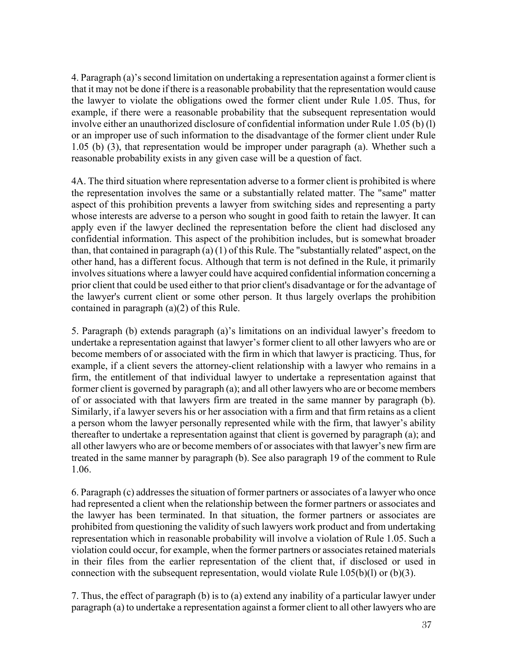4. Paragraph (a)'s second limitation on undertaking a representation against a former client is that it may not be done if there is a reasonable probability that the representation would cause the lawyer to violate the obligations owed the former client under Rule 1.05. Thus, for example, if there were a reasonable probability that the subsequent representation would involve either an unauthorized disclosure of confidential information under Rule 1.05 (b) (l) or an improper use of such information to the disadvantage of the former client under Rule 1.05 (b) (3), that representation would be improper under paragraph (a). Whether such a reasonable probability exists in any given case will be a question of fact.

4A. The third situation where representation adverse to a former client is prohibited is where the representation involves the same or a substantially related matter. The "same" matter aspect of this prohibition prevents a lawyer from switching sides and representing a party whose interests are adverse to a person who sought in good faith to retain the lawyer. It can apply even if the lawyer declined the representation before the client had disclosed any confidential information. This aspect of the prohibition includes, but is somewhat broader than, that contained in paragraph (a) (1) of this Rule. The "substantially related" aspect, on the other hand, has a different focus. Although that term is not defined in the Rule, it primarily involves situations where a lawyer could have acquired confidential information concerning a prior client that could be used either to that prior client's disadvantage or for the advantage of the lawyer's current client or some other person. It thus largely overlaps the prohibition contained in paragraph (a)(2) of this Rule.

5. Paragraph (b) extends paragraph (a)'s limitations on an individual lawyer's freedom to undertake a representation against that lawyer's former client to all other lawyers who are or become members of or associated with the firm in which that lawyer is practicing. Thus, for example, if a client severs the attorney-client relationship with a lawyer who remains in a firm, the entitlement of that individual lawyer to undertake a representation against that former client is governed by paragraph (a); and all other lawyers who are or become members of or associated with that lawyers firm are treated in the same manner by paragraph (b). Similarly, if a lawyer severs his or her association with a firm and that firm retains as a client a person whom the lawyer personally represented while with the firm, that lawyer's ability thereafter to undertake a representation against that client is governed by paragraph (a); and all other lawyers who are or become members of or associates with that lawyer's new firm are treated in the same manner by paragraph (b). See also paragraph 19 of the comment to Rule 1.06.

6. Paragraph (c) addresses the situation of former partners or associates of a lawyer who once had represented a client when the relationship between the former partners or associates and the lawyer has been terminated. In that situation, the former partners or associates are prohibited from questioning the validity of such lawyers work product and from undertaking representation which in reasonable probability will involve a violation of Rule 1.05. Such a violation could occur, for example, when the former partners or associates retained materials in their files from the earlier representation of the client that, if disclosed or used in connection with the subsequent representation, would violate Rule  $1.05(b)(1)$  or  $(b)(3)$ .

7. Thus, the effect of paragraph (b) is to (a) extend any inability of a particular lawyer under paragraph (a) to undertake a representation against a former client to all other lawyers who are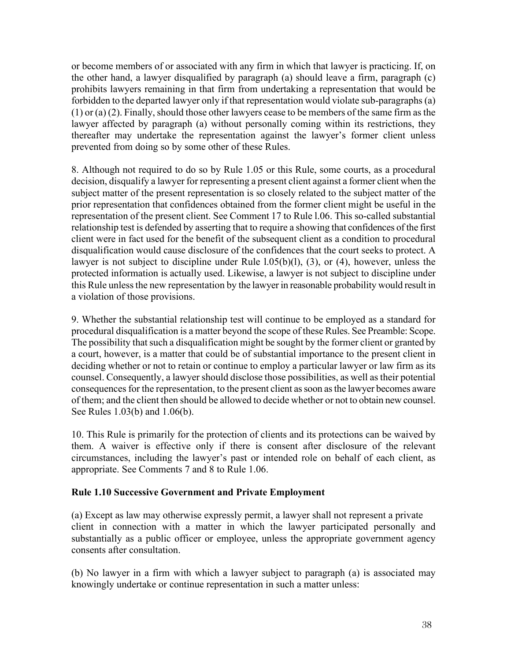or become members of or associated with any firm in which that lawyer is practicing. If, on the other hand, a lawyer disqualified by paragraph (a) should leave a firm, paragraph (c) prohibits lawyers remaining in that firm from undertaking a representation that would be forbidden to the departed lawyer only if that representation would violate sub-paragraphs (a) (1) or (a) (2). Finally, should those other lawyers cease to be members of the same firm as the lawyer affected by paragraph (a) without personally coming within its restrictions, they thereafter may undertake the representation against the lawyer's former client unless prevented from doing so by some other of these Rules.

8. Although not required to do so by Rule 1.05 or this Rule, some courts, as a procedural decision, disqualify a lawyer for representing a present client against a former client when the subject matter of the present representation is so closely related to the subject matter of the prior representation that confidences obtained from the former client might be useful in the representation of the present client. See Comment 17 to Rule l.06. This so-called substantial relationship test is defended by asserting that to require a showing that confidences of the first client were in fact used for the benefit of the subsequent client as a condition to procedural disqualification would cause disclosure of the confidences that the court seeks to protect. A lawyer is not subject to discipline under Rule l.05(b)(l), (3), or (4), however, unless the protected information is actually used. Likewise, a lawyer is not subject to discipline under this Rule unless the new representation by the lawyer in reasonable probability would result in a violation of those provisions.

9. Whether the substantial relationship test will continue to be employed as a standard for procedural disqualification is a matter beyond the scope of these Rules. See Preamble: Scope. The possibility that such a disqualification might be sought by the former client or granted by a court, however, is a matter that could be of substantial importance to the present client in deciding whether or not to retain or continue to employ a particular lawyer or law firm as its counsel. Consequently, a lawyer should disclose those possibilities, as well as their potential consequences for the representation, to the present client as soon as the lawyer becomes aware of them; and the client then should be allowed to decide whether or not to obtain new counsel. See Rules 1.03(b) and 1.06(b).

10. This Rule is primarily for the protection of clients and its protections can be waived by them. A waiver is effective only if there is consent after disclosure of the relevant circumstances, including the lawyer's past or intended role on behalf of each client, as appropriate. See Comments 7 and 8 to Rule 1.06.

#### **Rule 1.10 Successive Government and Private Employment**

(a) Except as law may otherwise expressly permit, a lawyer shall not represent a private client in connection with a matter in which the lawyer participated personally and substantially as a public officer or employee, unless the appropriate government agency consents after consultation.

(b) No lawyer in a firm with which a lawyer subject to paragraph (a) is associated may knowingly undertake or continue representation in such a matter unless: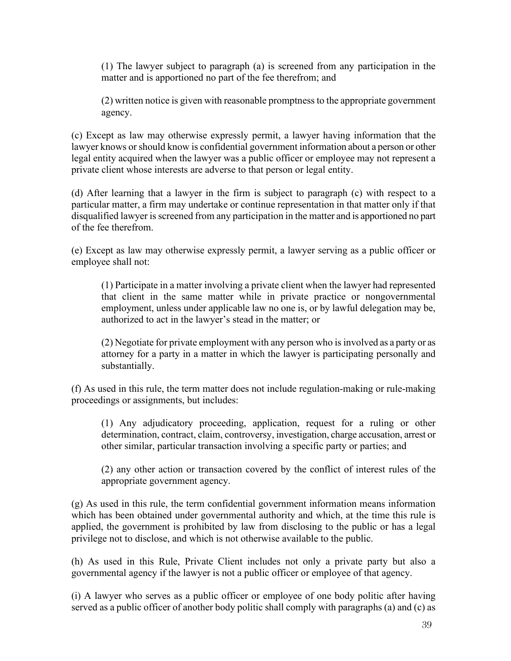(1) The lawyer subject to paragraph (a) is screened from any participation in the matter and is apportioned no part of the fee therefrom; and

(2) written notice is given with reasonable promptness to the appropriate government agency.

(c) Except as law may otherwise expressly permit, a lawyer having information that the lawyer knows or should know is confidential government information about a person or other legal entity acquired when the lawyer was a public officer or employee may not represent a private client whose interests are adverse to that person or legal entity.

(d) After learning that a lawyer in the firm is subject to paragraph (c) with respect to a particular matter, a firm may undertake or continue representation in that matter only if that disqualified lawyer is screened from any participation in the matter and is apportioned no part of the fee therefrom.

(e) Except as law may otherwise expressly permit, a lawyer serving as a public officer or employee shall not:

(1) Participate in a matter involving a private client when the lawyer had represented that client in the same matter while in private practice or nongovernmental employment, unless under applicable law no one is, or by lawful delegation may be, authorized to act in the lawyer's stead in the matter; or

(2) Negotiate for private employment with any person who is involved as a party or as attorney for a party in a matter in which the lawyer is participating personally and substantially.

(f) As used in this rule, the term matter does not include regulation-making or rule-making proceedings or assignments, but includes:

(1) Any adjudicatory proceeding, application, request for a ruling or other determination, contract, claim, controversy, investigation, charge accusation, arrest or other similar, particular transaction involving a specific party or parties; and

(2) any other action or transaction covered by the conflict of interest rules of the appropriate government agency.

(g) As used in this rule, the term confidential government information means information which has been obtained under governmental authority and which, at the time this rule is applied, the government is prohibited by law from disclosing to the public or has a legal privilege not to disclose, and which is not otherwise available to the public.

(h) As used in this Rule, Private Client includes not only a private party but also a governmental agency if the lawyer is not a public officer or employee of that agency.

(i) A lawyer who serves as a public officer or employee of one body politic after having served as a public officer of another body politic shall comply with paragraphs (a) and (c) as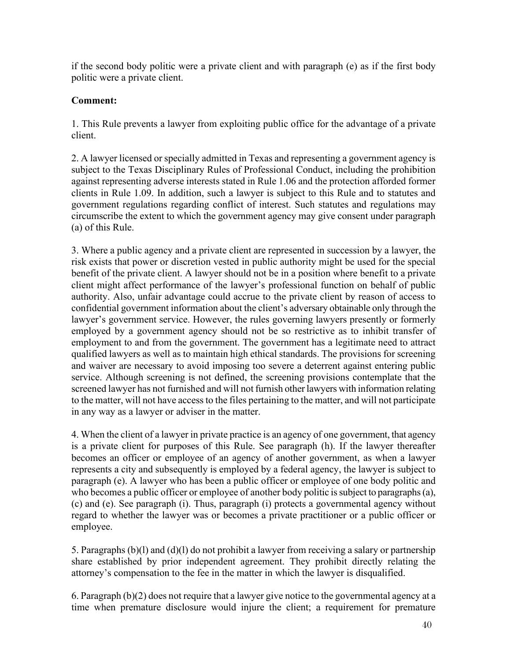if the second body politic were a private client and with paragraph (e) as if the first body politic were a private client.

## **Comment:**

1. This Rule prevents a lawyer from exploiting public office for the advantage of a private client.

2. A lawyer licensed or specially admitted in Texas and representing a government agency is subject to the Texas Disciplinary Rules of Professional Conduct, including the prohibition against representing adverse interests stated in Rule 1.06 and the protection afforded former clients in Rule 1.09. In addition, such a lawyer is subject to this Rule and to statutes and government regulations regarding conflict of interest. Such statutes and regulations may circumscribe the extent to which the government agency may give consent under paragraph (a) of this Rule.

3. Where a public agency and a private client are represented in succession by a lawyer, the risk exists that power or discretion vested in public authority might be used for the special benefit of the private client. A lawyer should not be in a position where benefit to a private client might affect performance of the lawyer's professional function on behalf of public authority. Also, unfair advantage could accrue to the private client by reason of access to confidential government information about the client's adversary obtainable only through the lawyer's government service. However, the rules governing lawyers presently or formerly employed by a government agency should not be so restrictive as to inhibit transfer of employment to and from the government. The government has a legitimate need to attract qualified lawyers as well as to maintain high ethical standards. The provisions for screening and waiver are necessary to avoid imposing too severe a deterrent against entering public service. Although screening is not defined, the screening provisions contemplate that the screened lawyer has not furnished and will not furnish other lawyers with information relating to the matter, will not have access to the files pertaining to the matter, and will not participate in any way as a lawyer or adviser in the matter.

4. When the client of a lawyer in private practice is an agency of one government, that agency is a private client for purposes of this Rule. See paragraph (h). If the lawyer thereafter becomes an officer or employee of an agency of another government, as when a lawyer represents a city and subsequently is employed by a federal agency, the lawyer is subject to paragraph (e). A lawyer who has been a public officer or employee of one body politic and who becomes a public officer or employee of another body politic is subject to paragraphs (a), (c) and (e). See paragraph (i). Thus, paragraph (i) protects a governmental agency without regard to whether the lawyer was or becomes a private practitioner or a public officer or employee.

5. Paragraphs (b)(l) and (d)(l) do not prohibit a lawyer from receiving a salary or partnership share established by prior independent agreement. They prohibit directly relating the attorney's compensation to the fee in the matter in which the lawyer is disqualified.

6. Paragraph (b)(2) does not require that a lawyer give notice to the governmental agency at a time when premature disclosure would injure the client; a requirement for premature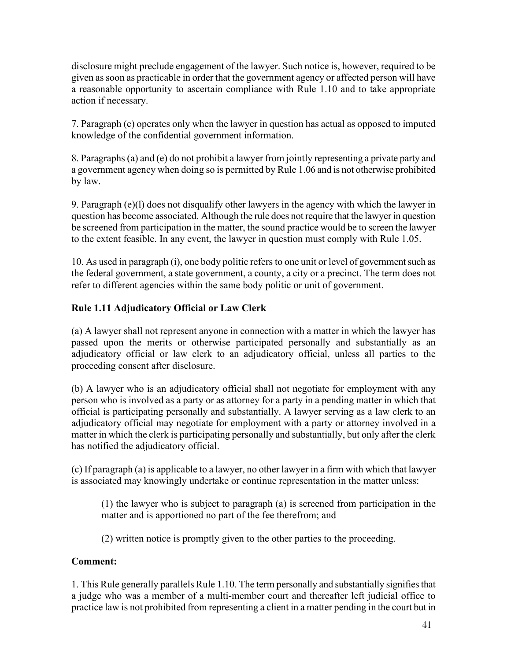disclosure might preclude engagement of the lawyer. Such notice is, however, required to be given as soon as practicable in order that the government agency or affected person will have a reasonable opportunity to ascertain compliance with Rule 1.10 and to take appropriate action if necessary.

7. Paragraph (c) operates only when the lawyer in question has actual as opposed to imputed knowledge of the confidential government information.

8. Paragraphs (a) and (e) do not prohibit a lawyer from jointly representing a private party and a government agency when doing so is permitted by Rule 1.06 and is not otherwise prohibited by law.

9. Paragraph (e)(l) does not disqualify other lawyers in the agency with which the lawyer in question has become associated. Although the rule does not require that the lawyer in question be screened from participation in the matter, the sound practice would be to screen the lawyer to the extent feasible. In any event, the lawyer in question must comply with Rule 1.05.

10. As used in paragraph (i), one body politic refers to one unit or level of government such as the federal government, a state government, a county, a city or a precinct. The term does not refer to different agencies within the same body politic or unit of government.

# **Rule 1.11 Adjudicatory Official or Law Clerk**

(a) A lawyer shall not represent anyone in connection with a matter in which the lawyer has passed upon the merits or otherwise participated personally and substantially as an adjudicatory official or law clerk to an adjudicatory official, unless all parties to the proceeding consent after disclosure.

(b) A lawyer who is an adjudicatory official shall not negotiate for employment with any person who is involved as a party or as attorney for a party in a pending matter in which that official is participating personally and substantially. A lawyer serving as a law clerk to an adjudicatory official may negotiate for employment with a party or attorney involved in a matter in which the clerk is participating personally and substantially, but only after the clerk has notified the adjudicatory official.

(c) If paragraph (a) is applicable to a lawyer, no other lawyer in a firm with which that lawyer is associated may knowingly undertake or continue representation in the matter unless:

(1) the lawyer who is subject to paragraph (a) is screened from participation in the matter and is apportioned no part of the fee therefrom; and

(2) written notice is promptly given to the other parties to the proceeding.

# **Comment:**

1. This Rule generally parallels Rule 1.10. The term personally and substantially signifies that a judge who was a member of a multi-member court and thereafter left judicial office to practice law is not prohibited from representing a client in a matter pending in the court but in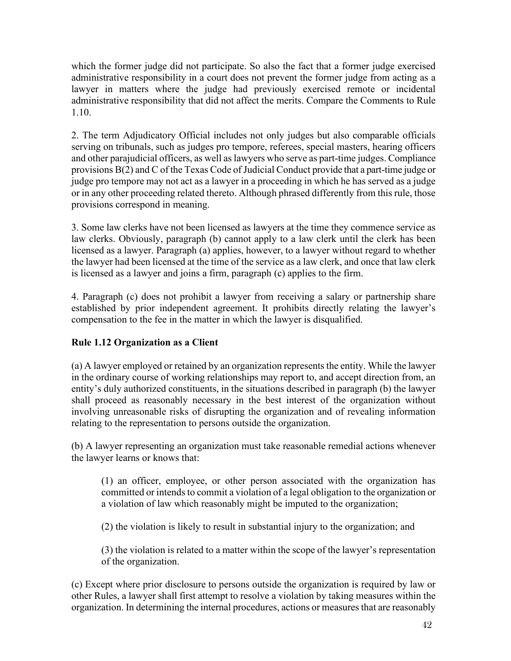which the former judge did not participate. So also the fact that a former judge exercised administrative responsibility in a court does not prevent the former judge from acting as a lawyer in matters where the judge had previously exercised remote or incidental administrative responsibility that did not affect the merits. Compare the Comments to Rule 1.10.

2. The term Adjudicatory Official includes not only judges but also comparable officials serving on tribunals, such as judges pro tempore, referees, special masters, hearing officers and other parajudicial officers, as well as lawyers who serve as part-time judges. Compliance provisions B(2) and C of the Texas Code of Judicial Conduct provide that a part-time judge or judge pro tempore may not act as a lawyer in a proceeding in which he has served as a judge or in any other proceeding related thereto. Although phrased differently from this rule, those provisions correspond in meaning.

3. Some law clerks have not been licensed as lawyers at the time they commence service as law clerks. Obviously, paragraph (b) cannot apply to a law clerk until the clerk has been licensed as a lawyer. Paragraph (a) applies, however, to a lawyer without regard to whether the lawyer had been licensed at the time of the service as a law clerk, and once that law clerk is licensed as a lawyer and joins a firm, paragraph (c) applies to the firm.

4. Paragraph (c) does not prohibit a lawyer from receiving a salary or partnership share established by prior independent agreement. It prohibits directly relating the lawyer's compensation to the fee in the matter in which the lawyer is disqualified.

# **Rule 1.12 Organization as a Client**

(a) A lawyer employed or retained by an organization represents the entity. While the lawyer in the ordinary course of working relationships may report to, and accept direction from, an entity's duly authorized constituents, in the situations described in paragraph (b) the lawyer shall proceed as reasonably necessary in the best interest of the organization without involving unreasonable risks of disrupting the organization and of revealing information relating to the representation to persons outside the organization.

(b) A lawyer representing an organization must take reasonable remedial actions whenever the lawyer learns or knows that:

(1) an officer, employee, or other person associated with the organization has committed or intends to commit a violation of a legal obligation to the organization or a violation of law which reasonably might be imputed to the organization;

(2) the violation is likely to result in substantial injury to the organization; and

(3) the violation is related to a matter within the scope of the lawyer's representation of the organization.

(c) Except where prior disclosure to persons outside the organization is required by law or other Rules, a lawyer shall first attempt to resolve a violation by taking measures within the organization. In determining the internal procedures, actions or measures that are reasonably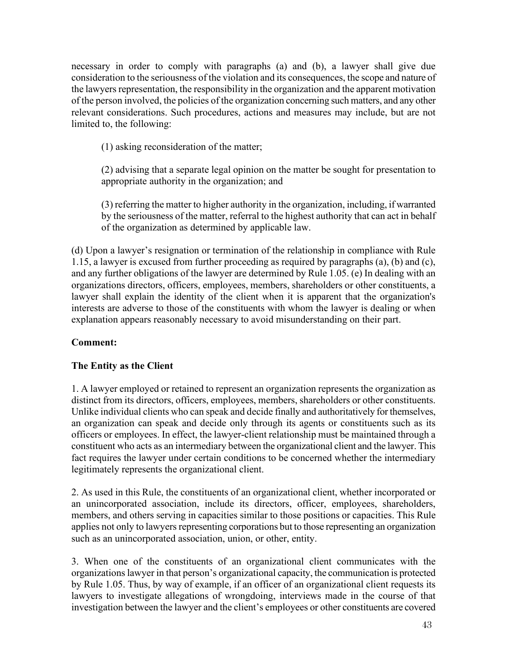necessary in order to comply with paragraphs (a) and (b), a lawyer shall give due consideration to the seriousness of the violation and its consequences, the scope and nature of the lawyers representation, the responsibility in the organization and the apparent motivation of the person involved, the policies of the organization concerning such matters, and any other relevant considerations. Such procedures, actions and measures may include, but are not limited to, the following:

(1) asking reconsideration of the matter;

(2) advising that a separate legal opinion on the matter be sought for presentation to appropriate authority in the organization; and

(3) referring the matter to higher authority in the organization, including, if warranted by the seriousness of the matter, referral to the highest authority that can act in behalf of the organization as determined by applicable law.

(d) Upon a lawyer's resignation or termination of the relationship in compliance with Rule 1.15, a lawyer is excused from further proceeding as required by paragraphs (a), (b) and (c), and any further obligations of the lawyer are determined by Rule 1.05. (e) In dealing with an organizations directors, officers, employees, members, shareholders or other constituents, a lawyer shall explain the identity of the client when it is apparent that the organization's interests are adverse to those of the constituents with whom the lawyer is dealing or when explanation appears reasonably necessary to avoid misunderstanding on their part.

## **Comment:**

## **The Entity as the Client**

1. A lawyer employed or retained to represent an organization represents the organization as distinct from its directors, officers, employees, members, shareholders or other constituents. Unlike individual clients who can speak and decide finally and authoritatively for themselves, an organization can speak and decide only through its agents or constituents such as its officers or employees. In effect, the lawyer-client relationship must be maintained through a constituent who acts as an intermediary between the organizational client and the lawyer. This fact requires the lawyer under certain conditions to be concerned whether the intermediary legitimately represents the organizational client.

2. As used in this Rule, the constituents of an organizational client, whether incorporated or an unincorporated association, include its directors, officer, employees, shareholders, members, and others serving in capacities similar to those positions or capacities. This Rule applies not only to lawyers representing corporations but to those representing an organization such as an unincorporated association, union, or other, entity.

3. When one of the constituents of an organizational client communicates with the organizations lawyer in that person's organizational capacity, the communication is protected by Rule 1.05. Thus, by way of example, if an officer of an organizational client requests its lawyers to investigate allegations of wrongdoing, interviews made in the course of that investigation between the lawyer and the client's employees or other constituents are covered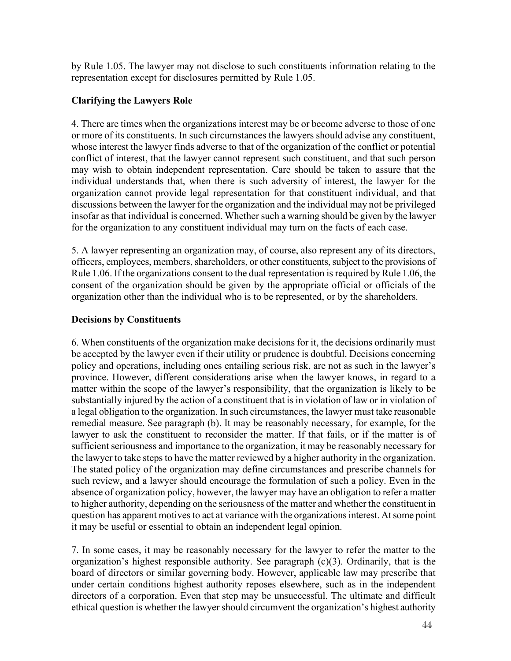by Rule 1.05. The lawyer may not disclose to such constituents information relating to the representation except for disclosures permitted by Rule 1.05.

## **Clarifying the Lawyers Role**

4. There are times when the organizations interest may be or become adverse to those of one or more of its constituents. In such circumstances the lawyers should advise any constituent, whose interest the lawyer finds adverse to that of the organization of the conflict or potential conflict of interest, that the lawyer cannot represent such constituent, and that such person may wish to obtain independent representation. Care should be taken to assure that the individual understands that, when there is such adversity of interest, the lawyer for the organization cannot provide legal representation for that constituent individual, and that discussions between the lawyer for the organization and the individual may not be privileged insofar as that individual is concerned. Whether such a warning should be given by the lawyer for the organization to any constituent individual may turn on the facts of each case.

5. A lawyer representing an organization may, of course, also represent any of its directors, officers, employees, members, shareholders, or other constituents, subject to the provisions of Rule 1.06. If the organizations consent to the dual representation is required by Rule 1.06, the consent of the organization should be given by the appropriate official or officials of the organization other than the individual who is to be represented, or by the shareholders.

## **Decisions by Constituents**

6. When constituents of the organization make decisions for it, the decisions ordinarily must be accepted by the lawyer even if their utility or prudence is doubtful. Decisions concerning policy and operations, including ones entailing serious risk, are not as such in the lawyer's province. However, different considerations arise when the lawyer knows, in regard to a matter within the scope of the lawyer's responsibility, that the organization is likely to be substantially injured by the action of a constituent that is in violation of law or in violation of a legal obligation to the organization. In such circumstances, the lawyer must take reasonable remedial measure. See paragraph (b). It may be reasonably necessary, for example, for the lawyer to ask the constituent to reconsider the matter. If that fails, or if the matter is of sufficient seriousness and importance to the organization, it may be reasonably necessary for the lawyer to take steps to have the matter reviewed by a higher authority in the organization. The stated policy of the organization may define circumstances and prescribe channels for such review, and a lawyer should encourage the formulation of such a policy. Even in the absence of organization policy, however, the lawyer may have an obligation to refer a matter to higher authority, depending on the seriousness of the matter and whether the constituent in question has apparent motives to act at variance with the organizations interest. At some point it may be useful or essential to obtain an independent legal opinion.

7. In some cases, it may be reasonably necessary for the lawyer to refer the matter to the organization's highest responsible authority. See paragraph (c)(3). Ordinarily, that is the board of directors or similar governing body. However, applicable law may prescribe that under certain conditions highest authority reposes elsewhere, such as in the independent directors of a corporation. Even that step may be unsuccessful. The ultimate and difficult ethical question is whether the lawyer should circumvent the organization's highest authority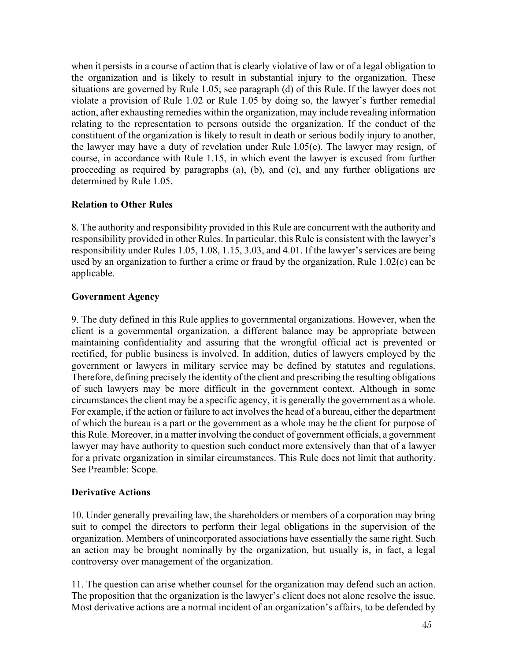when it persists in a course of action that is clearly violative of law or of a legal obligation to the organization and is likely to result in substantial injury to the organization. These situations are governed by Rule 1.05; see paragraph (d) of this Rule. If the lawyer does not violate a provision of Rule 1.02 or Rule 1.05 by doing so, the lawyer's further remedial action, after exhausting remedies within the organization, may include revealing information relating to the representation to persons outside the organization. If the conduct of the constituent of the organization is likely to result in death or serious bodily injury to another, the lawyer may have a duty of revelation under Rule l.05(e). The lawyer may resign, of course, in accordance with Rule 1.15, in which event the lawyer is excused from further proceeding as required by paragraphs (a), (b), and (c), and any further obligations are determined by Rule 1.05.

### **Relation to Other Rules**

8. The authority and responsibility provided in this Rule are concurrent with the authority and responsibility provided in other Rules. In particular, this Rule is consistent with the lawyer's responsibility under Rules 1.05, 1.08, 1.15, 3.03, and 4.01. If the lawyer's services are being used by an organization to further a crime or fraud by the organization, Rule 1.02(c) can be applicable.

### **Government Agency**

9. The duty defined in this Rule applies to governmental organizations. However, when the client is a governmental organization, a different balance may be appropriate between maintaining confidentiality and assuring that the wrongful official act is prevented or rectified, for public business is involved. In addition, duties of lawyers employed by the government or lawyers in military service may be defined by statutes and regulations. Therefore, defining precisely the identity of the client and prescribing the resulting obligations of such lawyers may be more difficult in the government context. Although in some circumstances the client may be a specific agency, it is generally the government as a whole. For example, if the action or failure to act involves the head of a bureau, either the department of which the bureau is a part or the government as a whole may be the client for purpose of this Rule. Moreover, in a matter involving the conduct of government officials, a government lawyer may have authority to question such conduct more extensively than that of a lawyer for a private organization in similar circumstances. This Rule does not limit that authority. See Preamble: Scope.

#### **Derivative Actions**

10. Under generally prevailing law, the shareholders or members of a corporation may bring suit to compel the directors to perform their legal obligations in the supervision of the organization. Members of unincorporated associations have essentially the same right. Such an action may be brought nominally by the organization, but usually is, in fact, a legal controversy over management of the organization.

11. The question can arise whether counsel for the organization may defend such an action. The proposition that the organization is the lawyer's client does not alone resolve the issue. Most derivative actions are a normal incident of an organization's affairs, to be defended by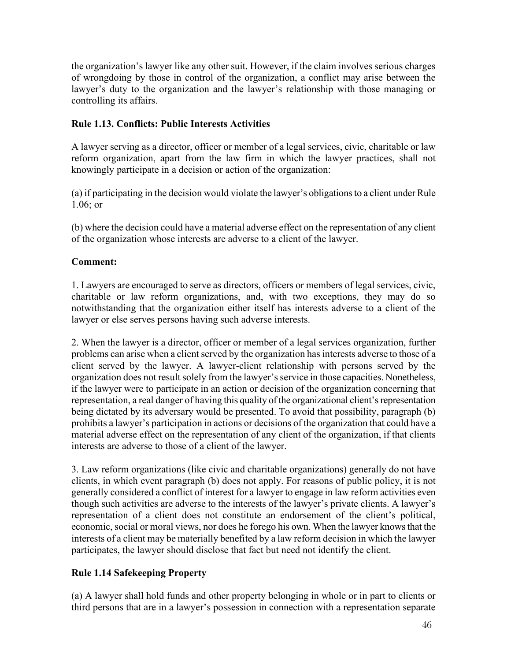the organization's lawyer like any other suit. However, if the claim involves serious charges of wrongdoing by those in control of the organization, a conflict may arise between the lawyer's duty to the organization and the lawyer's relationship with those managing or controlling its affairs.

# **Rule 1.13. Conflicts: Public Interests Activities**

A lawyer serving as a director, officer or member of a legal services, civic, charitable or law reform organization, apart from the law firm in which the lawyer practices, shall not knowingly participate in a decision or action of the organization:

(a) if participating in the decision would violate the lawyer's obligations to a client under Rule 1.06; or

(b) where the decision could have a material adverse effect on the representation of any client of the organization whose interests are adverse to a client of the lawyer.

## **Comment:**

1. Lawyers are encouraged to serve as directors, officers or members of legal services, civic, charitable or law reform organizations, and, with two exceptions, they may do so notwithstanding that the organization either itself has interests adverse to a client of the lawyer or else serves persons having such adverse interests.

2. When the lawyer is a director, officer or member of a legal services organization, further problems can arise when a client served by the organization has interests adverse to those of a client served by the lawyer. A lawyer-client relationship with persons served by the organization does not result solely from the lawyer's service in those capacities. Nonetheless, if the lawyer were to participate in an action or decision of the organization concerning that representation, a real danger of having this quality of the organizational client's representation being dictated by its adversary would be presented. To avoid that possibility, paragraph (b) prohibits a lawyer's participation in actions or decisions of the organization that could have a material adverse effect on the representation of any client of the organization, if that clients interests are adverse to those of a client of the lawyer.

3. Law reform organizations (like civic and charitable organizations) generally do not have clients, in which event paragraph (b) does not apply. For reasons of public policy, it is not generally considered a conflict of interest for a lawyer to engage in law reform activities even though such activities are adverse to the interests of the lawyer's private clients. A lawyer's representation of a client does not constitute an endorsement of the client's political, economic, social or moral views, nor does he forego his own. When the lawyer knows that the interests of a client may be materially benefited by a law reform decision in which the lawyer participates, the lawyer should disclose that fact but need not identify the client.

# **Rule 1.14 Safekeeping Property**

(a) A lawyer shall hold funds and other property belonging in whole or in part to clients or third persons that are in a lawyer's possession in connection with a representation separate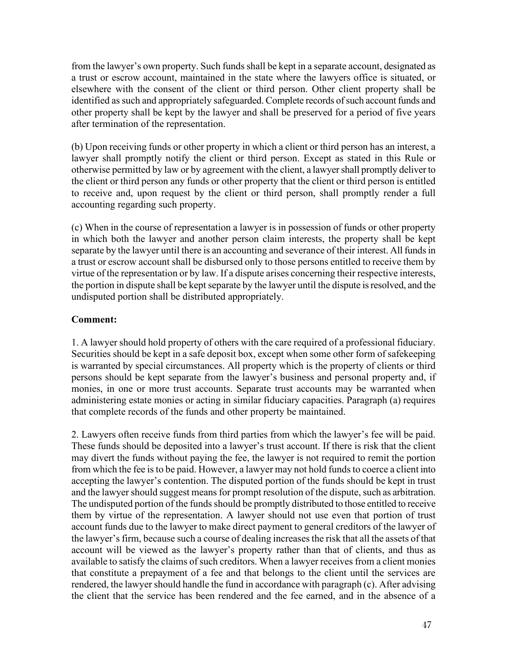from the lawyer's own property. Such funds shall be kept in a separate account, designated as a trust or escrow account, maintained in the state where the lawyers office is situated, or elsewhere with the consent of the client or third person. Other client property shall be identified as such and appropriately safeguarded. Complete records of such account funds and other property shall be kept by the lawyer and shall be preserved for a period of five years after termination of the representation.

(b) Upon receiving funds or other property in which a client or third person has an interest, a lawyer shall promptly notify the client or third person. Except as stated in this Rule or otherwise permitted by law or by agreement with the client, a lawyer shall promptly deliver to the client or third person any funds or other property that the client or third person is entitled to receive and, upon request by the client or third person, shall promptly render a full accounting regarding such property.

(c) When in the course of representation a lawyer is in possession of funds or other property in which both the lawyer and another person claim interests, the property shall be kept separate by the lawyer until there is an accounting and severance of their interest. All funds in a trust or escrow account shall be disbursed only to those persons entitled to receive them by virtue of the representation or by law. If a dispute arises concerning their respective interests, the portion in dispute shall be kept separate by the lawyer until the dispute is resolved, and the undisputed portion shall be distributed appropriately.

### **Comment:**

1. A lawyer should hold property of others with the care required of a professional fiduciary. Securities should be kept in a safe deposit box, except when some other form of safekeeping is warranted by special circumstances. All property which is the property of clients or third persons should be kept separate from the lawyer's business and personal property and, if monies, in one or more trust accounts. Separate trust accounts may be warranted when administering estate monies or acting in similar fiduciary capacities. Paragraph (a) requires that complete records of the funds and other property be maintained.

2. Lawyers often receive funds from third parties from which the lawyer's fee will be paid. These funds should be deposited into a lawyer's trust account. If there is risk that the client may divert the funds without paying the fee, the lawyer is not required to remit the portion from which the fee is to be paid. However, a lawyer may not hold funds to coerce a client into accepting the lawyer's contention. The disputed portion of the funds should be kept in trust and the lawyer should suggest means for prompt resolution of the dispute, such as arbitration. The undisputed portion of the funds should be promptly distributed to those entitled to receive them by virtue of the representation. A lawyer should not use even that portion of trust account funds due to the lawyer to make direct payment to general creditors of the lawyer of the lawyer's firm, because such a course of dealing increases the risk that all the assets of that account will be viewed as the lawyer's property rather than that of clients, and thus as available to satisfy the claims of such creditors. When a lawyer receives from a client monies that constitute a prepayment of a fee and that belongs to the client until the services are rendered, the lawyer should handle the fund in accordance with paragraph (c). After advising the client that the service has been rendered and the fee earned, and in the absence of a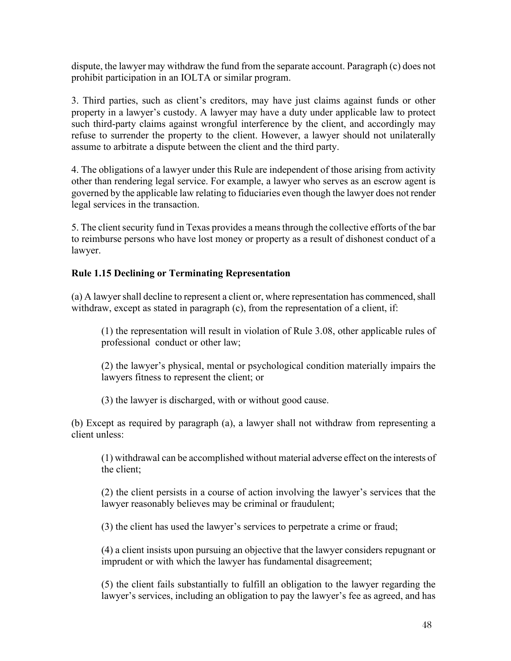dispute, the lawyer may withdraw the fund from the separate account. Paragraph (c) does not prohibit participation in an IOLTA or similar program.

3. Third parties, such as client's creditors, may have just claims against funds or other property in a lawyer's custody. A lawyer may have a duty under applicable law to protect such third-party claims against wrongful interference by the client, and accordingly may refuse to surrender the property to the client. However, a lawyer should not unilaterally assume to arbitrate a dispute between the client and the third party.

4. The obligations of a lawyer under this Rule are independent of those arising from activity other than rendering legal service. For example, a lawyer who serves as an escrow agent is governed by the applicable law relating to fiduciaries even though the lawyer does not render legal services in the transaction.

5. The client security fund in Texas provides a means through the collective efforts of the bar to reimburse persons who have lost money or property as a result of dishonest conduct of a lawyer.

## **Rule 1.15 Declining or Terminating Representation**

(a) A lawyer shall decline to represent a client or, where representation has commenced, shall withdraw, except as stated in paragraph (c), from the representation of a client, if:

(1) the representation will result in violation of Rule 3.08, other applicable rules of professional conduct or other law;

(2) the lawyer's physical, mental or psychological condition materially impairs the lawyers fitness to represent the client; or

(3) the lawyer is discharged, with or without good cause.

(b) Except as required by paragraph (a), a lawyer shall not withdraw from representing a client unless:

(1) withdrawal can be accomplished without material adverse effect on the interests of the client;

(2) the client persists in a course of action involving the lawyer's services that the lawyer reasonably believes may be criminal or fraudulent;

(3) the client has used the lawyer's services to perpetrate a crime or fraud;

(4) a client insists upon pursuing an objective that the lawyer considers repugnant or imprudent or with which the lawyer has fundamental disagreement;

(5) the client fails substantially to fulfill an obligation to the lawyer regarding the lawyer's services, including an obligation to pay the lawyer's fee as agreed, and has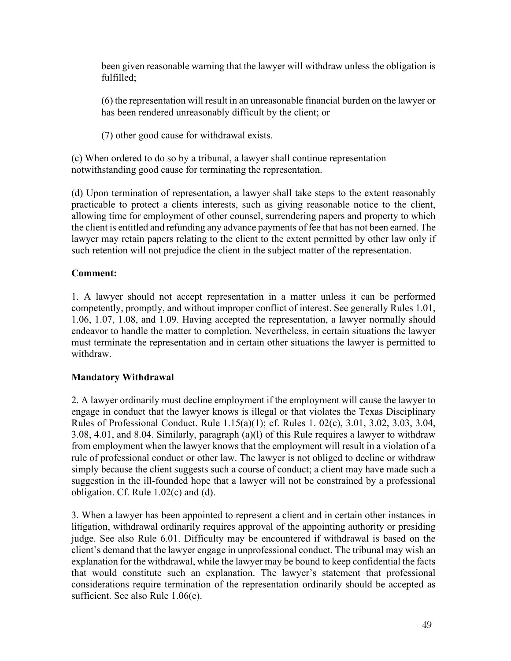been given reasonable warning that the lawyer will withdraw unless the obligation is fulfilled;

(6) the representation will result in an unreasonable financial burden on the lawyer or has been rendered unreasonably difficult by the client; or

(7) other good cause for withdrawal exists.

(c) When ordered to do so by a tribunal, a lawyer shall continue representation notwithstanding good cause for terminating the representation.

(d) Upon termination of representation, a lawyer shall take steps to the extent reasonably practicable to protect a clients interests, such as giving reasonable notice to the client, allowing time for employment of other counsel, surrendering papers and property to which the client is entitled and refunding any advance payments of fee that has not been earned. The lawyer may retain papers relating to the client to the extent permitted by other law only if such retention will not prejudice the client in the subject matter of the representation.

## **Comment:**

1. A lawyer should not accept representation in a matter unless it can be performed competently, promptly, and without improper conflict of interest. See generally Rules 1.01, 1.06, 1.07, 1.08, and 1.09. Having accepted the representation, a lawyer normally should endeavor to handle the matter to completion. Nevertheless, in certain situations the lawyer must terminate the representation and in certain other situations the lawyer is permitted to withdraw.

# **Mandatory Withdrawal**

2. A lawyer ordinarily must decline employment if the employment will cause the lawyer to engage in conduct that the lawyer knows is illegal or that violates the Texas Disciplinary Rules of Professional Conduct. Rule 1.15(a)(1); cf. Rules 1. 02(c), 3.01, 3.02, 3.03, 3.04, 3.08, 4.01, and 8.04. Similarly, paragraph (a)(l) of this Rule requires a lawyer to withdraw from employment when the lawyer knows that the employment will result in a violation of a rule of professional conduct or other law. The lawyer is not obliged to decline or withdraw simply because the client suggests such a course of conduct; a client may have made such a suggestion in the ill-founded hope that a lawyer will not be constrained by a professional obligation. Cf. Rule 1.02(c) and (d).

3. When a lawyer has been appointed to represent a client and in certain other instances in litigation, withdrawal ordinarily requires approval of the appointing authority or presiding judge. See also Rule 6.01. Difficulty may be encountered if withdrawal is based on the client's demand that the lawyer engage in unprofessional conduct. The tribunal may wish an explanation for the withdrawal, while the lawyer may be bound to keep confidential the facts that would constitute such an explanation. The lawyer's statement that professional considerations require termination of the representation ordinarily should be accepted as sufficient. See also Rule 1.06(e).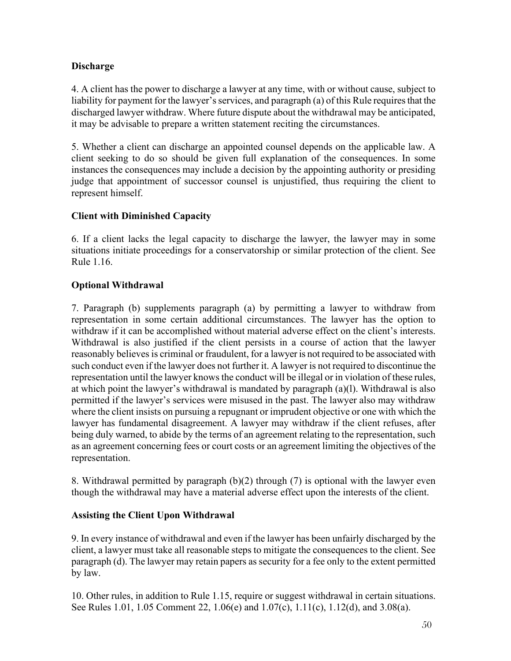## **Discharge**

4. A client has the power to discharge a lawyer at any time, with or without cause, subject to liability for payment for the lawyer's services, and paragraph (a) of this Rule requires that the discharged lawyer withdraw. Where future dispute about the withdrawal may be anticipated, it may be advisable to prepare a written statement reciting the circumstances.

5. Whether a client can discharge an appointed counsel depends on the applicable law. A client seeking to do so should be given full explanation of the consequences. In some instances the consequences may include a decision by the appointing authority or presiding judge that appointment of successor counsel is unjustified, thus requiring the client to represent himself.

## **Client with Diminished Capacity**

6. If a client lacks the legal capacity to discharge the lawyer, the lawyer may in some situations initiate proceedings for a conservatorship or similar protection of the client. See Rule 1.16.

# **Optional Withdrawal**

7. Paragraph (b) supplements paragraph (a) by permitting a lawyer to withdraw from representation in some certain additional circumstances. The lawyer has the option to withdraw if it can be accomplished without material adverse effect on the client's interests. Withdrawal is also justified if the client persists in a course of action that the lawyer reasonably believes is criminal or fraudulent, for a lawyer is not required to be associated with such conduct even if the lawyer does not further it. A lawyer is not required to discontinue the representation until the lawyer knows the conduct will be illegal or in violation of these rules, at which point the lawyer's withdrawal is mandated by paragraph (a)(l). Withdrawal is also permitted if the lawyer's services were misused in the past. The lawyer also may withdraw where the client insists on pursuing a repugnant or imprudent objective or one with which the lawyer has fundamental disagreement. A lawyer may withdraw if the client refuses, after being duly warned, to abide by the terms of an agreement relating to the representation, such as an agreement concerning fees or court costs or an agreement limiting the objectives of the representation.

8. Withdrawal permitted by paragraph (b)(2) through (7) is optional with the lawyer even though the withdrawal may have a material adverse effect upon the interests of the client.

## **Assisting the Client Upon Withdrawal**

9. In every instance of withdrawal and even if the lawyer has been unfairly discharged by the client, a lawyer must take all reasonable steps to mitigate the consequences to the client. See paragraph (d). The lawyer may retain papers as security for a fee only to the extent permitted by law.

10. Other rules, in addition to Rule 1.15, require or suggest withdrawal in certain situations. See Rules 1.01, 1.05 Comment 22, 1.06(e) and 1.07(c), 1.11(c), 1.12(d), and 3.08(a).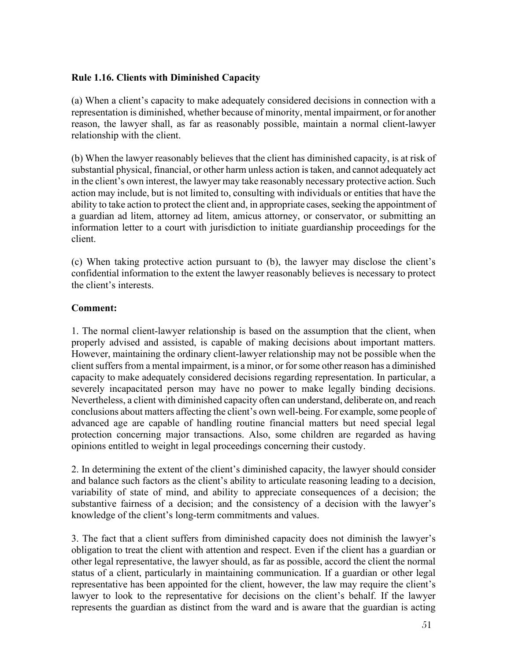### **Rule 1.16. Clients with Diminished Capacity**

(a) When a client's capacity to make adequately considered decisions in connection with a representation is diminished, whether because of minority, mental impairment, or for another reason, the lawyer shall, as far as reasonably possible, maintain a normal client-lawyer relationship with the client.

(b) When the lawyer reasonably believes that the client has diminished capacity, is at risk of substantial physical, financial, or other harm unless action is taken, and cannot adequately act in the client's own interest, the lawyer may take reasonably necessary protective action. Such action may include, but is not limited to, consulting with individuals or entities that have the ability to take action to protect the client and, in appropriate cases, seeking the appointment of a guardian ad litem, attorney ad litem, amicus attorney, or conservator, or submitting an information letter to a court with jurisdiction to initiate guardianship proceedings for the client.

(c) When taking protective action pursuant to (b), the lawyer may disclose the client's confidential information to the extent the lawyer reasonably believes is necessary to protect the client's interests.

### **Comment:**

1. The normal client-lawyer relationship is based on the assumption that the client, when properly advised and assisted, is capable of making decisions about important matters. However, maintaining the ordinary client-lawyer relationship may not be possible when the client suffers from a mental impairment, is a minor, or for some other reason has a diminished capacity to make adequately considered decisions regarding representation. In particular, a severely incapacitated person may have no power to make legally binding decisions. Nevertheless, a client with diminished capacity often can understand, deliberate on, and reach conclusions about matters affecting the client's own well-being. For example, some people of advanced age are capable of handling routine financial matters but need special legal protection concerning major transactions. Also, some children are regarded as having opinions entitled to weight in legal proceedings concerning their custody.

2. In determining the extent of the client's diminished capacity, the lawyer should consider and balance such factors as the client's ability to articulate reasoning leading to a decision, variability of state of mind, and ability to appreciate consequences of a decision; the substantive fairness of a decision; and the consistency of a decision with the lawyer's knowledge of the client's long-term commitments and values.

3. The fact that a client suffers from diminished capacity does not diminish the lawyer's obligation to treat the client with attention and respect. Even if the client has a guardian or other legal representative, the lawyer should, as far as possible, accord the client the normal status of a client, particularly in maintaining communication. If a guardian or other legal representative has been appointed for the client, however, the law may require the client's lawyer to look to the representative for decisions on the client's behalf. If the lawyer represents the guardian as distinct from the ward and is aware that the guardian is acting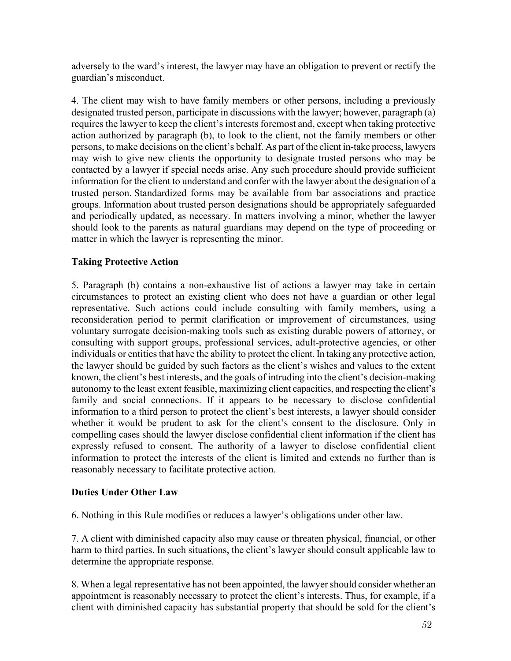adversely to the ward's interest, the lawyer may have an obligation to prevent or rectify the guardian's misconduct.

4. The client may wish to have family members or other persons, including a previously designated trusted person, participate in discussions with the lawyer; however, paragraph (a) requires the lawyer to keep the client's interests foremost and, except when taking protective action authorized by paragraph (b), to look to the client, not the family members or other persons, to make decisions on the client's behalf. As part of the client in-take process, lawyers may wish to give new clients the opportunity to designate trusted persons who may be contacted by a lawyer if special needs arise. Any such procedure should provide sufficient information for the client to understand and confer with the lawyer about the designation of a trusted person. Standardized forms may be available from bar associations and practice groups. Information about trusted person designations should be appropriately safeguarded and periodically updated, as necessary. In matters involving a minor, whether the lawyer should look to the parents as natural guardians may depend on the type of proceeding or matter in which the lawyer is representing the minor.

## **Taking Protective Action**

5. Paragraph (b) contains a non-exhaustive list of actions a lawyer may take in certain circumstances to protect an existing client who does not have a guardian or other legal representative. Such actions could include consulting with family members, using a reconsideration period to permit clarification or improvement of circumstances, using voluntary surrogate decision-making tools such as existing durable powers of attorney, or consulting with support groups, professional services, adult-protective agencies, or other individuals or entities that have the ability to protect the client. In taking any protective action, the lawyer should be guided by such factors as the client's wishes and values to the extent known, the client's best interests, and the goals of intruding into the client's decision-making autonomy to the least extent feasible, maximizing client capacities, and respecting the client's family and social connections. If it appears to be necessary to disclose confidential information to a third person to protect the client's best interests, a lawyer should consider whether it would be prudent to ask for the client's consent to the disclosure. Only in compelling cases should the lawyer disclose confidential client information if the client has expressly refused to consent. The authority of a lawyer to disclose confidential client information to protect the interests of the client is limited and extends no further than is reasonably necessary to facilitate protective action.

## **Duties Under Other Law**

6. Nothing in this Rule modifies or reduces a lawyer's obligations under other law.

7. A client with diminished capacity also may cause or threaten physical, financial, or other harm to third parties. In such situations, the client's lawyer should consult applicable law to determine the appropriate response.

8. When a legal representative has not been appointed, the lawyer should consider whether an appointment is reasonably necessary to protect the client's interests. Thus, for example, if a client with diminished capacity has substantial property that should be sold for the client's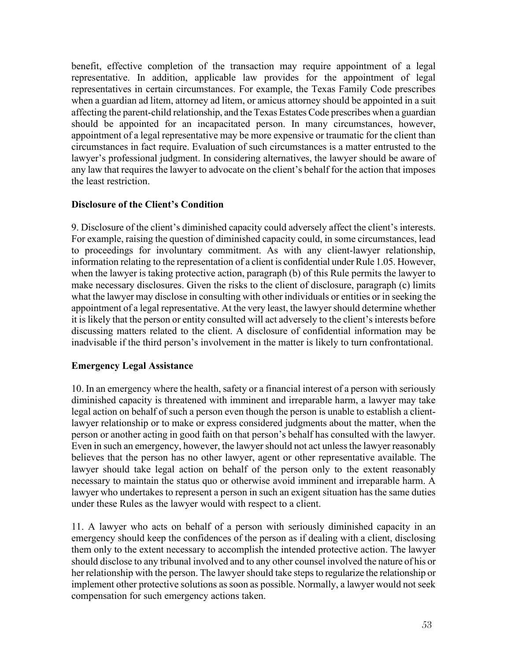benefit, effective completion of the transaction may require appointment of a legal representative. In addition, applicable law provides for the appointment of legal representatives in certain circumstances. For example, the Texas Family Code prescribes when a guardian ad litem, attorney ad litem, or amicus attorney should be appointed in a suit affecting the parent-child relationship, and the Texas Estates Code prescribes when a guardian should be appointed for an incapacitated person. In many circumstances, however, appointment of a legal representative may be more expensive or traumatic for the client than circumstances in fact require. Evaluation of such circumstances is a matter entrusted to the lawyer's professional judgment. In considering alternatives, the lawyer should be aware of any law that requires the lawyer to advocate on the client's behalf for the action that imposes the least restriction.

## **Disclosure of the Client's Condition**

9. Disclosure of the client's diminished capacity could adversely affect the client's interests. For example, raising the question of diminished capacity could, in some circumstances, lead to proceedings for involuntary commitment. As with any client-lawyer relationship, information relating to the representation of a client is confidential under Rule 1.05. However, when the lawyer is taking protective action, paragraph (b) of this Rule permits the lawyer to make necessary disclosures. Given the risks to the client of disclosure, paragraph (c) limits what the lawyer may disclose in consulting with other individuals or entities or in seeking the appointment of a legal representative. At the very least, the lawyer should determine whether it is likely that the person or entity consulted will act adversely to the client's interests before discussing matters related to the client. A disclosure of confidential information may be inadvisable if the third person's involvement in the matter is likely to turn confrontational.

#### **Emergency Legal Assistance**

10. In an emergency where the health, safety or a financial interest of a person with seriously diminished capacity is threatened with imminent and irreparable harm, a lawyer may take legal action on behalf of such a person even though the person is unable to establish a clientlawyer relationship or to make or express considered judgments about the matter, when the person or another acting in good faith on that person's behalf has consulted with the lawyer. Even in such an emergency, however, the lawyer should not act unless the lawyer reasonably believes that the person has no other lawyer, agent or other representative available. The lawyer should take legal action on behalf of the person only to the extent reasonably necessary to maintain the status quo or otherwise avoid imminent and irreparable harm. A lawyer who undertakes to represent a person in such an exigent situation has the same duties under these Rules as the lawyer would with respect to a client.

11. A lawyer who acts on behalf of a person with seriously diminished capacity in an emergency should keep the confidences of the person as if dealing with a client, disclosing them only to the extent necessary to accomplish the intended protective action. The lawyer should disclose to any tribunal involved and to any other counsel involved the nature of his or her relationship with the person. The lawyer should take steps to regularize the relationship or implement other protective solutions as soon as possible. Normally, a lawyer would not seek compensation for such emergency actions taken.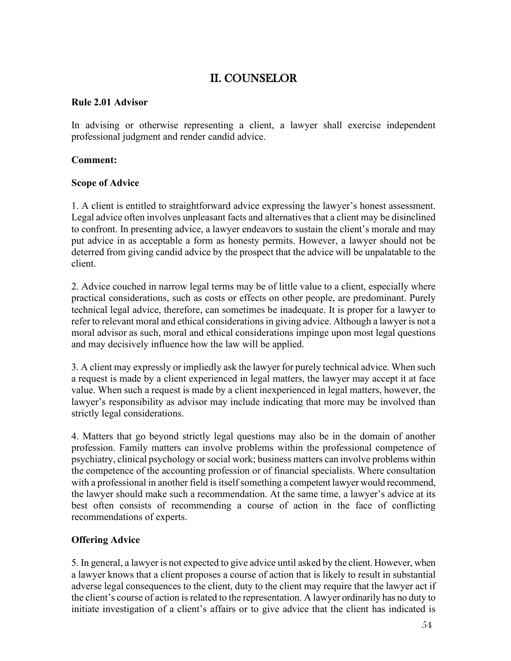# II. COUNSELOR

#### **Rule 2.01 Advisor**

In advising or otherwise representing a client, a lawyer shall exercise independent professional judgment and render candid advice.

#### **Comment:**

#### **Scope of Advice**

1. A client is entitled to straightforward advice expressing the lawyer's honest assessment. Legal advice often involves unpleasant facts and alternatives that a client may be disinclined to confront. In presenting advice, a lawyer endeavors to sustain the client's morale and may put advice in as acceptable a form as honesty permits. However, a lawyer should not be deterred from giving candid advice by the prospect that the advice will be unpalatable to the client.

2. Advice couched in narrow legal terms may be of little value to a client, especially where practical considerations, such as costs or effects on other people, are predominant. Purely technical legal advice, therefore, can sometimes be inadequate. It is proper for a lawyer to refer to relevant moral and ethical considerations in giving advice. Although a lawyer is not a moral advisor as such, moral and ethical considerations impinge upon most legal questions and may decisively influence how the law will be applied.

3. A client may expressly or impliedly ask the lawyer for purely technical advice. When such a request is made by a client experienced in legal matters, the lawyer may accept it at face value. When such a request is made by a client inexperienced in legal matters, however, the lawyer's responsibility as advisor may include indicating that more may be involved than strictly legal considerations.

4. Matters that go beyond strictly legal questions may also be in the domain of another profession. Family matters can involve problems within the professional competence of psychiatry, clinical psychology or social work; business matters can involve problems within the competence of the accounting profession or of financial specialists. Where consultation with a professional in another field is itself something a competent lawyer would recommend, the lawyer should make such a recommendation. At the same time, a lawyer's advice at its best often consists of recommending a course of action in the face of conflicting recommendations of experts.

## **Offering Advice**

5. In general, a lawyer is not expected to give advice until asked by the client. However, when a lawyer knows that a client proposes a course of action that is likely to result in substantial adverse legal consequences to the client, duty to the client may require that the lawyer act if the client's course of action is related to the representation. A lawyer ordinarily has no duty to initiate investigation of a client's affairs or to give advice that the client has indicated is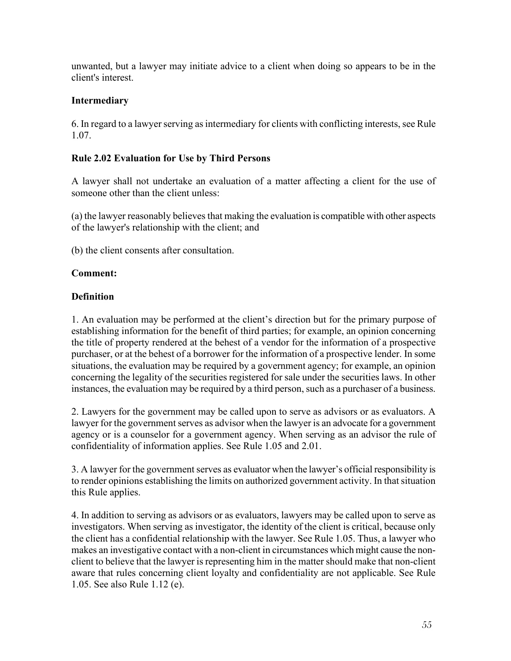unwanted, but a lawyer may initiate advice to a client when doing so appears to be in the client's interest.

## **Intermediary**

6. In regard to a lawyer serving as intermediary for clients with conflicting interests, see Rule 1.07.

# **Rule 2.02 Evaluation for Use by Third Persons**

A lawyer shall not undertake an evaluation of a matter affecting a client for the use of someone other than the client unless:

(a) the lawyer reasonably believes that making the evaluation is compatible with other aspects of the lawyer's relationship with the client; and

(b) the client consents after consultation.

## **Comment:**

# **Definition**

1. An evaluation may be performed at the client's direction but for the primary purpose of establishing information for the benefit of third parties; for example, an opinion concerning the title of property rendered at the behest of a vendor for the information of a prospective purchaser, or at the behest of a borrower for the information of a prospective lender. In some situations, the evaluation may be required by a government agency; for example, an opinion concerning the legality of the securities registered for sale under the securities laws. In other instances, the evaluation may be required by a third person, such as a purchaser of a business.

2. Lawyers for the government may be called upon to serve as advisors or as evaluators. A lawyer for the government serves as advisor when the lawyer is an advocate for a government agency or is a counselor for a government agency. When serving as an advisor the rule of confidentiality of information applies. See Rule 1.05 and 2.01.

3. A lawyer for the government serves as evaluator when the lawyer's official responsibility is to render opinions establishing the limits on authorized government activity. In that situation this Rule applies.

4. In addition to serving as advisors or as evaluators, lawyers may be called upon to serve as investigators. When serving as investigator, the identity of the client is critical, because only the client has a confidential relationship with the lawyer. See Rule 1.05. Thus, a lawyer who makes an investigative contact with a non-client in circumstances which might cause the nonclient to believe that the lawyer is representing him in the matter should make that non-client aware that rules concerning client loyalty and confidentiality are not applicable. See Rule 1.05. See also Rule 1.12 (e).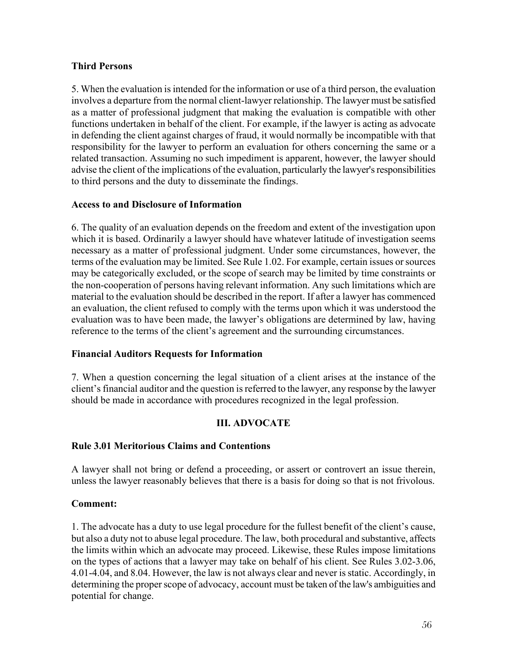#### **Third Persons**

5. When the evaluation is intended for the information or use of a third person, the evaluation involves a departure from the normal client-lawyer relationship. The lawyer must be satisfied as a matter of professional judgment that making the evaluation is compatible with other functions undertaken in behalf of the client. For example, if the lawyer is acting as advocate in defending the client against charges of fraud, it would normally be incompatible with that responsibility for the lawyer to perform an evaluation for others concerning the same or a related transaction. Assuming no such impediment is apparent, however, the lawyer should advise the client of the implications of the evaluation, particularly the lawyer's responsibilities to third persons and the duty to disseminate the findings.

#### **Access to and Disclosure of Information**

6. The quality of an evaluation depends on the freedom and extent of the investigation upon which it is based. Ordinarily a lawyer should have whatever latitude of investigation seems necessary as a matter of professional judgment. Under some circumstances, however, the terms of the evaluation may be limited. See Rule 1.02. For example, certain issues or sources may be categorically excluded, or the scope of search may be limited by time constraints or the non-cooperation of persons having relevant information. Any such limitations which are material to the evaluation should be described in the report. If after a lawyer has commenced an evaluation, the client refused to comply with the terms upon which it was understood the evaluation was to have been made, the lawyer's obligations are determined by law, having reference to the terms of the client's agreement and the surrounding circumstances.

#### **Financial Auditors Requests for Information**

7. When a question concerning the legal situation of a client arises at the instance of the client's financial auditor and the question is referred to the lawyer, any response by the lawyer should be made in accordance with procedures recognized in the legal profession.

#### **III. ADVOCATE**

#### **Rule 3.01 Meritorious Claims and Contentions**

A lawyer shall not bring or defend a proceeding, or assert or controvert an issue therein, unless the lawyer reasonably believes that there is a basis for doing so that is not frivolous.

#### **Comment:**

1. The advocate has a duty to use legal procedure for the fullest benefit of the client's cause, but also a duty not to abuse legal procedure. The law, both procedural and substantive, affects the limits within which an advocate may proceed. Likewise, these Rules impose limitations on the types of actions that a lawyer may take on behalf of his client. See Rules 3.02-3.06, 4.01-4.04, and 8.04. However, the law is not always clear and never is static. Accordingly, in determining the proper scope of advocacy, account must be taken of the law's ambiguities and potential for change.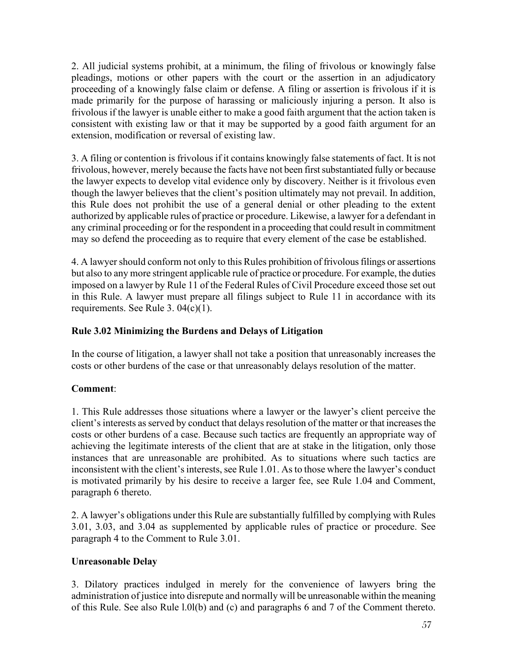2. All judicial systems prohibit, at a minimum, the filing of frivolous or knowingly false pleadings, motions or other papers with the court or the assertion in an adjudicatory proceeding of a knowingly false claim or defense. A filing or assertion is frivolous if it is made primarily for the purpose of harassing or maliciously injuring a person. It also is frivolous if the lawyer is unable either to make a good faith argument that the action taken is consistent with existing law or that it may be supported by a good faith argument for an extension, modification or reversal of existing law.

3. A filing or contention is frivolous if it contains knowingly false statements of fact. It is not frivolous, however, merely because the facts have not been first substantiated fully or because the lawyer expects to develop vital evidence only by discovery. Neither is it frivolous even though the lawyer believes that the client's position ultimately may not prevail. In addition, this Rule does not prohibit the use of a general denial or other pleading to the extent authorized by applicable rules of practice or procedure. Likewise, a lawyer for a defendant in any criminal proceeding or for the respondent in a proceeding that could result in commitment may so defend the proceeding as to require that every element of the case be established.

4. A lawyer should conform not only to this Rules prohibition of frivolous filings or assertions but also to any more stringent applicable rule of practice or procedure. For example, the duties imposed on a lawyer by Rule 11 of the Federal Rules of Civil Procedure exceed those set out in this Rule. A lawyer must prepare all filings subject to Rule 11 in accordance with its requirements. See Rule 3. 04(c)(1).

## **Rule 3.02 Minimizing the Burdens and Delays of Litigation**

In the course of litigation, a lawyer shall not take a position that unreasonably increases the costs or other burdens of the case or that unreasonably delays resolution of the matter.

## **Comment**:

1. This Rule addresses those situations where a lawyer or the lawyer's client perceive the client's interests as served by conduct that delays resolution of the matter or that increases the costs or other burdens of a case. Because such tactics are frequently an appropriate way of achieving the legitimate interests of the client that are at stake in the litigation, only those instances that are unreasonable are prohibited. As to situations where such tactics are inconsistent with the client's interests, see Rule 1.01. As to those where the lawyer's conduct is motivated primarily by his desire to receive a larger fee, see Rule 1.04 and Comment, paragraph 6 thereto.

2. A lawyer's obligations under this Rule are substantially fulfilled by complying with Rules 3.01, 3.03, and 3.04 as supplemented by applicable rules of practice or procedure. See paragraph 4 to the Comment to Rule 3.01.

## **Unreasonable Delay**

3. Dilatory practices indulged in merely for the convenience of lawyers bring the administration of justice into disrepute and normally will be unreasonable within the meaning of this Rule. See also Rule l.0l(b) and (c) and paragraphs 6 and 7 of the Comment thereto.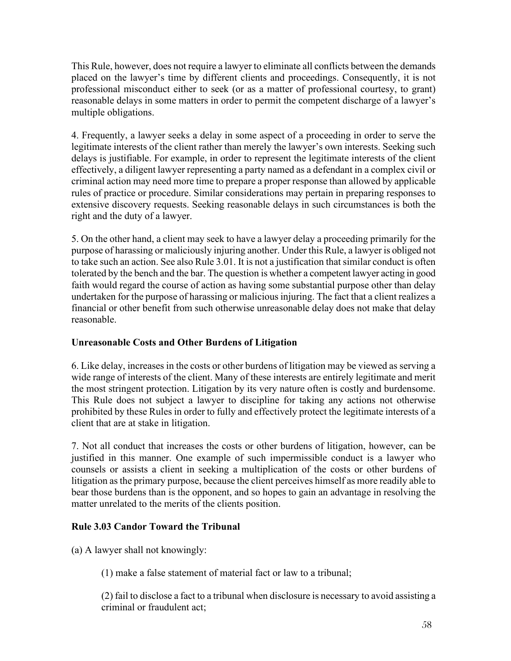This Rule, however, does not require a lawyer to eliminate all conflicts between the demands placed on the lawyer's time by different clients and proceedings. Consequently, it is not professional misconduct either to seek (or as a matter of professional courtesy, to grant) reasonable delays in some matters in order to permit the competent discharge of a lawyer's multiple obligations.

4. Frequently, a lawyer seeks a delay in some aspect of a proceeding in order to serve the legitimate interests of the client rather than merely the lawyer's own interests. Seeking such delays is justifiable. For example, in order to represent the legitimate interests of the client effectively, a diligent lawyer representing a party named as a defendant in a complex civil or criminal action may need more time to prepare a proper response than allowed by applicable rules of practice or procedure. Similar considerations may pertain in preparing responses to extensive discovery requests. Seeking reasonable delays in such circumstances is both the right and the duty of a lawyer.

5. On the other hand, a client may seek to have a lawyer delay a proceeding primarily for the purpose of harassing or maliciously injuring another. Under this Rule, a lawyer is obliged not to take such an action. See also Rule 3.01. It is not a justification that similar conduct is often tolerated by the bench and the bar. The question is whether a competent lawyer acting in good faith would regard the course of action as having some substantial purpose other than delay undertaken for the purpose of harassing or malicious injuring. The fact that a client realizes a financial or other benefit from such otherwise unreasonable delay does not make that delay reasonable.

## **Unreasonable Costs and Other Burdens of Litigation**

6. Like delay, increases in the costs or other burdens of litigation may be viewed as serving a wide range of interests of the client. Many of these interests are entirely legitimate and merit the most stringent protection. Litigation by its very nature often is costly and burdensome. This Rule does not subject a lawyer to discipline for taking any actions not otherwise prohibited by these Rules in order to fully and effectively protect the legitimate interests of a client that are at stake in litigation.

7. Not all conduct that increases the costs or other burdens of litigation, however, can be justified in this manner. One example of such impermissible conduct is a lawyer who counsels or assists a client in seeking a multiplication of the costs or other burdens of litigation as the primary purpose, because the client perceives himself as more readily able to bear those burdens than is the opponent, and so hopes to gain an advantage in resolving the matter unrelated to the merits of the clients position.

# **Rule 3.03 Candor Toward the Tribunal**

(a) A lawyer shall not knowingly:

(1) make a false statement of material fact or law to a tribunal;

(2) fail to disclose a fact to a tribunal when disclosure is necessary to avoid assisting a criminal or fraudulent act;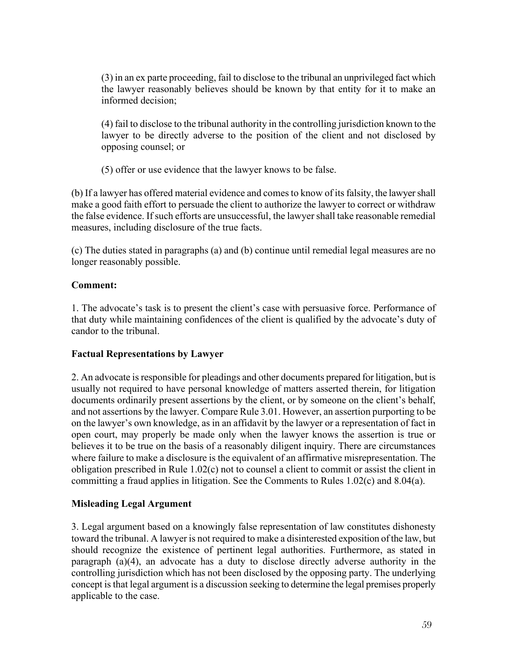(3) in an ex parte proceeding, fail to disclose to the tribunal an unprivileged fact which the lawyer reasonably believes should be known by that entity for it to make an informed decision;

(4) fail to disclose to the tribunal authority in the controlling jurisdiction known to the lawyer to be directly adverse to the position of the client and not disclosed by opposing counsel; or

(5) offer or use evidence that the lawyer knows to be false.

(b) If a lawyer has offered material evidence and comes to know of its falsity, the lawyer shall make a good faith effort to persuade the client to authorize the lawyer to correct or withdraw the false evidence. If such efforts are unsuccessful, the lawyer shall take reasonable remedial measures, including disclosure of the true facts.

(c) The duties stated in paragraphs (a) and (b) continue until remedial legal measures are no longer reasonably possible.

## **Comment:**

1. The advocate's task is to present the client's case with persuasive force. Performance of that duty while maintaining confidences of the client is qualified by the advocate's duty of candor to the tribunal.

## **Factual Representations by Lawyer**

2. An advocate is responsible for pleadings and other documents prepared for litigation, but is usually not required to have personal knowledge of matters asserted therein, for litigation documents ordinarily present assertions by the client, or by someone on the client's behalf, and not assertions by the lawyer. Compare Rule 3.01. However, an assertion purporting to be on the lawyer's own knowledge, as in an affidavit by the lawyer or a representation of fact in open court, may properly be made only when the lawyer knows the assertion is true or believes it to be true on the basis of a reasonably diligent inquiry. There are circumstances where failure to make a disclosure is the equivalent of an affirmative misrepresentation. The obligation prescribed in Rule 1.02(c) not to counsel a client to commit or assist the client in committing a fraud applies in litigation. See the Comments to Rules 1.02(c) and 8.04(a).

## **Misleading Legal Argument**

3. Legal argument based on a knowingly false representation of law constitutes dishonesty toward the tribunal. A lawyer is not required to make a disinterested exposition of the law, but should recognize the existence of pertinent legal authorities. Furthermore, as stated in paragraph (a)(4), an advocate has a duty to disclose directly adverse authority in the controlling jurisdiction which has not been disclosed by the opposing party. The underlying concept is that legal argument is a discussion seeking to determine the legal premises properly applicable to the case.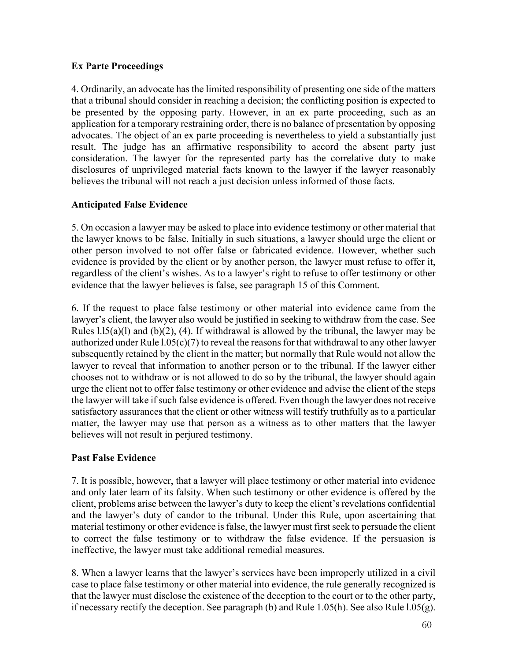### **Ex Parte Proceedings**

4. Ordinarily, an advocate has the limited responsibility of presenting one side of the matters that a tribunal should consider in reaching a decision; the conflicting position is expected to be presented by the opposing party. However, in an ex parte proceeding, such as an application for a temporary restraining order, there is no balance of presentation by opposing advocates. The object of an ex parte proceeding is nevertheless to yield a substantially just result. The judge has an affirmative responsibility to accord the absent party just consideration. The lawyer for the represented party has the correlative duty to make disclosures of unprivileged material facts known to the lawyer if the lawyer reasonably believes the tribunal will not reach a just decision unless informed of those facts.

## **Anticipated False Evidence**

5. On occasion a lawyer may be asked to place into evidence testimony or other material that the lawyer knows to be false. Initially in such situations, a lawyer should urge the client or other person involved to not offer false or fabricated evidence. However, whether such evidence is provided by the client or by another person, the lawyer must refuse to offer it, regardless of the client's wishes. As to a lawyer's right to refuse to offer testimony or other evidence that the lawyer believes is false, see paragraph 15 of this Comment.

6. If the request to place false testimony or other material into evidence came from the lawyer's client, the lawyer also would be justified in seeking to withdraw from the case. See Rules  $1.15(a)(1)$  and  $(b)(2)$ ,  $(4)$ . If withdrawal is allowed by the tribunal, the lawyer may be authorized under Rule  $1.05(c)(7)$  to reveal the reasons for that withdrawal to any other lawyer subsequently retained by the client in the matter; but normally that Rule would not allow the lawyer to reveal that information to another person or to the tribunal. If the lawyer either chooses not to withdraw or is not allowed to do so by the tribunal, the lawyer should again urge the client not to offer false testimony or other evidence and advise the client of the steps the lawyer will take if such false evidence is offered. Even though the lawyer does not receive satisfactory assurances that the client or other witness will testify truthfully as to a particular matter, the lawyer may use that person as a witness as to other matters that the lawyer believes will not result in perjured testimony.

## **Past False Evidence**

7. It is possible, however, that a lawyer will place testimony or other material into evidence and only later learn of its falsity. When such testimony or other evidence is offered by the client, problems arise between the lawyer's duty to keep the client's revelations confidential and the lawyer's duty of candor to the tribunal. Under this Rule, upon ascertaining that material testimony or other evidence is false, the lawyer must first seek to persuade the client to correct the false testimony or to withdraw the false evidence. If the persuasion is ineffective, the lawyer must take additional remedial measures.

8. When a lawyer learns that the lawyer's services have been improperly utilized in a civil case to place false testimony or other material into evidence, the rule generally recognized is that the lawyer must disclose the existence of the deception to the court or to the other party, if necessary rectify the deception. See paragraph (b) and Rule 1.05(h). See also Rule  $1.05(g)$ .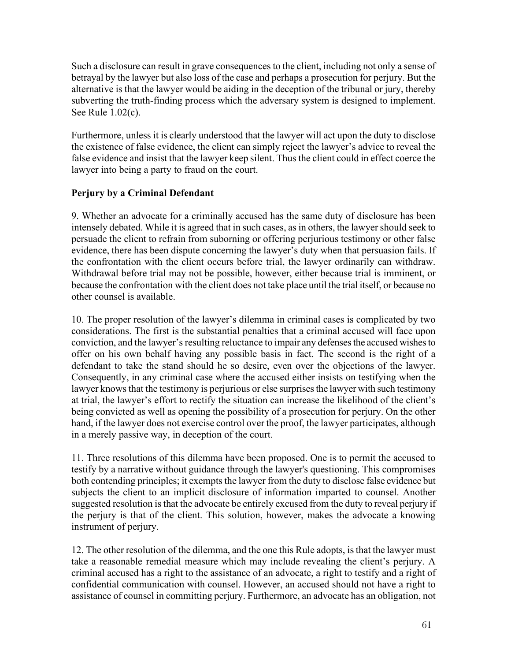Such a disclosure can result in grave consequences to the client, including not only a sense of betrayal by the lawyer but also loss of the case and perhaps a prosecution for perjury. But the alternative is that the lawyer would be aiding in the deception of the tribunal or jury, thereby subverting the truth-finding process which the adversary system is designed to implement. See Rule 1.02(c).

Furthermore, unless it is clearly understood that the lawyer will act upon the duty to disclose the existence of false evidence, the client can simply reject the lawyer's advice to reveal the false evidence and insist that the lawyer keep silent. Thus the client could in effect coerce the lawyer into being a party to fraud on the court.

# **Perjury by a Criminal Defendant**

9. Whether an advocate for a criminally accused has the same duty of disclosure has been intensely debated. While it is agreed that in such cases, as in others, the lawyer should seek to persuade the client to refrain from suborning or offering perjurious testimony or other false evidence, there has been dispute concerning the lawyer's duty when that persuasion fails. If the confrontation with the client occurs before trial, the lawyer ordinarily can withdraw. Withdrawal before trial may not be possible, however, either because trial is imminent, or because the confrontation with the client does not take place until the trial itself, or because no other counsel is available.

10. The proper resolution of the lawyer's dilemma in criminal cases is complicated by two considerations. The first is the substantial penalties that a criminal accused will face upon conviction, and the lawyer's resulting reluctance to impair any defenses the accused wishes to offer on his own behalf having any possible basis in fact. The second is the right of a defendant to take the stand should he so desire, even over the objections of the lawyer. Consequently, in any criminal case where the accused either insists on testifying when the lawyer knows that the testimony is perjurious or else surprises the lawyer with such testimony at trial, the lawyer's effort to rectify the situation can increase the likelihood of the client's being convicted as well as opening the possibility of a prosecution for perjury. On the other hand, if the lawyer does not exercise control over the proof, the lawyer participates, although in a merely passive way, in deception of the court.

11. Three resolutions of this dilemma have been proposed. One is to permit the accused to testify by a narrative without guidance through the lawyer's questioning. This compromises both contending principles; it exempts the lawyer from the duty to disclose false evidence but subjects the client to an implicit disclosure of information imparted to counsel. Another suggested resolution is that the advocate be entirely excused from the duty to reveal perjury if the perjury is that of the client. This solution, however, makes the advocate a knowing instrument of perjury.

12. The other resolution of the dilemma, and the one this Rule adopts, is that the lawyer must take a reasonable remedial measure which may include revealing the client's perjury. A criminal accused has a right to the assistance of an advocate, a right to testify and a right of confidential communication with counsel. However, an accused should not have a right to assistance of counsel in committing perjury. Furthermore, an advocate has an obligation, not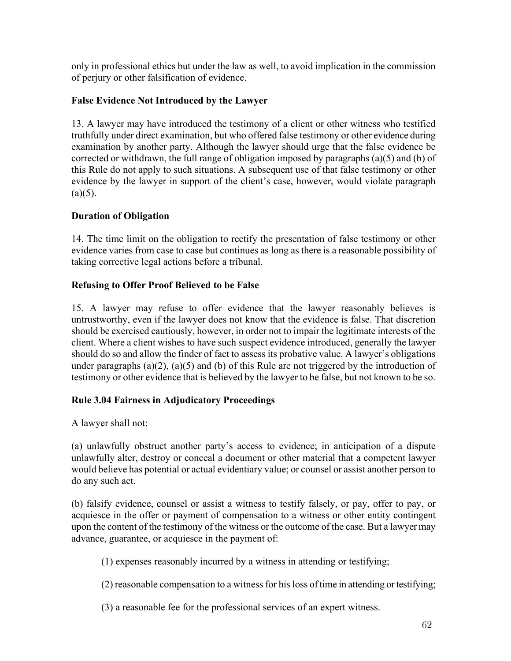only in professional ethics but under the law as well, to avoid implication in the commission of perjury or other falsification of evidence.

## **False Evidence Not Introduced by the Lawyer**

13. A lawyer may have introduced the testimony of a client or other witness who testified truthfully under direct examination, but who offered false testimony or other evidence during examination by another party. Although the lawyer should urge that the false evidence be corrected or withdrawn, the full range of obligation imposed by paragraphs (a)(5) and (b) of this Rule do not apply to such situations. A subsequent use of that false testimony or other evidence by the lawyer in support of the client's case, however, would violate paragraph  $(a)(5)$ .

# **Duration of Obligation**

14. The time limit on the obligation to rectify the presentation of false testimony or other evidence varies from case to case but continues as long as there is a reasonable possibility of taking corrective legal actions before a tribunal.

# **Refusing to Offer Proof Believed to be False**

15. A lawyer may refuse to offer evidence that the lawyer reasonably believes is untrustworthy, even if the lawyer does not know that the evidence is false. That discretion should be exercised cautiously, however, in order not to impair the legitimate interests of the client. Where a client wishes to have such suspect evidence introduced, generally the lawyer should do so and allow the finder of fact to assess its probative value. A lawyer's obligations under paragraphs  $(a)(2)$ ,  $(a)(5)$  and  $(b)$  of this Rule are not triggered by the introduction of testimony or other evidence that is believed by the lawyer to be false, but not known to be so.

# **Rule 3.04 Fairness in Adjudicatory Proceedings**

A lawyer shall not:

(a) unlawfully obstruct another party's access to evidence; in anticipation of a dispute unlawfully alter, destroy or conceal a document or other material that a competent lawyer would believe has potential or actual evidentiary value; or counsel or assist another person to do any such act.

(b) falsify evidence, counsel or assist a witness to testify falsely, or pay, offer to pay, or acquiesce in the offer or payment of compensation to a witness or other entity contingent upon the content of the testimony of the witness or the outcome of the case. But a lawyer may advance, guarantee, or acquiesce in the payment of:

(1) expenses reasonably incurred by a witness in attending or testifying;

(2) reasonable compensation to a witness for his loss of time in attending or testifying;

(3) a reasonable fee for the professional services of an expert witness.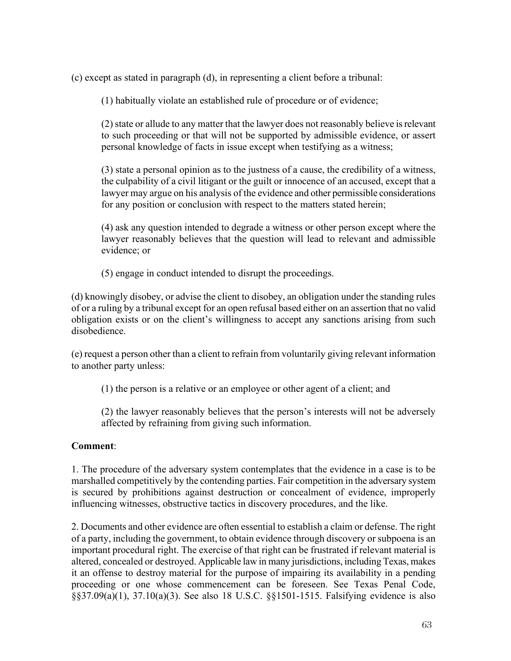(c) except as stated in paragraph (d), in representing a client before a tribunal:

(1) habitually violate an established rule of procedure or of evidence;

(2) state or allude to any matter that the lawyer does not reasonably believe is relevant to such proceeding or that will not be supported by admissible evidence, or assert personal knowledge of facts in issue except when testifying as a witness;

(3) state a personal opinion as to the justness of a cause, the credibility of a witness, the culpability of a civil litigant or the guilt or innocence of an accused, except that a lawyer may argue on his analysis of the evidence and other permissible considerations for any position or conclusion with respect to the matters stated herein;

(4) ask any question intended to degrade a witness or other person except where the lawyer reasonably believes that the question will lead to relevant and admissible evidence; or

(5) engage in conduct intended to disrupt the proceedings.

(d) knowingly disobey, or advise the client to disobey, an obligation under the standing rules of or a ruling by a tribunal except for an open refusal based either on an assertion that no valid obligation exists or on the client's willingness to accept any sanctions arising from such disobedience.

(e) request a person other than a client to refrain from voluntarily giving relevant information to another party unless:

(1) the person is a relative or an employee or other agent of a client; and

(2) the lawyer reasonably believes that the person's interests will not be adversely affected by refraining from giving such information.

#### **Comment**:

1. The procedure of the adversary system contemplates that the evidence in a case is to be marshalled competitively by the contending parties. Fair competition in the adversary system is secured by prohibitions against destruction or concealment of evidence, improperly influencing witnesses, obstructive tactics in discovery procedures, and the like.

2. Documents and other evidence are often essential to establish a claim or defense. The right of a party, including the government, to obtain evidence through discovery or subpoena is an important procedural right. The exercise of that right can be frustrated if relevant material is altered, concealed or destroyed. Applicable law in many jurisdictions, including Texas, makes it an offense to destroy material for the purpose of impairing its availability in a pending proceeding or one whose commencement can be foreseen. See Texas Penal Code, §§37.09(a)(1), 37.10(a)(3). See also 18 U.S.C. §§1501-1515. Falsifying evidence is also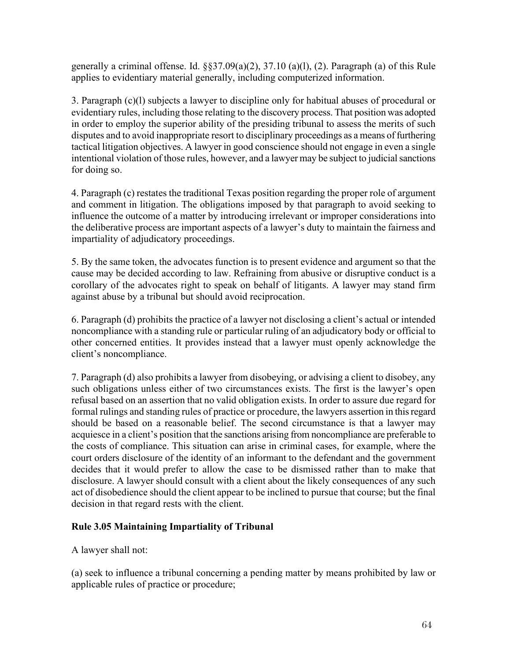generally a criminal offense. Id. §§37.09(a)(2), 37.10 (a)(l), (2). Paragraph (a) of this Rule applies to evidentiary material generally, including computerized information.

3. Paragraph (c)(l) subjects a lawyer to discipline only for habitual abuses of procedural or evidentiary rules, including those relating to the discovery process. That position was adopted in order to employ the superior ability of the presiding tribunal to assess the merits of such disputes and to avoid inappropriate resort to disciplinary proceedings as a means of furthering tactical litigation objectives. A lawyer in good conscience should not engage in even a single intentional violation of those rules, however, and a lawyer may be subject to judicial sanctions for doing so.

4. Paragraph (c) restates the traditional Texas position regarding the proper role of argument and comment in litigation. The obligations imposed by that paragraph to avoid seeking to influence the outcome of a matter by introducing irrelevant or improper considerations into the deliberative process are important aspects of a lawyer's duty to maintain the fairness and impartiality of adjudicatory proceedings.

5. By the same token, the advocates function is to present evidence and argument so that the cause may be decided according to law. Refraining from abusive or disruptive conduct is a corollary of the advocates right to speak on behalf of litigants. A lawyer may stand firm against abuse by a tribunal but should avoid reciprocation.

6. Paragraph (d) prohibits the practice of a lawyer not disclosing a client's actual or intended noncompliance with a standing rule or particular ruling of an adjudicatory body or official to other concerned entities. It provides instead that a lawyer must openly acknowledge the client's noncompliance.

7. Paragraph (d) also prohibits a lawyer from disobeying, or advising a client to disobey, any such obligations unless either of two circumstances exists. The first is the lawyer's open refusal based on an assertion that no valid obligation exists. In order to assure due regard for formal rulings and standing rules of practice or procedure, the lawyers assertion in this regard should be based on a reasonable belief. The second circumstance is that a lawyer may acquiesce in a client's position that the sanctions arising from noncompliance are preferable to the costs of compliance. This situation can arise in criminal cases, for example, where the court orders disclosure of the identity of an informant to the defendant and the government decides that it would prefer to allow the case to be dismissed rather than to make that disclosure. A lawyer should consult with a client about the likely consequences of any such act of disobedience should the client appear to be inclined to pursue that course; but the final decision in that regard rests with the client.

## **Rule 3.05 Maintaining Impartiality of Tribunal**

A lawyer shall not:

(a) seek to influence a tribunal concerning a pending matter by means prohibited by law or applicable rules of practice or procedure;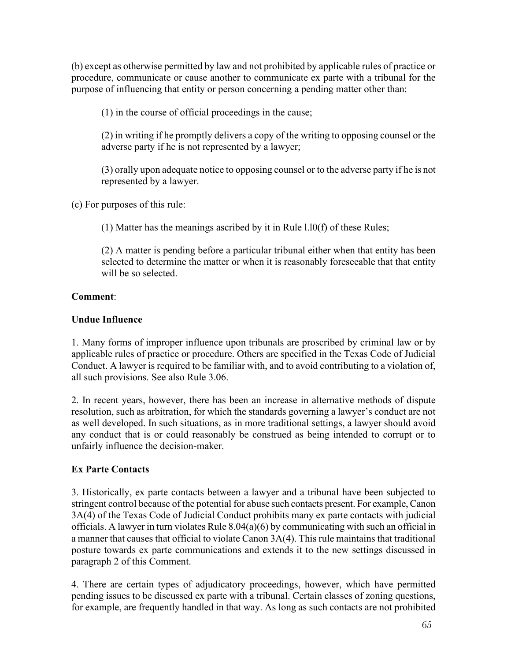(b) except as otherwise permitted by law and not prohibited by applicable rules of practice or procedure, communicate or cause another to communicate ex parte with a tribunal for the purpose of influencing that entity or person concerning a pending matter other than:

(1) in the course of official proceedings in the cause;

(2) in writing if he promptly delivers a copy of the writing to opposing counsel or the adverse party if he is not represented by a lawyer;

(3) orally upon adequate notice to opposing counsel or to the adverse party if he is not represented by a lawyer.

(c) For purposes of this rule:

(1) Matter has the meanings ascribed by it in Rule l.l0(f) of these Rules;

(2) A matter is pending before a particular tribunal either when that entity has been selected to determine the matter or when it is reasonably foreseeable that that entity will be so selected.

## **Comment**:

## **Undue Influence**

1. Many forms of improper influence upon tribunals are proscribed by criminal law or by applicable rules of practice or procedure. Others are specified in the Texas Code of Judicial Conduct. A lawyer is required to be familiar with, and to avoid contributing to a violation of, all such provisions. See also Rule 3.06.

2. In recent years, however, there has been an increase in alternative methods of dispute resolution, such as arbitration, for which the standards governing a lawyer's conduct are not as well developed. In such situations, as in more traditional settings, a lawyer should avoid any conduct that is or could reasonably be construed as being intended to corrupt or to unfairly influence the decision-maker.

# **Ex Parte Contacts**

3. Historically, ex parte contacts between a lawyer and a tribunal have been subjected to stringent control because of the potential for abuse such contacts present. For example, Canon 3A(4) of the Texas Code of Judicial Conduct prohibits many ex parte contacts with judicial officials. A lawyer in turn violates Rule 8.04(a)(6) by communicating with such an official in a manner that causes that official to violate Canon 3A(4). This rule maintains that traditional posture towards ex parte communications and extends it to the new settings discussed in paragraph 2 of this Comment.

4. There are certain types of adjudicatory proceedings, however, which have permitted pending issues to be discussed ex parte with a tribunal. Certain classes of zoning questions, for example, are frequently handled in that way. As long as such contacts are not prohibited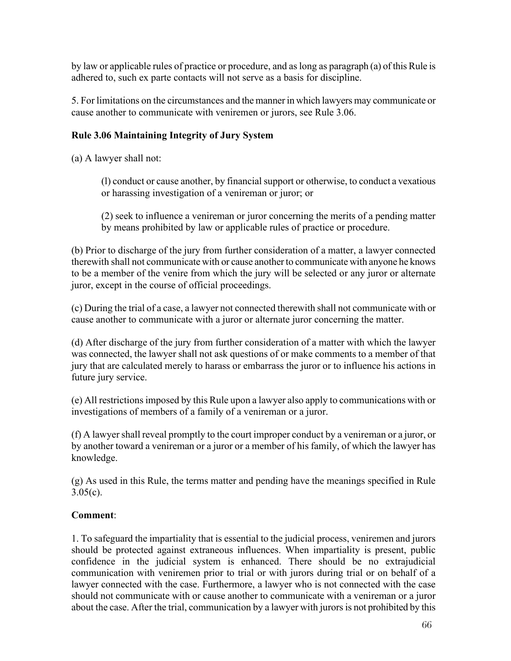by law or applicable rules of practice or procedure, and as long as paragraph (a) of this Rule is adhered to, such ex parte contacts will not serve as a basis for discipline.

5. For limitations on the circumstances and the manner in which lawyers may communicate or cause another to communicate with veniremen or jurors, see Rule 3.06.

## **Rule 3.06 Maintaining Integrity of Jury System**

(a) A lawyer shall not:

(l) conduct or cause another, by financial support or otherwise, to conduct a vexatious or harassing investigation of a venireman or juror; or

(2) seek to influence a venireman or juror concerning the merits of a pending matter by means prohibited by law or applicable rules of practice or procedure.

(b) Prior to discharge of the jury from further consideration of a matter, a lawyer connected therewith shall not communicate with or cause another to communicate with anyone he knows to be a member of the venire from which the jury will be selected or any juror or alternate juror, except in the course of official proceedings.

(c) During the trial of a case, a lawyer not connected therewith shall not communicate with or cause another to communicate with a juror or alternate juror concerning the matter.

(d) After discharge of the jury from further consideration of a matter with which the lawyer was connected, the lawyer shall not ask questions of or make comments to a member of that jury that are calculated merely to harass or embarrass the juror or to influence his actions in future jury service.

(e) All restrictions imposed by this Rule upon a lawyer also apply to communications with or investigations of members of a family of a venireman or a juror.

(f) A lawyer shall reveal promptly to the court improper conduct by a venireman or a juror, or by another toward a venireman or a juror or a member of his family, of which the lawyer has knowledge.

(g) As used in this Rule, the terms matter and pending have the meanings specified in Rule  $3.05(c)$ .

## **Comment**:

1. To safeguard the impartiality that is essential to the judicial process, veniremen and jurors should be protected against extraneous influences. When impartiality is present, public confidence in the judicial system is enhanced. There should be no extrajudicial communication with veniremen prior to trial or with jurors during trial or on behalf of a lawyer connected with the case. Furthermore, a lawyer who is not connected with the case should not communicate with or cause another to communicate with a venireman or a juror about the case. After the trial, communication by a lawyer with jurors is not prohibited by this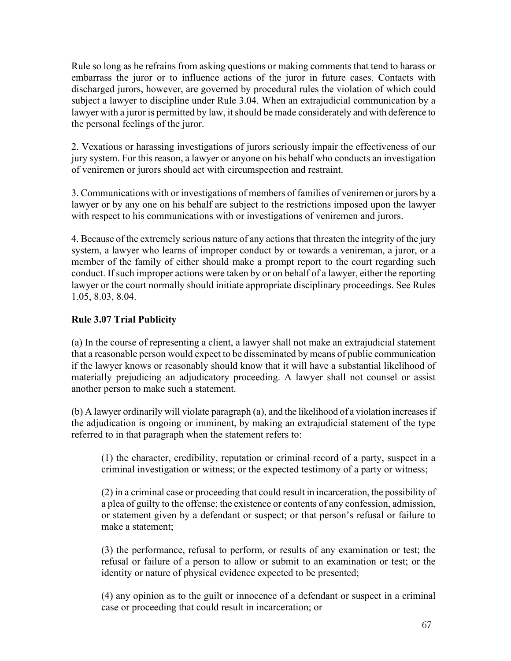Rule so long as he refrains from asking questions or making comments that tend to harass or embarrass the juror or to influence actions of the juror in future cases. Contacts with discharged jurors, however, are governed by procedural rules the violation of which could subject a lawyer to discipline under Rule 3.04. When an extrajudicial communication by a lawyer with a juror is permitted by law, it should be made considerately and with deference to the personal feelings of the juror.

2. Vexatious or harassing investigations of jurors seriously impair the effectiveness of our jury system. For this reason, a lawyer or anyone on his behalf who conducts an investigation of veniremen or jurors should act with circumspection and restraint.

3. Communications with or investigations of members of families of veniremen or jurors by a lawyer or by any one on his behalf are subject to the restrictions imposed upon the lawyer with respect to his communications with or investigations of veniremen and jurors.

4. Because of the extremely serious nature of any actions that threaten the integrity of the jury system, a lawyer who learns of improper conduct by or towards a venireman, a juror, or a member of the family of either should make a prompt report to the court regarding such conduct. If such improper actions were taken by or on behalf of a lawyer, either the reporting lawyer or the court normally should initiate appropriate disciplinary proceedings. See Rules 1.05, 8.03, 8.04.

# **Rule 3.07 Trial Publicity**

(a) In the course of representing a client, a lawyer shall not make an extrajudicial statement that a reasonable person would expect to be disseminated by means of public communication if the lawyer knows or reasonably should know that it will have a substantial likelihood of materially prejudicing an adjudicatory proceeding. A lawyer shall not counsel or assist another person to make such a statement.

(b) A lawyer ordinarily will violate paragraph (a), and the likelihood of a violation increases if the adjudication is ongoing or imminent, by making an extrajudicial statement of the type referred to in that paragraph when the statement refers to:

(1) the character, credibility, reputation or criminal record of a party, suspect in a criminal investigation or witness; or the expected testimony of a party or witness;

(2) in a criminal case or proceeding that could result in incarceration, the possibility of a plea of guilty to the offense; the existence or contents of any confession, admission, or statement given by a defendant or suspect; or that person's refusal or failure to make a statement;

(3) the performance, refusal to perform, or results of any examination or test; the refusal or failure of a person to allow or submit to an examination or test; or the identity or nature of physical evidence expected to be presented;

(4) any opinion as to the guilt or innocence of a defendant or suspect in a criminal case or proceeding that could result in incarceration; or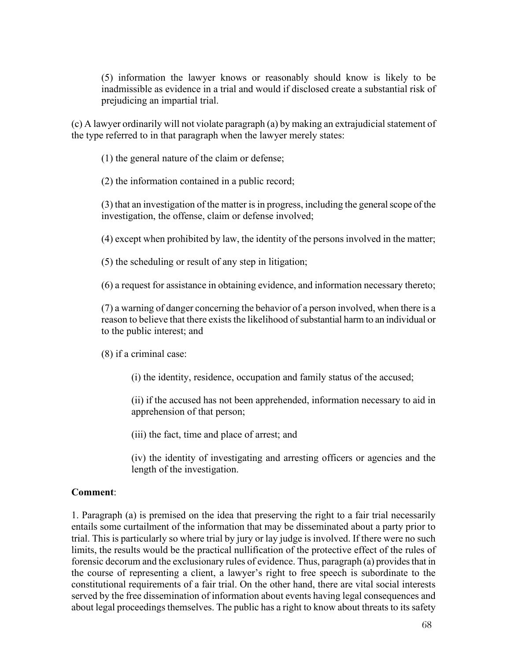(5) information the lawyer knows or reasonably should know is likely to be inadmissible as evidence in a trial and would if disclosed create a substantial risk of prejudicing an impartial trial.

(c) A lawyer ordinarily will not violate paragraph (a) by making an extrajudicial statement of the type referred to in that paragraph when the lawyer merely states:

(1) the general nature of the claim or defense;

(2) the information contained in a public record;

(3) that an investigation of the matter is in progress, including the general scope of the investigation, the offense, claim or defense involved;

(4) except when prohibited by law, the identity of the persons involved in the matter;

(5) the scheduling or result of any step in litigation;

(6) a request for assistance in obtaining evidence, and information necessary thereto;

(7) a warning of danger concerning the behavior of a person involved, when there is a reason to believe that there exists the likelihood of substantial harm to an individual or to the public interest; and

(8) if a criminal case:

(i) the identity, residence, occupation and family status of the accused;

(ii) if the accused has not been apprehended, information necessary to aid in apprehension of that person;

(iii) the fact, time and place of arrest; and

(iv) the identity of investigating and arresting officers or agencies and the length of the investigation.

## **Comment**:

1. Paragraph (a) is premised on the idea that preserving the right to a fair trial necessarily entails some curtailment of the information that may be disseminated about a party prior to trial. This is particularly so where trial by jury or lay judge is involved. If there were no such limits, the results would be the practical nullification of the protective effect of the rules of forensic decorum and the exclusionary rules of evidence. Thus, paragraph (a) provides that in the course of representing a client, a lawyer's right to free speech is subordinate to the constitutional requirements of a fair trial. On the other hand, there are vital social interests served by the free dissemination of information about events having legal consequences and about legal proceedings themselves. The public has a right to know about threats to its safety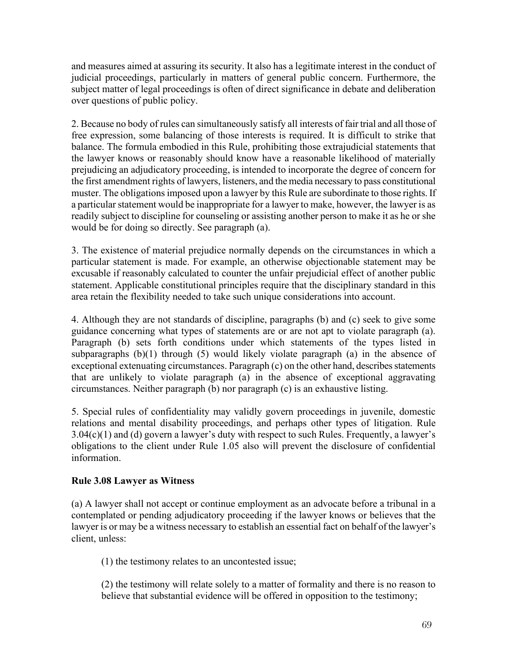and measures aimed at assuring its security. It also has a legitimate interest in the conduct of judicial proceedings, particularly in matters of general public concern. Furthermore, the subject matter of legal proceedings is often of direct significance in debate and deliberation over questions of public policy.

2. Because no body of rules can simultaneously satisfy all interests of fair trial and all those of free expression, some balancing of those interests is required. It is difficult to strike that balance. The formula embodied in this Rule, prohibiting those extrajudicial statements that the lawyer knows or reasonably should know have a reasonable likelihood of materially prejudicing an adjudicatory proceeding, is intended to incorporate the degree of concern for the first amendment rights of lawyers, listeners, and the media necessary to pass constitutional muster. The obligations imposed upon a lawyer by this Rule are subordinate to those rights. If a particular statement would be inappropriate for a lawyer to make, however, the lawyer is as readily subject to discipline for counseling or assisting another person to make it as he or she would be for doing so directly. See paragraph (a).

3. The existence of material prejudice normally depends on the circumstances in which a particular statement is made. For example, an otherwise objectionable statement may be excusable if reasonably calculated to counter the unfair prejudicial effect of another public statement. Applicable constitutional principles require that the disciplinary standard in this area retain the flexibility needed to take such unique considerations into account.

4. Although they are not standards of discipline, paragraphs (b) and (c) seek to give some guidance concerning what types of statements are or are not apt to violate paragraph (a). Paragraph (b) sets forth conditions under which statements of the types listed in subparagraphs (b)(1) through (5) would likely violate paragraph (a) in the absence of exceptional extenuating circumstances. Paragraph (c) on the other hand, describes statements that are unlikely to violate paragraph (a) in the absence of exceptional aggravating circumstances. Neither paragraph (b) nor paragraph (c) is an exhaustive listing.

5. Special rules of confidentiality may validly govern proceedings in juvenile, domestic relations and mental disability proceedings, and perhaps other types of litigation. Rule  $3.04(c)(1)$  and (d) govern a lawyer's duty with respect to such Rules. Frequently, a lawyer's obligations to the client under Rule 1.05 also will prevent the disclosure of confidential information.

## **Rule 3.08 Lawyer as Witness**

(a) A lawyer shall not accept or continue employment as an advocate before a tribunal in a contemplated or pending adjudicatory proceeding if the lawyer knows or believes that the lawyer is or may be a witness necessary to establish an essential fact on behalf of the lawyer's client, unless:

(1) the testimony relates to an uncontested issue;

(2) the testimony will relate solely to a matter of formality and there is no reason to believe that substantial evidence will be offered in opposition to the testimony;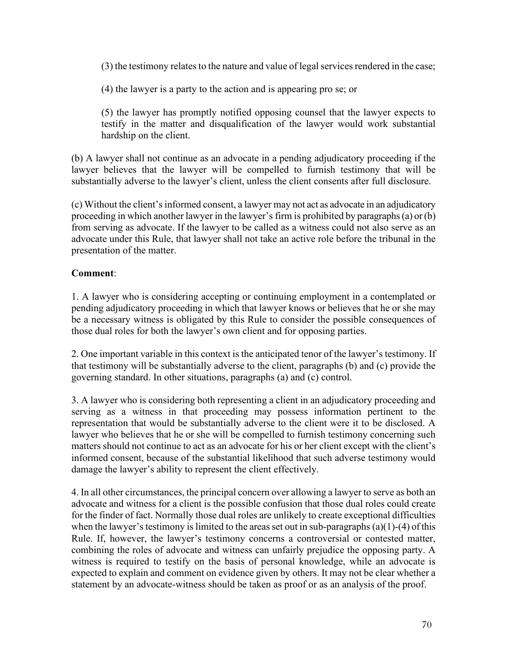(3) the testimony relates to the nature and value of legal services rendered in the case;

(4) the lawyer is a party to the action and is appearing pro se; or

(5) the lawyer has promptly notified opposing counsel that the lawyer expects to testify in the matter and disqualification of the lawyer would work substantial hardship on the client.

(b) A lawyer shall not continue as an advocate in a pending adjudicatory proceeding if the lawyer believes that the lawyer will be compelled to furnish testimony that will be substantially adverse to the lawyer's client, unless the client consents after full disclosure.

(c) Without the client's informed consent, a lawyer may not act as advocate in an adjudicatory proceeding in which another lawyer in the lawyer's firm is prohibited by paragraphs (a) or (b) from serving as advocate. If the lawyer to be called as a witness could not also serve as an advocate under this Rule, that lawyer shall not take an active role before the tribunal in the presentation of the matter.

## **Comment**:

1. A lawyer who is considering accepting or continuing employment in a contemplated or pending adjudicatory proceeding in which that lawyer knows or believes that he or she may be a necessary witness is obligated by this Rule to consider the possible consequences of those dual roles for both the lawyer's own client and for opposing parties.

2. One important variable in this context is the anticipated tenor of the lawyer's testimony. If that testimony will be substantially adverse to the client, paragraphs (b) and (c) provide the governing standard. In other situations, paragraphs (a) and (c) control.

3. A lawyer who is considering both representing a client in an adjudicatory proceeding and serving as a witness in that proceeding may possess information pertinent to the representation that would be substantially adverse to the client were it to be disclosed. A lawyer who believes that he or she will be compelled to furnish testimony concerning such matters should not continue to act as an advocate for his or her client except with the client's informed consent, because of the substantial likelihood that such adverse testimony would damage the lawyer's ability to represent the client effectively.

4. In all other circumstances, the principal concern over allowing a lawyer to serve as both an advocate and witness for a client is the possible confusion that those dual roles could create for the finder of fact. Normally those dual roles are unlikely to create exceptional difficulties when the lawyer's testimony is limited to the areas set out in sub-paragraphs  $(a)(1)-(4)$  of this Rule. If, however, the lawyer's testimony concerns a controversial or contested matter, combining the roles of advocate and witness can unfairly prejudice the opposing party. A witness is required to testify on the basis of personal knowledge, while an advocate is expected to explain and comment on evidence given by others. It may not be clear whether a statement by an advocate-witness should be taken as proof or as an analysis of the proof.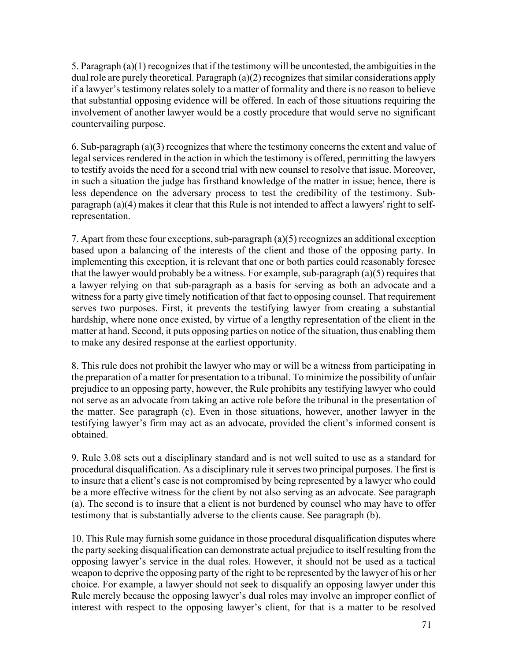5. Paragraph (a)(1) recognizes that if the testimony will be uncontested, the ambiguities in the dual role are purely theoretical. Paragraph (a)(2) recognizes that similar considerations apply if a lawyer's testimony relates solely to a matter of formality and there is no reason to believe that substantial opposing evidence will be offered. In each of those situations requiring the involvement of another lawyer would be a costly procedure that would serve no significant countervailing purpose.

6. Sub-paragraph (a)(3) recognizes that where the testimony concerns the extent and value of legal services rendered in the action in which the testimony is offered, permitting the lawyers to testify avoids the need for a second trial with new counsel to resolve that issue. Moreover, in such a situation the judge has firsthand knowledge of the matter in issue; hence, there is less dependence on the adversary process to test the credibility of the testimony. Subparagraph (a)(4) makes it clear that this Rule is not intended to affect a lawyers' right to selfrepresentation.

7. Apart from these four exceptions, sub-paragraph (a)(5) recognizes an additional exception based upon a balancing of the interests of the client and those of the opposing party. In implementing this exception, it is relevant that one or both parties could reasonably foresee that the lawyer would probably be a witness. For example, sub-paragraph (a)(5) requires that a lawyer relying on that sub-paragraph as a basis for serving as both an advocate and a witness for a party give timely notification of that fact to opposing counsel. That requirement serves two purposes. First, it prevents the testifying lawyer from creating a substantial hardship, where none once existed, by virtue of a lengthy representation of the client in the matter at hand. Second, it puts opposing parties on notice of the situation, thus enabling them to make any desired response at the earliest opportunity.

8. This rule does not prohibit the lawyer who may or will be a witness from participating in the preparation of a matter for presentation to a tribunal. To minimize the possibility of unfair prejudice to an opposing party, however, the Rule prohibits any testifying lawyer who could not serve as an advocate from taking an active role before the tribunal in the presentation of the matter. See paragraph (c). Even in those situations, however, another lawyer in the testifying lawyer's firm may act as an advocate, provided the client's informed consent is obtained.

9. Rule 3.08 sets out a disciplinary standard and is not well suited to use as a standard for procedural disqualification. As a disciplinary rule it serves two principal purposes. The first is to insure that a client's case is not compromised by being represented by a lawyer who could be a more effective witness for the client by not also serving as an advocate. See paragraph (a). The second is to insure that a client is not burdened by counsel who may have to offer testimony that is substantially adverse to the clients cause. See paragraph (b).

10. This Rule may furnish some guidance in those procedural disqualification disputes where the party seeking disqualification can demonstrate actual prejudice to itself resulting from the opposing lawyer's service in the dual roles. However, it should not be used as a tactical weapon to deprive the opposing party of the right to be represented by the lawyer of his or her choice. For example, a lawyer should not seek to disqualify an opposing lawyer under this Rule merely because the opposing lawyer's dual roles may involve an improper conflict of interest with respect to the opposing lawyer's client, for that is a matter to be resolved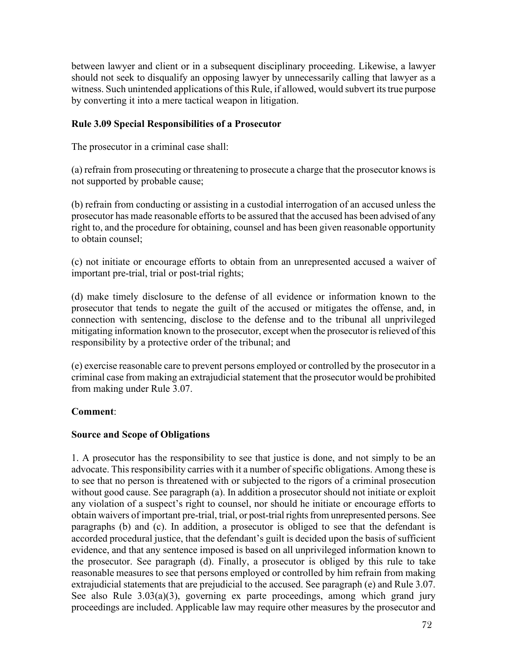between lawyer and client or in a subsequent disciplinary proceeding. Likewise, a lawyer should not seek to disqualify an opposing lawyer by unnecessarily calling that lawyer as a witness. Such unintended applications of this Rule, if allowed, would subvert its true purpose by converting it into a mere tactical weapon in litigation.

## **Rule 3.09 Special Responsibilities of a Prosecutor**

The prosecutor in a criminal case shall:

(a) refrain from prosecuting or threatening to prosecute a charge that the prosecutor knows is not supported by probable cause;

(b) refrain from conducting or assisting in a custodial interrogation of an accused unless the prosecutor has made reasonable efforts to be assured that the accused has been advised of any right to, and the procedure for obtaining, counsel and has been given reasonable opportunity to obtain counsel;

(c) not initiate or encourage efforts to obtain from an unrepresented accused a waiver of important pre-trial, trial or post-trial rights;

(d) make timely disclosure to the defense of all evidence or information known to the prosecutor that tends to negate the guilt of the accused or mitigates the offense, and, in connection with sentencing, disclose to the defense and to the tribunal all unprivileged mitigating information known to the prosecutor, except when the prosecutor is relieved of this responsibility by a protective order of the tribunal; and

(e) exercise reasonable care to prevent persons employed or controlled by the prosecutor in a criminal case from making an extrajudicial statement that the prosecutor would be prohibited from making under Rule 3.07.

## **Comment**:

## **Source and Scope of Obligations**

1. A prosecutor has the responsibility to see that justice is done, and not simply to be an advocate. This responsibility carries with it a number of specific obligations. Among these is to see that no person is threatened with or subjected to the rigors of a criminal prosecution without good cause. See paragraph (a). In addition a prosecutor should not initiate or exploit any violation of a suspect's right to counsel, nor should he initiate or encourage efforts to obtain waivers of important pre-trial, trial, or post-trial rights from unrepresented persons. See paragraphs (b) and (c). In addition, a prosecutor is obliged to see that the defendant is accorded procedural justice, that the defendant's guilt is decided upon the basis of sufficient evidence, and that any sentence imposed is based on all unprivileged information known to the prosecutor. See paragraph (d). Finally, a prosecutor is obliged by this rule to take reasonable measures to see that persons employed or controlled by him refrain from making extrajudicial statements that are prejudicial to the accused. See paragraph (e) and Rule 3.07. See also Rule 3.03(a)(3), governing ex parte proceedings, among which grand jury proceedings are included. Applicable law may require other measures by the prosecutor and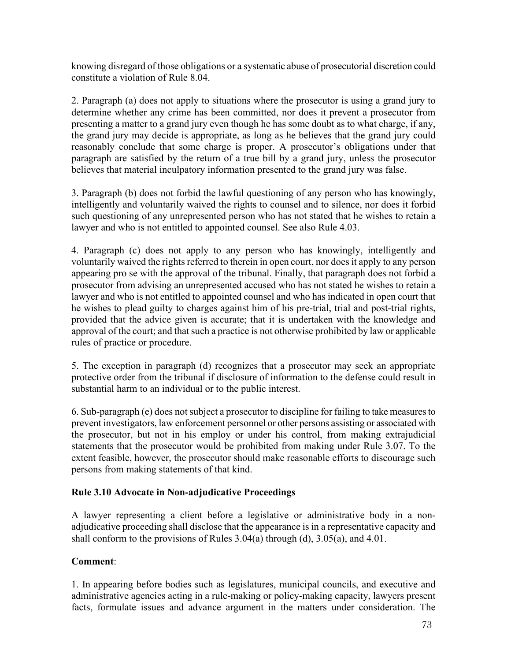knowing disregard of those obligations or a systematic abuse of prosecutorial discretion could constitute a violation of Rule 8.04.

2. Paragraph (a) does not apply to situations where the prosecutor is using a grand jury to determine whether any crime has been committed, nor does it prevent a prosecutor from presenting a matter to a grand jury even though he has some doubt as to what charge, if any, the grand jury may decide is appropriate, as long as he believes that the grand jury could reasonably conclude that some charge is proper. A prosecutor's obligations under that paragraph are satisfied by the return of a true bill by a grand jury, unless the prosecutor believes that material inculpatory information presented to the grand jury was false.

3. Paragraph (b) does not forbid the lawful questioning of any person who has knowingly, intelligently and voluntarily waived the rights to counsel and to silence, nor does it forbid such questioning of any unrepresented person who has not stated that he wishes to retain a lawyer and who is not entitled to appointed counsel. See also Rule 4.03.

4. Paragraph (c) does not apply to any person who has knowingly, intelligently and voluntarily waived the rights referred to therein in open court, nor does it apply to any person appearing pro se with the approval of the tribunal. Finally, that paragraph does not forbid a prosecutor from advising an unrepresented accused who has not stated he wishes to retain a lawyer and who is not entitled to appointed counsel and who has indicated in open court that he wishes to plead guilty to charges against him of his pre-trial, trial and post-trial rights, provided that the advice given is accurate; that it is undertaken with the knowledge and approval of the court; and that such a practice is not otherwise prohibited by law or applicable rules of practice or procedure.

5. The exception in paragraph (d) recognizes that a prosecutor may seek an appropriate protective order from the tribunal if disclosure of information to the defense could result in substantial harm to an individual or to the public interest.

6. Sub-paragraph (e) does not subject a prosecutor to discipline for failing to take measures to prevent investigators, law enforcement personnel or other persons assisting or associated with the prosecutor, but not in his employ or under his control, from making extrajudicial statements that the prosecutor would be prohibited from making under Rule 3.07. To the extent feasible, however, the prosecutor should make reasonable efforts to discourage such persons from making statements of that kind.

### **Rule 3.10 Advocate in Non-adjudicative Proceedings**

A lawyer representing a client before a legislative or administrative body in a nonadjudicative proceeding shall disclose that the appearance is in a representative capacity and shall conform to the provisions of Rules  $3.04(a)$  through (d),  $3.05(a)$ , and  $4.01$ .

### **Comment**:

1. In appearing before bodies such as legislatures, municipal councils, and executive and administrative agencies acting in a rule-making or policy-making capacity, lawyers present facts, formulate issues and advance argument in the matters under consideration. The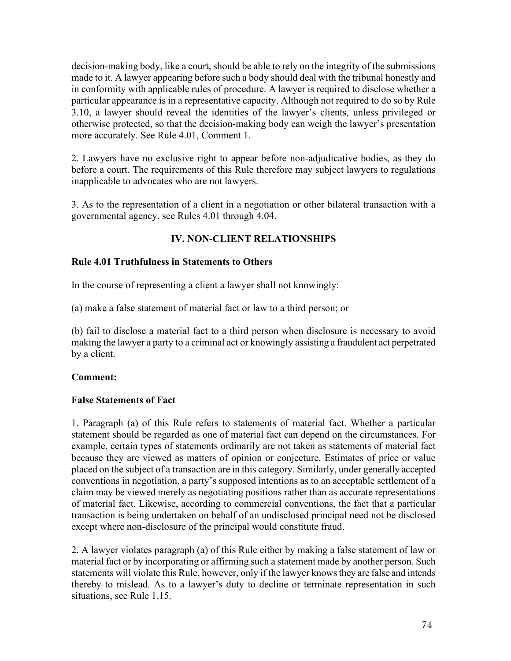decision-making body, like a court, should be able to rely on the integrity of the submissions made to it. A lawyer appearing before such a body should deal with the tribunal honestly and in conformity with applicable rules of procedure. A lawyer is required to disclose whether a particular appearance is in a representative capacity. Although not required to do so by Rule 3.10, a lawyer should reveal the identities of the lawyer's clients, unless privileged or otherwise protected, so that the decision-making body can weigh the lawyer's presentation more accurately. See Rule 4.01, Comment 1.

2. Lawyers have no exclusive right to appear before non-adjudicative bodies, as they do before a court. The requirements of this Rule therefore may subject lawyers to regulations inapplicable to advocates who are not lawyers.

3. As to the representation of a client in a negotiation or other bilateral transaction with a governmental agency, see Rules 4.01 through 4.04.

# **IV. NON-CLIENT RELATIONSHIPS**

#### **Rule 4.01 Truthfulness in Statements to Others**

In the course of representing a client a lawyer shall not knowingly:

(a) make a false statement of material fact or law to a third person; or

(b) fail to disclose a material fact to a third person when disclosure is necessary to avoid making the lawyer a party to a criminal act or knowingly assisting a fraudulent act perpetrated by a client.

#### **Comment:**

### **False Statements of Fact**

1. Paragraph (a) of this Rule refers to statements of material fact. Whether a particular statement should be regarded as one of material fact can depend on the circumstances. For example, certain types of statements ordinarily are not taken as statements of material fact because they are viewed as matters of opinion or conjecture. Estimates of price or value placed on the subject of a transaction are in this category. Similarly, under generally accepted conventions in negotiation, a party's supposed intentions as to an acceptable settlement of a claim may be viewed merely as negotiating positions rather than as accurate representations of material fact. Likewise, according to commercial conventions, the fact that a particular transaction is being undertaken on behalf of an undisclosed principal need not be disclosed except where non-disclosure of the principal would constitute fraud.

2. A lawyer violates paragraph (a) of this Rule either by making a false statement of law or material fact or by incorporating or affirming such a statement made by another person. Such statements will violate this Rule, however, only if the lawyer knows they are false and intends thereby to mislead. As to a lawyer's duty to decline or terminate representation in such situations, see Rule 1.15.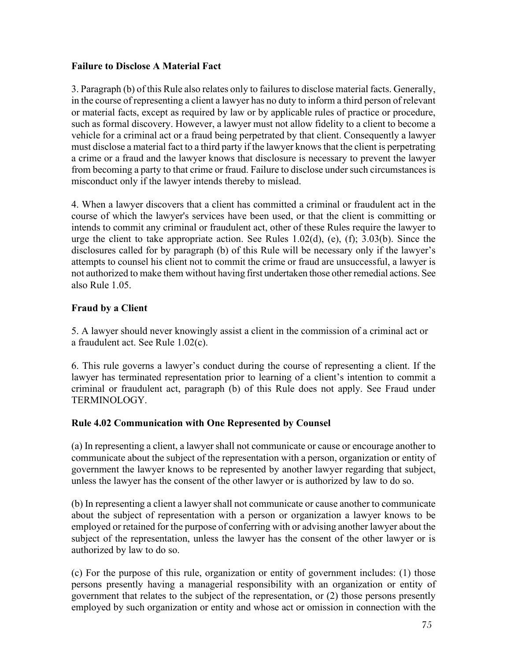#### **Failure to Disclose A Material Fact**

3. Paragraph (b) of this Rule also relates only to failures to disclose material facts. Generally, in the course of representing a client a lawyer has no duty to inform a third person of relevant or material facts, except as required by law or by applicable rules of practice or procedure, such as formal discovery. However, a lawyer must not allow fidelity to a client to become a vehicle for a criminal act or a fraud being perpetrated by that client. Consequently a lawyer must disclose a material fact to a third party if the lawyer knows that the client is perpetrating a crime or a fraud and the lawyer knows that disclosure is necessary to prevent the lawyer from becoming a party to that crime or fraud. Failure to disclose under such circumstances is misconduct only if the lawyer intends thereby to mislead.

4. When a lawyer discovers that a client has committed a criminal or fraudulent act in the course of which the lawyer's services have been used, or that the client is committing or intends to commit any criminal or fraudulent act, other of these Rules require the lawyer to urge the client to take appropriate action. See Rules 1.02(d), (e), (f); 3.03(b). Since the disclosures called for by paragraph (b) of this Rule will be necessary only if the lawyer's attempts to counsel his client not to commit the crime or fraud are unsuccessful, a lawyer is not authorized to make them without having first undertaken those other remedial actions. See also Rule 1.05.

# **Fraud by a Client**

5. A lawyer should never knowingly assist a client in the commission of a criminal act or a fraudulent act. See Rule 1.02(c).

6. This rule governs a lawyer's conduct during the course of representing a client. If the lawyer has terminated representation prior to learning of a client's intention to commit a criminal or fraudulent act, paragraph (b) of this Rule does not apply. See Fraud under TERMINOLOGY.

### **Rule 4.02 Communication with One Represented by Counsel**

(a) In representing a client, a lawyer shall not communicate or cause or encourage another to communicate about the subject of the representation with a person, organization or entity of government the lawyer knows to be represented by another lawyer regarding that subject, unless the lawyer has the consent of the other lawyer or is authorized by law to do so.

(b) In representing a client a lawyer shall not communicate or cause another to communicate about the subject of representation with a person or organization a lawyer knows to be employed or retained for the purpose of conferring with or advising another lawyer about the subject of the representation, unless the lawyer has the consent of the other lawyer or is authorized by law to do so.

(c) For the purpose of this rule, organization or entity of government includes: (1) those persons presently having a managerial responsibility with an organization or entity of government that relates to the subject of the representation, or (2) those persons presently employed by such organization or entity and whose act or omission in connection with the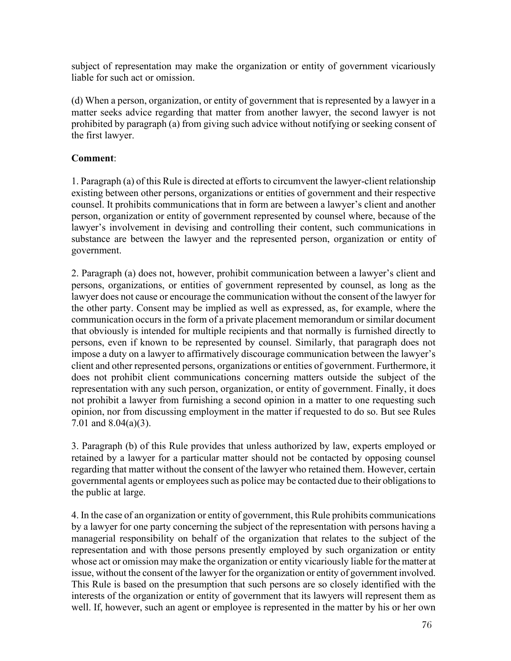subject of representation may make the organization or entity of government vicariously liable for such act or omission.

(d) When a person, organization, or entity of government that is represented by a lawyer in a matter seeks advice regarding that matter from another lawyer, the second lawyer is not prohibited by paragraph (a) from giving such advice without notifying or seeking consent of the first lawyer.

### **Comment**:

1. Paragraph (a) of this Rule is directed at efforts to circumvent the lawyer-client relationship existing between other persons, organizations or entities of government and their respective counsel. It prohibits communications that in form are between a lawyer's client and another person, organization or entity of government represented by counsel where, because of the lawyer's involvement in devising and controlling their content, such communications in substance are between the lawyer and the represented person, organization or entity of government.

2. Paragraph (a) does not, however, prohibit communication between a lawyer's client and persons, organizations, or entities of government represented by counsel, as long as the lawyer does not cause or encourage the communication without the consent of the lawyer for the other party. Consent may be implied as well as expressed, as, for example, where the communication occurs in the form of a private placement memorandum or similar document that obviously is intended for multiple recipients and that normally is furnished directly to persons, even if known to be represented by counsel. Similarly, that paragraph does not impose a duty on a lawyer to affirmatively discourage communication between the lawyer's client and other represented persons, organizations or entities of government. Furthermore, it does not prohibit client communications concerning matters outside the subject of the representation with any such person, organization, or entity of government. Finally, it does not prohibit a lawyer from furnishing a second opinion in a matter to one requesting such opinion, nor from discussing employment in the matter if requested to do so. But see Rules 7.01 and 8.04(a)(3).

3. Paragraph (b) of this Rule provides that unless authorized by law, experts employed or retained by a lawyer for a particular matter should not be contacted by opposing counsel regarding that matter without the consent of the lawyer who retained them. However, certain governmental agents or employees such as police may be contacted due to their obligations to the public at large.

4. In the case of an organization or entity of government, this Rule prohibits communications by a lawyer for one party concerning the subject of the representation with persons having a managerial responsibility on behalf of the organization that relates to the subject of the representation and with those persons presently employed by such organization or entity whose act or omission may make the organization or entity vicariously liable for the matter at issue, without the consent of the lawyer for the organization or entity of government involved. This Rule is based on the presumption that such persons are so closely identified with the interests of the organization or entity of government that its lawyers will represent them as well. If, however, such an agent or employee is represented in the matter by his or her own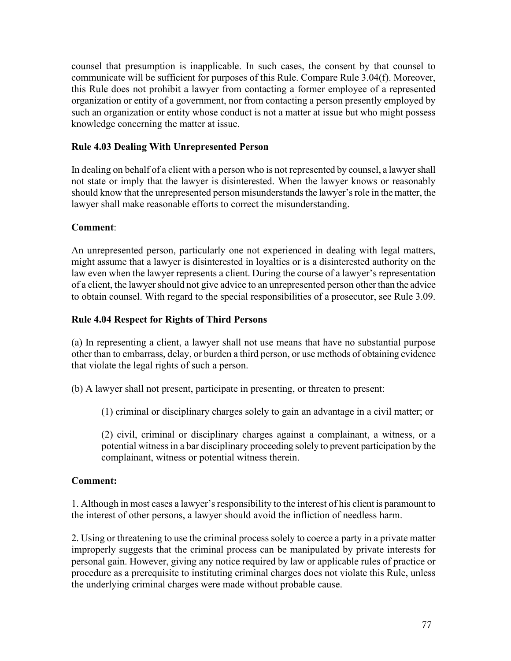counsel that presumption is inapplicable. In such cases, the consent by that counsel to communicate will be sufficient for purposes of this Rule. Compare Rule 3.04(f). Moreover, this Rule does not prohibit a lawyer from contacting a former employee of a represented organization or entity of a government, nor from contacting a person presently employed by such an organization or entity whose conduct is not a matter at issue but who might possess knowledge concerning the matter at issue.

### **Rule 4.03 Dealing With Unrepresented Person**

In dealing on behalf of a client with a person who is not represented by counsel, a lawyer shall not state or imply that the lawyer is disinterested. When the lawyer knows or reasonably should know that the unrepresented person misunderstands the lawyer's role in the matter, the lawyer shall make reasonable efforts to correct the misunderstanding.

# **Comment**:

An unrepresented person, particularly one not experienced in dealing with legal matters, might assume that a lawyer is disinterested in loyalties or is a disinterested authority on the law even when the lawyer represents a client. During the course of a lawyer's representation of a client, the lawyer should not give advice to an unrepresented person other than the advice to obtain counsel. With regard to the special responsibilities of a prosecutor, see Rule 3.09.

# **Rule 4.04 Respect for Rights of Third Persons**

(a) In representing a client, a lawyer shall not use means that have no substantial purpose other than to embarrass, delay, or burden a third person, or use methods of obtaining evidence that violate the legal rights of such a person.

(b) A lawyer shall not present, participate in presenting, or threaten to present:

(1) criminal or disciplinary charges solely to gain an advantage in a civil matter; or

(2) civil, criminal or disciplinary charges against a complainant, a witness, or a potential witness in a bar disciplinary proceeding solely to prevent participation by the complainant, witness or potential witness therein.

### **Comment:**

1. Although in most cases a lawyer's responsibility to the interest of his client is paramount to the interest of other persons, a lawyer should avoid the infliction of needless harm.

2. Using or threatening to use the criminal process solely to coerce a party in a private matter improperly suggests that the criminal process can be manipulated by private interests for personal gain. However, giving any notice required by law or applicable rules of practice or procedure as a prerequisite to instituting criminal charges does not violate this Rule, unless the underlying criminal charges were made without probable cause.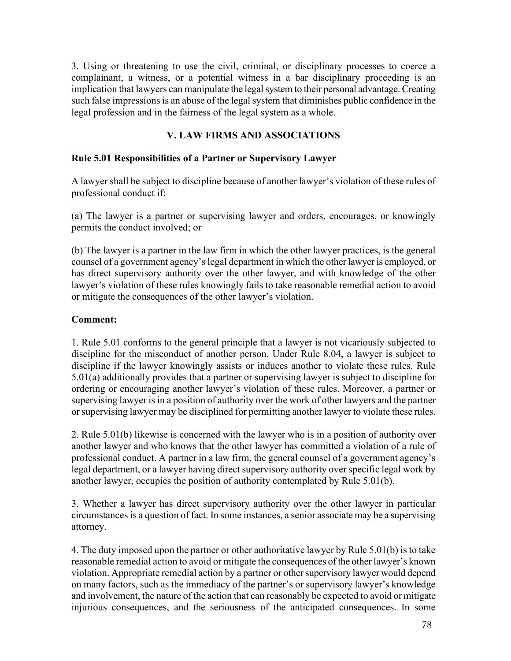3. Using or threatening to use the civil, criminal, or disciplinary processes to coerce a complainant, a witness, or a potential witness in a bar disciplinary proceeding is an implication that lawyers can manipulate the legal system to their personal advantage. Creating such false impressions is an abuse of the legal system that diminishes public confidence in the legal profession and in the fairness of the legal system as a whole.

#### **V. LAW FIRMS AND ASSOCIATIONS**

#### **Rule 5.01 Responsibilities of a Partner or Supervisory Lawyer**

A lawyer shall be subject to discipline because of another lawyer's violation of these rules of professional conduct if:

(a) The lawyer is a partner or supervising lawyer and orders, encourages, or knowingly permits the conduct involved; or

(b) The lawyer is a partner in the law firm in which the other lawyer practices, is the general counsel of a government agency's legal department in which the other lawyer is employed, or has direct supervisory authority over the other lawyer, and with knowledge of the other lawyer's violation of these rules knowingly fails to take reasonable remedial action to avoid or mitigate the consequences of the other lawyer's violation.

#### **Comment:**

1. Rule 5.01 conforms to the general principle that a lawyer is not vicariously subjected to discipline for the misconduct of another person. Under Rule 8.04, a lawyer is subject to discipline if the lawyer knowingly assists or induces another to violate these rules. Rule 5.01(a) additionally provides that a partner or supervising lawyer is subject to discipline for ordering or encouraging another lawyer's violation of these rules. Moreover, a partner or supervising lawyer is in a position of authority over the work of other lawyers and the partner or supervising lawyer may be disciplined for permitting another lawyer to violate these rules.

2. Rule 5.01(b) likewise is concerned with the lawyer who is in a position of authority over another lawyer and who knows that the other lawyer has committed a violation of a rule of professional conduct. A partner in a law firm, the general counsel of a government agency's legal department, or a lawyer having direct supervisory authority over specific legal work by another lawyer, occupies the position of authority contemplated by Rule 5.01(b).

3. Whether a lawyer has direct supervisory authority over the other lawyer in particular circumstances is a question of fact. In some instances, a senior associate may be a supervising attorney.

4. The duty imposed upon the partner or other authoritative lawyer by Rule 5.01(b) is to take reasonable remedial action to avoid or mitigate the consequences of the other lawyer's known violation. Appropriate remedial action by a partner or other supervisory lawyer would depend on many factors, such as the immediacy of the partner's or supervisory lawyer's knowledge and involvement, the nature of the action that can reasonably be expected to avoid or mitigate injurious consequences, and the seriousness of the anticipated consequences. In some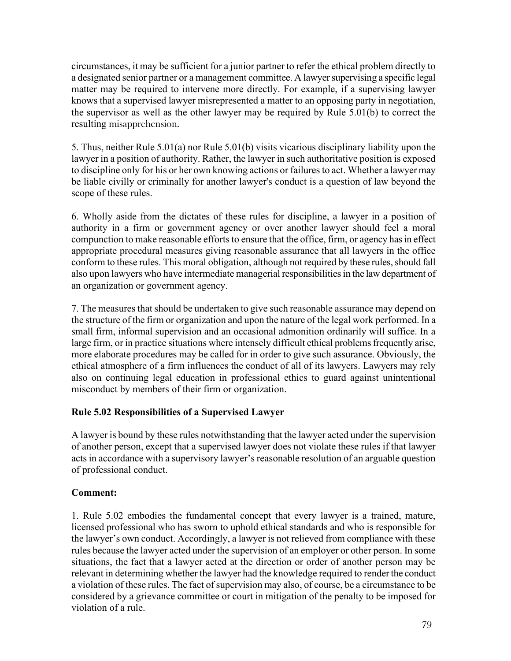circumstances, it may be sufficient for a junior partner to refer the ethical problem directly to a designated senior partner or a management committee. A lawyer supervising a specific legal matter may be required to intervene more directly. For example, if a supervising lawyer knows that a supervised lawyer misrepresented a matter to an opposing party in negotiation, the supervisor as well as the other lawyer may be required by Rule 5.01(b) to correct the resulting misapprehension.

5. Thus, neither Rule 5.01(a) nor Rule 5.01(b) visits vicarious disciplinary liability upon the lawyer in a position of authority. Rather, the lawyer in such authoritative position is exposed to discipline only for his or her own knowing actions or failures to act. Whether a lawyer may be liable civilly or criminally for another lawyer's conduct is a question of law beyond the scope of these rules.

6. Wholly aside from the dictates of these rules for discipline, a lawyer in a position of authority in a firm or government agency or over another lawyer should feel a moral compunction to make reasonable efforts to ensure that the office, firm, or agency has in effect appropriate procedural measures giving reasonable assurance that all lawyers in the office conform to these rules. This moral obligation, although not required by these rules, should fall also upon lawyers who have intermediate managerial responsibilities in the law department of an organization or government agency.

7. The measures that should be undertaken to give such reasonable assurance may depend on the structure of the firm or organization and upon the nature of the legal work performed. In a small firm, informal supervision and an occasional admonition ordinarily will suffice. In a large firm, or in practice situations where intensely difficult ethical problems frequently arise, more elaborate procedures may be called for in order to give such assurance. Obviously, the ethical atmosphere of a firm influences the conduct of all of its lawyers. Lawyers may rely also on continuing legal education in professional ethics to guard against unintentional misconduct by members of their firm or organization.

### **Rule 5.02 Responsibilities of a Supervised Lawyer**

A lawyer is bound by these rules notwithstanding that the lawyer acted under the supervision of another person, except that a supervised lawyer does not violate these rules if that lawyer acts in accordance with a supervisory lawyer's reasonable resolution of an arguable question of professional conduct.

### **Comment:**

1. Rule 5.02 embodies the fundamental concept that every lawyer is a trained, mature, licensed professional who has sworn to uphold ethical standards and who is responsible for the lawyer's own conduct. Accordingly, a lawyer is not relieved from compliance with these rules because the lawyer acted under the supervision of an employer or other person. In some situations, the fact that a lawyer acted at the direction or order of another person may be relevant in determining whether the lawyer had the knowledge required to render the conduct a violation of these rules. The fact of supervision may also, of course, be a circumstance to be considered by a grievance committee or court in mitigation of the penalty to be imposed for violation of a rule.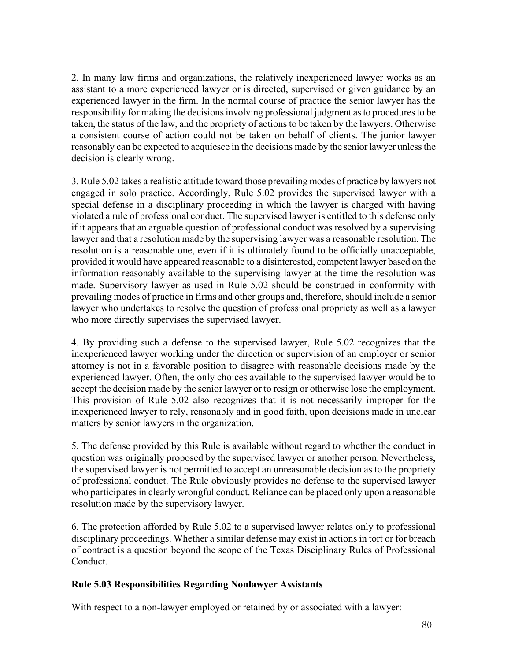2. In many law firms and organizations, the relatively inexperienced lawyer works as an assistant to a more experienced lawyer or is directed, supervised or given guidance by an experienced lawyer in the firm. In the normal course of practice the senior lawyer has the responsibility for making the decisions involving professional judgment as to procedures to be taken, the status of the law, and the propriety of actions to be taken by the lawyers. Otherwise a consistent course of action could not be taken on behalf of clients. The junior lawyer reasonably can be expected to acquiesce in the decisions made by the senior lawyer unless the decision is clearly wrong.

3. Rule 5.02 takes a realistic attitude toward those prevailing modes of practice by lawyers not engaged in solo practice. Accordingly, Rule 5.02 provides the supervised lawyer with a special defense in a disciplinary proceeding in which the lawyer is charged with having violated a rule of professional conduct. The supervised lawyer is entitled to this defense only if it appears that an arguable question of professional conduct was resolved by a supervising lawyer and that a resolution made by the supervising lawyer was a reasonable resolution. The resolution is a reasonable one, even if it is ultimately found to be officially unacceptable, provided it would have appeared reasonable to a disinterested, competent lawyer based on the information reasonably available to the supervising lawyer at the time the resolution was made. Supervisory lawyer as used in Rule 5.02 should be construed in conformity with prevailing modes of practice in firms and other groups and, therefore, should include a senior lawyer who undertakes to resolve the question of professional propriety as well as a lawyer who more directly supervises the supervised lawyer.

4. By providing such a defense to the supervised lawyer, Rule 5.02 recognizes that the inexperienced lawyer working under the direction or supervision of an employer or senior attorney is not in a favorable position to disagree with reasonable decisions made by the experienced lawyer. Often, the only choices available to the supervised lawyer would be to accept the decision made by the senior lawyer or to resign or otherwise lose the employment. This provision of Rule 5.02 also recognizes that it is not necessarily improper for the inexperienced lawyer to rely, reasonably and in good faith, upon decisions made in unclear matters by senior lawyers in the organization.

5. The defense provided by this Rule is available without regard to whether the conduct in question was originally proposed by the supervised lawyer or another person. Nevertheless, the supervised lawyer is not permitted to accept an unreasonable decision as to the propriety of professional conduct. The Rule obviously provides no defense to the supervised lawyer who participates in clearly wrongful conduct. Reliance can be placed only upon a reasonable resolution made by the supervisory lawyer.

6. The protection afforded by Rule 5.02 to a supervised lawyer relates only to professional disciplinary proceedings. Whether a similar defense may exist in actions in tort or for breach of contract is a question beyond the scope of the Texas Disciplinary Rules of Professional Conduct.

#### **Rule 5.03 Responsibilities Regarding Nonlawyer Assistants**

With respect to a non-lawyer employed or retained by or associated with a lawyer: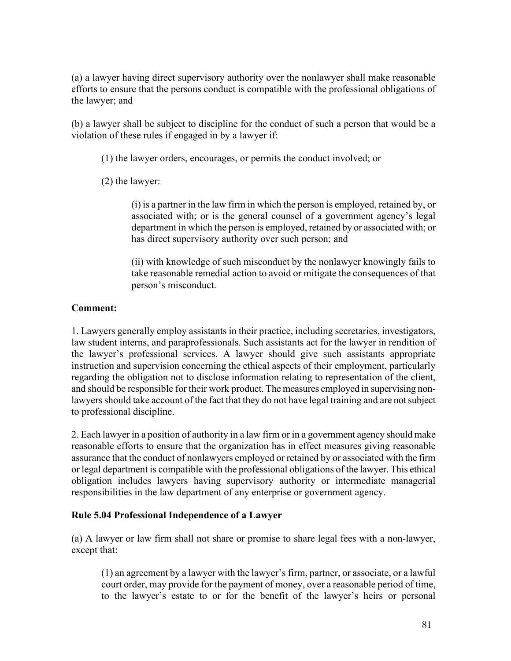(a) a lawyer having direct supervisory authority over the nonlawyer shall make reasonable efforts to ensure that the persons conduct is compatible with the professional obligations of the lawyer; and

(b) a lawyer shall be subject to discipline for the conduct of such a person that would be a violation of these rules if engaged in by a lawyer if:

(1) the lawyer orders, encourages, or permits the conduct involved; or

(2) the lawyer:

(i) is a partner in the law firm in which the person is employed, retained by, or associated with; or is the general counsel of a government agency's legal department in which the person is employed, retained by or associated with; or has direct supervisory authority over such person; and

(ii) with knowledge of such misconduct by the nonlawyer knowingly fails to take reasonable remedial action to avoid or mitigate the consequences of that person's misconduct.

# **Comment:**

1. Lawyers generally employ assistants in their practice, including secretaries, investigators, law student interns, and paraprofessionals. Such assistants act for the lawyer in rendition of the lawyer's professional services. A lawyer should give such assistants appropriate instruction and supervision concerning the ethical aspects of their employment, particularly regarding the obligation not to disclose information relating to representation of the client, and should be responsible for their work product. The measures employed in supervising nonlawyers should take account of the fact that they do not have legal training and are not subject to professional discipline.

2. Each lawyer in a position of authority in a law firm or in a government agency should make reasonable efforts to ensure that the organization has in effect measures giving reasonable assurance that the conduct of nonlawyers employed or retained by or associated with the firm or legal department is compatible with the professional obligations of the lawyer. This ethical obligation includes lawyers having supervisory authority or intermediate managerial responsibilities in the law department of any enterprise or government agency.

### **Rule 5.04 Professional Independence of a Lawyer**

(a) A lawyer or law firm shall not share or promise to share legal fees with a non-lawyer, except that:

(1) an agreement by a lawyer with the lawyer's firm, partner, or associate, or a lawful court order, may provide for the payment of money, over a reasonable period of time, to the lawyer's estate to or for the benefit of the lawyer's heirs or personal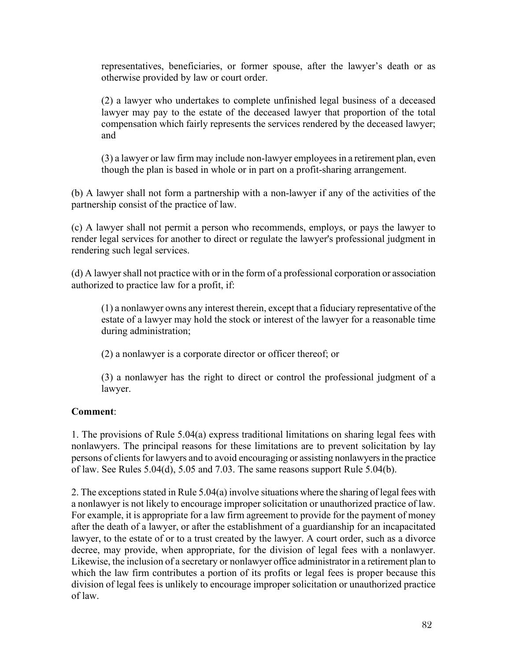representatives, beneficiaries, or former spouse, after the lawyer's death or as otherwise provided by law or court order.

(2) a lawyer who undertakes to complete unfinished legal business of a deceased lawyer may pay to the estate of the deceased lawyer that proportion of the total compensation which fairly represents the services rendered by the deceased lawyer; and

(3) a lawyer or law firm may include non-lawyer employees in a retirement plan, even though the plan is based in whole or in part on a profit-sharing arrangement.

(b) A lawyer shall not form a partnership with a non-lawyer if any of the activities of the partnership consist of the practice of law.

(c) A lawyer shall not permit a person who recommends, employs, or pays the lawyer to render legal services for another to direct or regulate the lawyer's professional judgment in rendering such legal services.

(d) A lawyer shall not practice with or in the form of a professional corporation or association authorized to practice law for a profit, if:

(1) a nonlawyer owns any interest therein, except that a fiduciary representative of the estate of a lawyer may hold the stock or interest of the lawyer for a reasonable time during administration;

(2) a nonlawyer is a corporate director or officer thereof; or

(3) a nonlawyer has the right to direct or control the professional judgment of a lawyer.

### **Comment**:

1. The provisions of Rule 5.04(a) express traditional limitations on sharing legal fees with nonlawyers. The principal reasons for these limitations are to prevent solicitation by lay persons of clients for lawyers and to avoid encouraging or assisting nonlawyers in the practice of law. See Rules 5.04(d), 5.05 and 7.03. The same reasons support Rule 5.04(b).

2. The exceptions stated in Rule 5.04(a) involve situations where the sharing of legal fees with a nonlawyer is not likely to encourage improper solicitation or unauthorized practice of law. For example, it is appropriate for a law firm agreement to provide for the payment of money after the death of a lawyer, or after the establishment of a guardianship for an incapacitated lawyer, to the estate of or to a trust created by the lawyer. A court order, such as a divorce decree, may provide, when appropriate, for the division of legal fees with a nonlawyer. Likewise, the inclusion of a secretary or nonlawyer office administrator in a retirement plan to which the law firm contributes a portion of its profits or legal fees is proper because this division of legal fees is unlikely to encourage improper solicitation or unauthorized practice of law.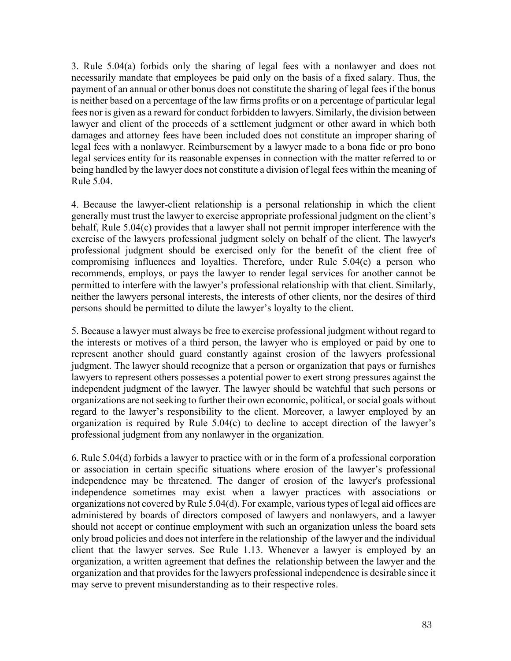3. Rule 5.04(a) forbids only the sharing of legal fees with a nonlawyer and does not necessarily mandate that employees be paid only on the basis of a fixed salary. Thus, the payment of an annual or other bonus does not constitute the sharing of legal fees if the bonus is neither based on a percentage of the law firms profits or on a percentage of particular legal fees nor is given as a reward for conduct forbidden to lawyers. Similarly, the division between lawyer and client of the proceeds of a settlement judgment or other award in which both damages and attorney fees have been included does not constitute an improper sharing of legal fees with a nonlawyer. Reimbursement by a lawyer made to a bona fide or pro bono legal services entity for its reasonable expenses in connection with the matter referred to or being handled by the lawyer does not constitute a division of legal fees within the meaning of Rule 5.04.

4. Because the lawyer-client relationship is a personal relationship in which the client generally must trust the lawyer to exercise appropriate professional judgment on the client's behalf, Rule 5.04(c) provides that a lawyer shall not permit improper interference with the exercise of the lawyers professional judgment solely on behalf of the client. The lawyer's professional judgment should be exercised only for the benefit of the client free of compromising influences and loyalties. Therefore, under Rule 5.04(c) a person who recommends, employs, or pays the lawyer to render legal services for another cannot be permitted to interfere with the lawyer's professional relationship with that client. Similarly, neither the lawyers personal interests, the interests of other clients, nor the desires of third persons should be permitted to dilute the lawyer's loyalty to the client.

5. Because a lawyer must always be free to exercise professional judgment without regard to the interests or motives of a third person, the lawyer who is employed or paid by one to represent another should guard constantly against erosion of the lawyers professional judgment. The lawyer should recognize that a person or organization that pays or furnishes lawyers to represent others possesses a potential power to exert strong pressures against the independent judgment of the lawyer. The lawyer should be watchful that such persons or organizations are not seeking to further their own economic, political, or social goals without regard to the lawyer's responsibility to the client. Moreover, a lawyer employed by an organization is required by Rule 5.04(c) to decline to accept direction of the lawyer's professional judgment from any nonlawyer in the organization.

6. Rule 5.04(d) forbids a lawyer to practice with or in the form of a professional corporation or association in certain specific situations where erosion of the lawyer's professional independence may be threatened. The danger of erosion of the lawyer's professional independence sometimes may exist when a lawyer practices with associations or organizations not covered by Rule 5.04(d). For example, various types of legal aid offices are administered by boards of directors composed of lawyers and nonlawyers, and a lawyer should not accept or continue employment with such an organization unless the board sets only broad policies and does not interfere in the relationship of the lawyer and the individual client that the lawyer serves. See Rule 1.13. Whenever a lawyer is employed by an organization, a written agreement that defines the relationship between the lawyer and the organization and that provides for the lawyers professional independence is desirable since it may serve to prevent misunderstanding as to their respective roles.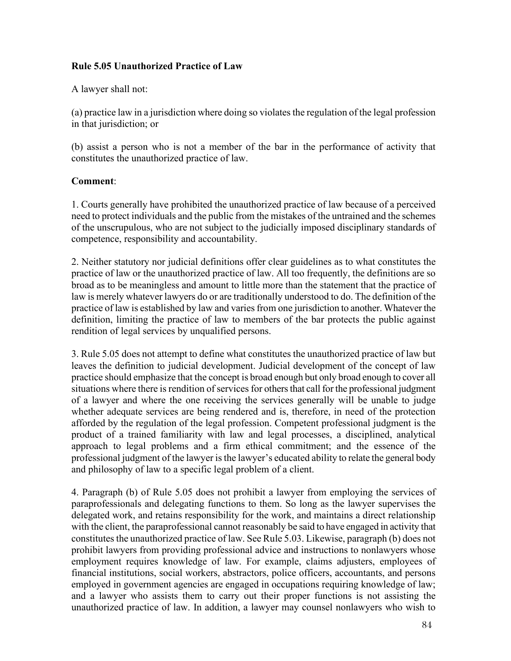### **Rule 5.05 Unauthorized Practice of Law**

A lawyer shall not:

(a) practice law in a jurisdiction where doing so violates the regulation of the legal profession in that jurisdiction; or

(b) assist a person who is not a member of the bar in the performance of activity that constitutes the unauthorized practice of law.

# **Comment**:

1. Courts generally have prohibited the unauthorized practice of law because of a perceived need to protect individuals and the public from the mistakes of the untrained and the schemes of the unscrupulous, who are not subject to the judicially imposed disciplinary standards of competence, responsibility and accountability.

2. Neither statutory nor judicial definitions offer clear guidelines as to what constitutes the practice of law or the unauthorized practice of law. All too frequently, the definitions are so broad as to be meaningless and amount to little more than the statement that the practice of law is merely whatever lawyers do or are traditionally understood to do. The definition of the practice of law is established by law and varies from one jurisdiction to another. Whatever the definition, limiting the practice of law to members of the bar protects the public against rendition of legal services by unqualified persons.

3. Rule 5.05 does not attempt to define what constitutes the unauthorized practice of law but leaves the definition to judicial development. Judicial development of the concept of law practice should emphasize that the concept is broad enough but only broad enough to cover all situations where there is rendition of services for others that call for the professional judgment of a lawyer and where the one receiving the services generally will be unable to judge whether adequate services are being rendered and is, therefore, in need of the protection afforded by the regulation of the legal profession. Competent professional judgment is the product of a trained familiarity with law and legal processes, a disciplined, analytical approach to legal problems and a firm ethical commitment; and the essence of the professional judgment of the lawyer is the lawyer's educated ability to relate the general body and philosophy of law to a specific legal problem of a client.

4. Paragraph (b) of Rule 5.05 does not prohibit a lawyer from employing the services of paraprofessionals and delegating functions to them. So long as the lawyer supervises the delegated work, and retains responsibility for the work, and maintains a direct relationship with the client, the paraprofessional cannot reasonably be said to have engaged in activity that constitutes the unauthorized practice of law. See Rule 5.03. Likewise, paragraph (b) does not prohibit lawyers from providing professional advice and instructions to nonlawyers whose employment requires knowledge of law. For example, claims adjusters, employees of financial institutions, social workers, abstractors, police officers, accountants, and persons employed in government agencies are engaged in occupations requiring knowledge of law; and a lawyer who assists them to carry out their proper functions is not assisting the unauthorized practice of law. In addition, a lawyer may counsel nonlawyers who wish to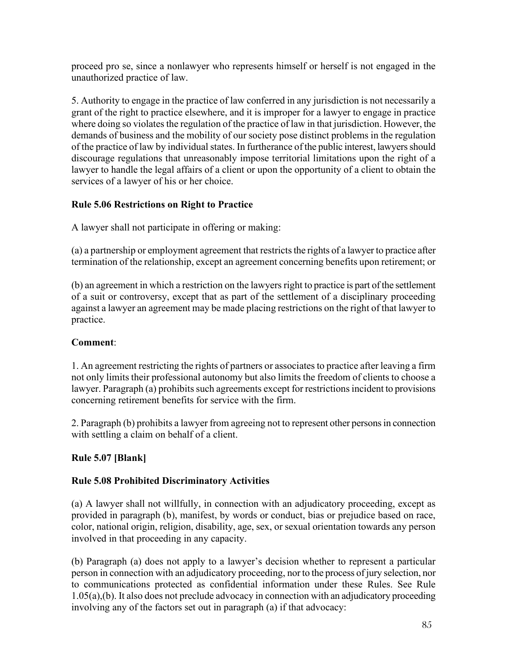proceed pro se, since a nonlawyer who represents himself or herself is not engaged in the unauthorized practice of law.

5. Authority to engage in the practice of law conferred in any jurisdiction is not necessarily a grant of the right to practice elsewhere, and it is improper for a lawyer to engage in practice where doing so violates the regulation of the practice of law in that jurisdiction. However, the demands of business and the mobility of our society pose distinct problems in the regulation of the practice of law by individual states. In furtherance of the public interest, lawyers should discourage regulations that unreasonably impose territorial limitations upon the right of a lawyer to handle the legal affairs of a client or upon the opportunity of a client to obtain the services of a lawyer of his or her choice.

# **Rule 5.06 Restrictions on Right to Practice**

A lawyer shall not participate in offering or making:

(a) a partnership or employment agreement that restricts the rights of a lawyer to practice after termination of the relationship, except an agreement concerning benefits upon retirement; or

(b) an agreement in which a restriction on the lawyers right to practice is part of the settlement of a suit or controversy, except that as part of the settlement of a disciplinary proceeding against a lawyer an agreement may be made placing restrictions on the right of that lawyer to practice.

### **Comment**:

1. An agreement restricting the rights of partners or associates to practice after leaving a firm not only limits their professional autonomy but also limits the freedom of clients to choose a lawyer. Paragraph (a) prohibits such agreements except for restrictions incident to provisions concerning retirement benefits for service with the firm.

2. Paragraph (b) prohibits a lawyer from agreeing not to represent other persons in connection with settling a claim on behalf of a client.

# **Rule 5.07 [Blank]**

# **Rule 5.08 Prohibited Discriminatory Activities**

(a) A lawyer shall not willfully, in connection with an adjudicatory proceeding, except as provided in paragraph (b), manifest, by words or conduct, bias or prejudice based on race, color, national origin, religion, disability, age, sex, or sexual orientation towards any person involved in that proceeding in any capacity.

(b) Paragraph (a) does not apply to a lawyer's decision whether to represent a particular person in connection with an adjudicatory proceeding, nor to the process of jury selection, nor to communications protected as confidential information under these Rules. See Rule 1.05(a),(b). It also does not preclude advocacy in connection with an adjudicatory proceeding involving any of the factors set out in paragraph (a) if that advocacy: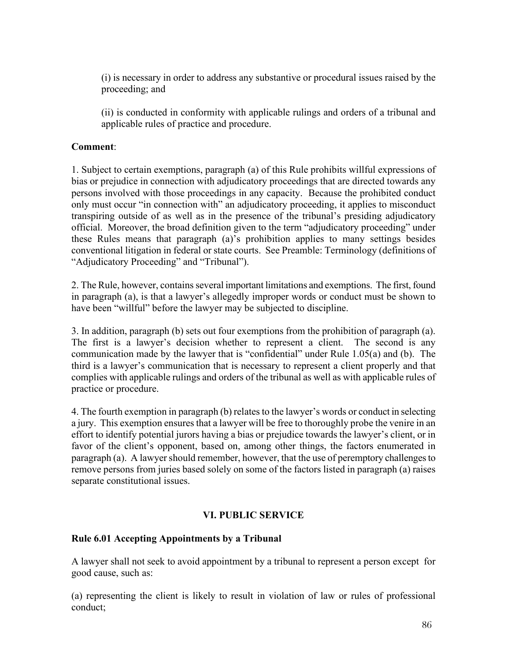(i) is necessary in order to address any substantive or procedural issues raised by the proceeding; and

(ii) is conducted in conformity with applicable rulings and orders of a tribunal and applicable rules of practice and procedure.

### **Comment**:

1. Subject to certain exemptions, paragraph (a) of this Rule prohibits willful expressions of bias or prejudice in connection with adjudicatory proceedings that are directed towards any persons involved with those proceedings in any capacity. Because the prohibited conduct only must occur "in connection with" an adjudicatory proceeding, it applies to misconduct transpiring outside of as well as in the presence of the tribunal's presiding adjudicatory official. Moreover, the broad definition given to the term "adjudicatory proceeding" under these Rules means that paragraph (a)'s prohibition applies to many settings besides conventional litigation in federal or state courts. See Preamble: Terminology (definitions of "Adjudicatory Proceeding" and "Tribunal").

2. The Rule, however, contains several important limitations and exemptions. The first, found in paragraph (a), is that a lawyer's allegedly improper words or conduct must be shown to have been "willful" before the lawyer may be subjected to discipline.

3. In addition, paragraph (b) sets out four exemptions from the prohibition of paragraph (a). The first is a lawyer's decision whether to represent a client. The second is any communication made by the lawyer that is "confidential" under Rule 1.05(a) and (b). The third is a lawyer's communication that is necessary to represent a client properly and that complies with applicable rulings and orders of the tribunal as well as with applicable rules of practice or procedure.

4. The fourth exemption in paragraph (b) relates to the lawyer's words or conduct in selecting a jury. This exemption ensures that a lawyer will be free to thoroughly probe the venire in an effort to identify potential jurors having a bias or prejudice towards the lawyer's client, or in favor of the client's opponent, based on, among other things, the factors enumerated in paragraph (a). A lawyer should remember, however, that the use of peremptory challenges to remove persons from juries based solely on some of the factors listed in paragraph (a) raises separate constitutional issues.

# **VI. PUBLIC SERVICE**

### **Rule 6.01 Accepting Appointments by a Tribunal**

A lawyer shall not seek to avoid appointment by a tribunal to represent a person except for good cause, such as:

(a) representing the client is likely to result in violation of law or rules of professional conduct;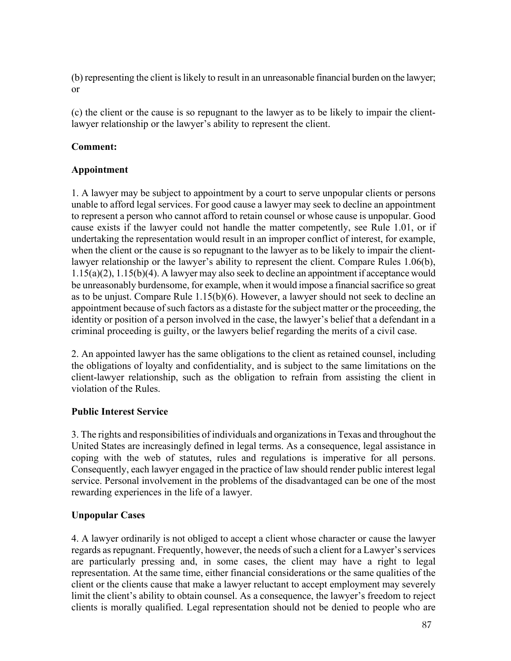(b) representing the client is likely to result in an unreasonable financial burden on the lawyer; or

(c) the client or the cause is so repugnant to the lawyer as to be likely to impair the clientlawyer relationship or the lawyer's ability to represent the client.

# **Comment:**

# **Appointment**

1. A lawyer may be subject to appointment by a court to serve unpopular clients or persons unable to afford legal services. For good cause a lawyer may seek to decline an appointment to represent a person who cannot afford to retain counsel or whose cause is unpopular. Good cause exists if the lawyer could not handle the matter competently, see Rule 1.01, or if undertaking the representation would result in an improper conflict of interest, for example, when the client or the cause is so repugnant to the lawyer as to be likely to impair the clientlawyer relationship or the lawyer's ability to represent the client. Compare Rules 1.06(b), 1.15(a)(2), 1.15(b)(4). A lawyer may also seek to decline an appointment if acceptance would be unreasonably burdensome, for example, when it would impose a financial sacrifice so great as to be unjust. Compare Rule 1.15(b)(6). However, a lawyer should not seek to decline an appointment because of such factors as a distaste for the subject matter or the proceeding, the identity or position of a person involved in the case, the lawyer's belief that a defendant in a criminal proceeding is guilty, or the lawyers belief regarding the merits of a civil case.

2. An appointed lawyer has the same obligations to the client as retained counsel, including the obligations of loyalty and confidentiality, and is subject to the same limitations on the client-lawyer relationship, such as the obligation to refrain from assisting the client in violation of the Rules.

# **Public Interest Service**

3. The rights and responsibilities of individuals and organizations in Texas and throughout the United States are increasingly defined in legal terms. As a consequence, legal assistance in coping with the web of statutes, rules and regulations is imperative for all persons. Consequently, each lawyer engaged in the practice of law should render public interest legal service. Personal involvement in the problems of the disadvantaged can be one of the most rewarding experiences in the life of a lawyer.

### **Unpopular Cases**

4. A lawyer ordinarily is not obliged to accept a client whose character or cause the lawyer regards as repugnant. Frequently, however, the needs of such a client for a Lawyer's services are particularly pressing and, in some cases, the client may have a right to legal representation. At the same time, either financial considerations or the same qualities of the client or the clients cause that make a lawyer reluctant to accept employment may severely limit the client's ability to obtain counsel. As a consequence, the lawyer's freedom to reject clients is morally qualified. Legal representation should not be denied to people who are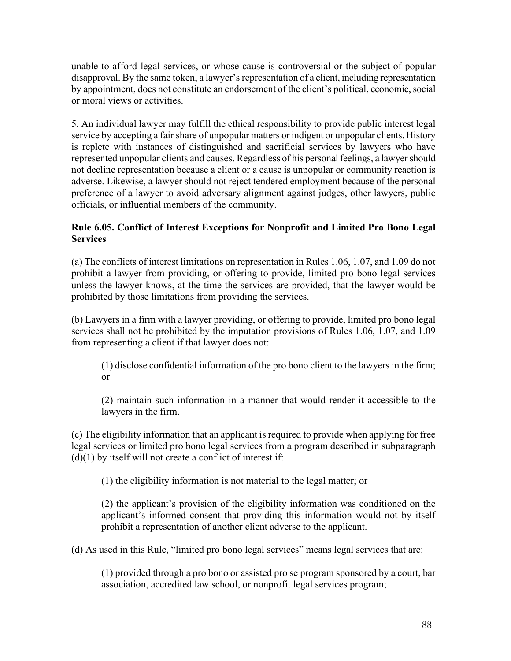unable to afford legal services, or whose cause is controversial or the subject of popular disapproval. By the same token, a lawyer's representation of a client, including representation by appointment, does not constitute an endorsement of the client's political, economic, social or moral views or activities.

5. An individual lawyer may fulfill the ethical responsibility to provide public interest legal service by accepting a fair share of unpopular matters or indigent or unpopular clients. History is replete with instances of distinguished and sacrificial services by lawyers who have represented unpopular clients and causes. Regardless of his personal feelings, a lawyer should not decline representation because a client or a cause is unpopular or community reaction is adverse. Likewise, a lawyer should not reject tendered employment because of the personal preference of a lawyer to avoid adversary alignment against judges, other lawyers, public officials, or influential members of the community.

### **Rule 6.05. Conflict of Interest Exceptions for Nonprofit and Limited Pro Bono Legal Services**

(a) The conflicts of interest limitations on representation in Rules 1.06, 1.07, and 1.09 do not prohibit a lawyer from providing, or offering to provide, limited pro bono legal services unless the lawyer knows, at the time the services are provided, that the lawyer would be prohibited by those limitations from providing the services.

(b) Lawyers in a firm with a lawyer providing, or offering to provide, limited pro bono legal services shall not be prohibited by the imputation provisions of Rules 1.06, 1.07, and 1.09 from representing a client if that lawyer does not:

(1) disclose confidential information of the pro bono client to the lawyers in the firm; or

(2) maintain such information in a manner that would render it accessible to the lawyers in the firm.

(c) The eligibility information that an applicant is required to provide when applying for free legal services or limited pro bono legal services from a program described in subparagraph  $(d)(1)$  by itself will not create a conflict of interest if:

(1) the eligibility information is not material to the legal matter; or

(2) the applicant's provision of the eligibility information was conditioned on the applicant's informed consent that providing this information would not by itself prohibit a representation of another client adverse to the applicant.

(d) As used in this Rule, "limited pro bono legal services" means legal services that are:

(1) provided through a pro bono or assisted pro se program sponsored by a court, bar association, accredited law school, or nonprofit legal services program;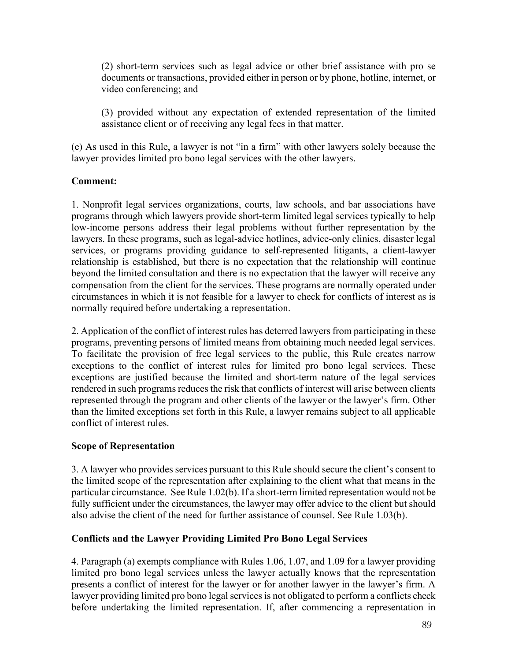(2) short-term services such as legal advice or other brief assistance with pro se documents or transactions, provided either in person or by phone, hotline, internet, or video conferencing; and

(3) provided without any expectation of extended representation of the limited assistance client or of receiving any legal fees in that matter.

(e) As used in this Rule, a lawyer is not "in a firm" with other lawyers solely because the lawyer provides limited pro bono legal services with the other lawyers.

# **Comment:**

1. Nonprofit legal services organizations, courts, law schools, and bar associations have programs through which lawyers provide short-term limited legal services typically to help low-income persons address their legal problems without further representation by the lawyers. In these programs, such as legal-advice hotlines, advice-only clinics, disaster legal services, or programs providing guidance to self-represented litigants, a client-lawyer relationship is established, but there is no expectation that the relationship will continue beyond the limited consultation and there is no expectation that the lawyer will receive any compensation from the client for the services. These programs are normally operated under circumstances in which it is not feasible for a lawyer to check for conflicts of interest as is normally required before undertaking a representation.

2. Application of the conflict of interest rules has deterred lawyers from participating in these programs, preventing persons of limited means from obtaining much needed legal services. To facilitate the provision of free legal services to the public, this Rule creates narrow exceptions to the conflict of interest rules for limited pro bono legal services. These exceptions are justified because the limited and short-term nature of the legal services rendered in such programs reduces the risk that conflicts of interest will arise between clients represented through the program and other clients of the lawyer or the lawyer's firm. Other than the limited exceptions set forth in this Rule, a lawyer remains subject to all applicable conflict of interest rules.

### **Scope of Representation**

3. A lawyer who provides services pursuant to this Rule should secure the client's consent to the limited scope of the representation after explaining to the client what that means in the particular circumstance. See Rule 1.02(b). If a short-term limited representation would not be fully sufficient under the circumstances, the lawyer may offer advice to the client but should also advise the client of the need for further assistance of counsel. See Rule 1.03(b).

# **Conflicts and the Lawyer Providing Limited Pro Bono Legal Services**

4. Paragraph (a) exempts compliance with Rules 1.06, 1.07, and 1.09 for a lawyer providing limited pro bono legal services unless the lawyer actually knows that the representation presents a conflict of interest for the lawyer or for another lawyer in the lawyer's firm. A lawyer providing limited pro bono legal services is not obligated to perform a conflicts check before undertaking the limited representation. If, after commencing a representation in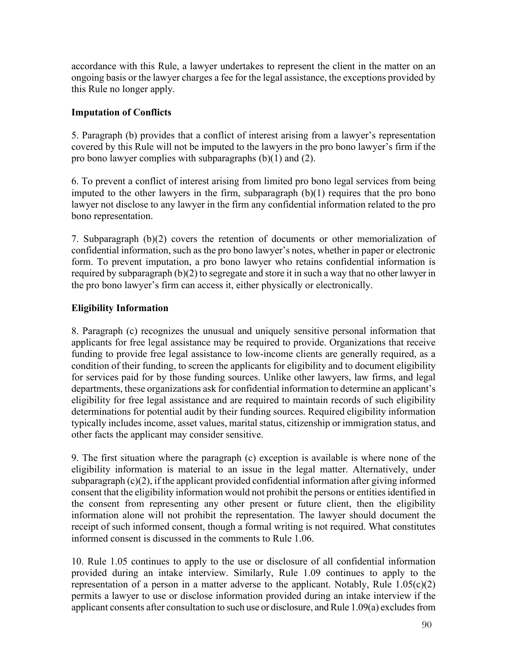accordance with this Rule, a lawyer undertakes to represent the client in the matter on an ongoing basis or the lawyer charges a fee for the legal assistance, the exceptions provided by this Rule no longer apply.

### **Imputation of Conflicts**

5. Paragraph (b) provides that a conflict of interest arising from a lawyer's representation covered by this Rule will not be imputed to the lawyers in the pro bono lawyer's firm if the pro bono lawyer complies with subparagraphs (b)(1) and (2).

6. To prevent a conflict of interest arising from limited pro bono legal services from being imputed to the other lawyers in the firm, subparagraph  $(b)(1)$  requires that the pro bono lawyer not disclose to any lawyer in the firm any confidential information related to the pro bono representation.

7. Subparagraph (b)(2) covers the retention of documents or other memorialization of confidential information, such as the pro bono lawyer's notes, whether in paper or electronic form. To prevent imputation, a pro bono lawyer who retains confidential information is required by subparagraph (b)(2) to segregate and store it in such a way that no other lawyer in the pro bono lawyer's firm can access it, either physically or electronically.

# **Eligibility Information**

8. Paragraph (c) recognizes the unusual and uniquely sensitive personal information that applicants for free legal assistance may be required to provide. Organizations that receive funding to provide free legal assistance to low-income clients are generally required, as a condition of their funding, to screen the applicants for eligibility and to document eligibility for services paid for by those funding sources. Unlike other lawyers, law firms, and legal departments, these organizations ask for confidential information to determine an applicant's eligibility for free legal assistance and are required to maintain records of such eligibility determinations for potential audit by their funding sources. Required eligibility information typically includes income, asset values, marital status, citizenship or immigration status, and other facts the applicant may consider sensitive.

9. The first situation where the paragraph (c) exception is available is where none of the eligibility information is material to an issue in the legal matter. Alternatively, under subparagraph (c)(2), if the applicant provided confidential information after giving informed consent that the eligibility information would not prohibit the persons or entities identified in the consent from representing any other present or future client, then the eligibility information alone will not prohibit the representation. The lawyer should document the receipt of such informed consent, though a formal writing is not required. What constitutes informed consent is discussed in the comments to Rule 1.06.

10. Rule 1.05 continues to apply to the use or disclosure of all confidential information provided during an intake interview. Similarly, Rule 1.09 continues to apply to the representation of a person in a matter adverse to the applicant. Notably, Rule  $1.05(c)(2)$ permits a lawyer to use or disclose information provided during an intake interview if the applicant consents after consultation to such use or disclosure, and Rule 1.09(a) excludes from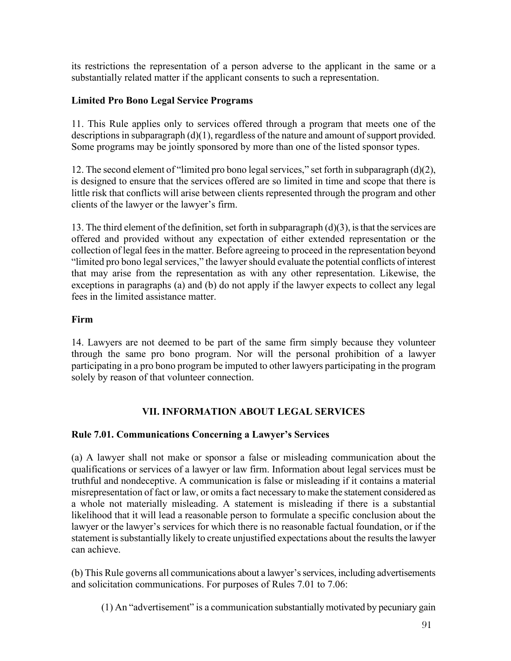its restrictions the representation of a person adverse to the applicant in the same or a substantially related matter if the applicant consents to such a representation.

### **Limited Pro Bono Legal Service Programs**

11. This Rule applies only to services offered through a program that meets one of the descriptions in subparagraph (d)(1), regardless of the nature and amount of support provided. Some programs may be jointly sponsored by more than one of the listed sponsor types.

12. The second element of "limited pro bono legal services," set forth in subparagraph (d)(2), is designed to ensure that the services offered are so limited in time and scope that there is little risk that conflicts will arise between clients represented through the program and other clients of the lawyer or the lawyer's firm.

13. The third element of the definition, set forth in subparagraph (d)(3), is that the services are offered and provided without any expectation of either extended representation or the collection of legal fees in the matter. Before agreeing to proceed in the representation beyond "limited pro bono legal services," the lawyer should evaluate the potential conflicts of interest that may arise from the representation as with any other representation. Likewise, the exceptions in paragraphs (a) and (b) do not apply if the lawyer expects to collect any legal fees in the limited assistance matter.

# **Firm**

14. Lawyers are not deemed to be part of the same firm simply because they volunteer through the same pro bono program. Nor will the personal prohibition of a lawyer participating in a pro bono program be imputed to other lawyers participating in the program solely by reason of that volunteer connection.

# **VII. INFORMATION ABOUT LEGAL SERVICES**

# **Rule 7.01. Communications Concerning a Lawyer's Services**

(a) A lawyer shall not make or sponsor a false or misleading communication about the qualifications or services of a lawyer or law firm. Information about legal services must be truthful and nondeceptive. A communication is false or misleading if it contains a material misrepresentation of fact or law, or omits a fact necessary to make the statement considered as a whole not materially misleading. A statement is misleading if there is a substantial likelihood that it will lead a reasonable person to formulate a specific conclusion about the lawyer or the lawyer's services for which there is no reasonable factual foundation, or if the statement is substantially likely to create unjustified expectations about the results the lawyer can achieve.

(b) This Rule governs all communications about a lawyer's services, including advertisements and solicitation communications. For purposes of Rules 7.01 to 7.06:

(1) An "advertisement" is a communication substantially motivated by pecuniary gain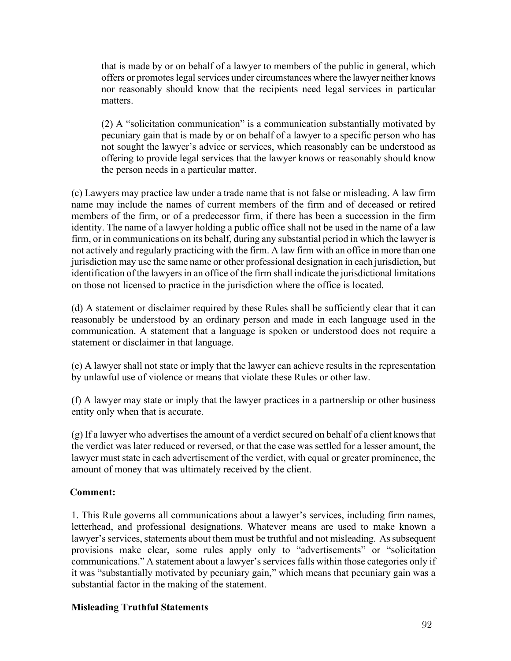that is made by or on behalf of a lawyer to members of the public in general, which offers or promotes legal services under circumstances where the lawyer neither knows nor reasonably should know that the recipients need legal services in particular matters.

(2) A "solicitation communication" is a communication substantially motivated by pecuniary gain that is made by or on behalf of a lawyer to a specific person who has not sought the lawyer's advice or services, which reasonably can be understood as offering to provide legal services that the lawyer knows or reasonably should know the person needs in a particular matter.

(c) Lawyers may practice law under a trade name that is not false or misleading. A law firm name may include the names of current members of the firm and of deceased or retired members of the firm, or of a predecessor firm, if there has been a succession in the firm identity. The name of a lawyer holding a public office shall not be used in the name of a law firm, or in communications on its behalf, during any substantial period in which the lawyer is not actively and regularly practicing with the firm. A law firm with an office in more than one jurisdiction may use the same name or other professional designation in each jurisdiction, but identification of the lawyers in an office of the firm shall indicate the jurisdictional limitations on those not licensed to practice in the jurisdiction where the office is located.

(d) A statement or disclaimer required by these Rules shall be sufficiently clear that it can reasonably be understood by an ordinary person and made in each language used in the communication. A statement that a language is spoken or understood does not require a statement or disclaimer in that language.

(e) A lawyer shall not state or imply that the lawyer can achieve results in the representation by unlawful use of violence or means that violate these Rules or other law.

(f) A lawyer may state or imply that the lawyer practices in a partnership or other business entity only when that is accurate.

(g) If a lawyer who advertises the amount of a verdict secured on behalf of a client knows that the verdict was later reduced or reversed, or that the case was settled for a lesser amount, the lawyer must state in each advertisement of the verdict, with equal or greater prominence, the amount of money that was ultimately received by the client.

### **Comment:**

1. This Rule governs all communications about a lawyer's services, including firm names, letterhead, and professional designations. Whatever means are used to make known a lawyer's services, statements about them must be truthful and not misleading. As subsequent provisions make clear, some rules apply only to "advertisements" or "solicitation communications." A statement about a lawyer's services falls within those categories only if it was "substantially motivated by pecuniary gain," which means that pecuniary gain was a substantial factor in the making of the statement.

### **Misleading Truthful Statements**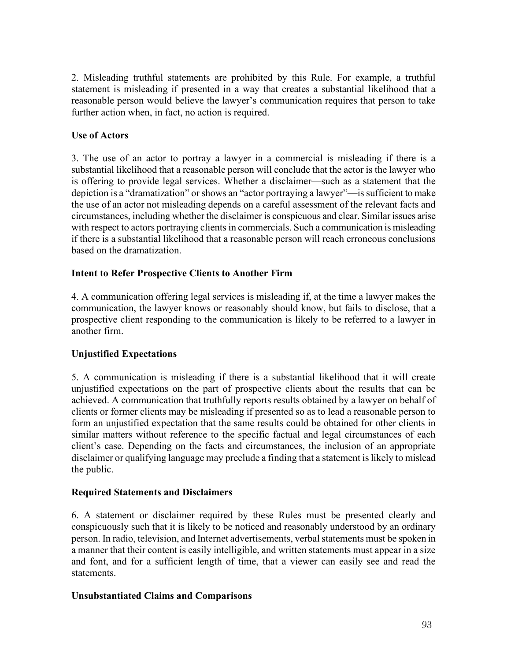2. Misleading truthful statements are prohibited by this Rule. For example, a truthful statement is misleading if presented in a way that creates a substantial likelihood that a reasonable person would believe the lawyer's communication requires that person to take further action when, in fact, no action is required.

### **Use of Actors**

3. The use of an actor to portray a lawyer in a commercial is misleading if there is a substantial likelihood that a reasonable person will conclude that the actor is the lawyer who is offering to provide legal services. Whether a disclaimer—such as a statement that the depiction is a "dramatization" orshows an "actor portraying a lawyer"—is sufficient to make the use of an actor not misleading depends on a careful assessment of the relevant facts and circumstances, including whether the disclaimer is conspicuous and clear. Similar issues arise with respect to actors portraying clients in commercials. Such a communication is misleading if there is a substantial likelihood that a reasonable person will reach erroneous conclusions based on the dramatization.

# **Intent to Refer Prospective Clients to Another Firm**

4. A communication offering legal services is misleading if, at the time a lawyer makes the communication, the lawyer knows or reasonably should know, but fails to disclose, that a prospective client responding to the communication is likely to be referred to a lawyer in another firm.

# **Unjustified Expectations**

5. A communication is misleading if there is a substantial likelihood that it will create unjustified expectations on the part of prospective clients about the results that can be achieved. A communication that truthfully reports results obtained by a lawyer on behalf of clients or former clients may be misleading if presented so as to lead a reasonable person to form an unjustified expectation that the same results could be obtained for other clients in similar matters without reference to the specific factual and legal circumstances of each client's case. Depending on the facts and circumstances, the inclusion of an appropriate disclaimer or qualifying language may preclude a finding that a statement is likely to mislead the public.

### **Required Statements and Disclaimers**

6. A statement or disclaimer required by these Rules must be presented clearly and conspicuously such that it is likely to be noticed and reasonably understood by an ordinary person. In radio, television, and Internet advertisements, verbal statements must be spoken in a manner that their content is easily intelligible, and written statements must appear in a size and font, and for a sufficient length of time, that a viewer can easily see and read the statements.

### **Unsubstantiated Claims and Comparisons**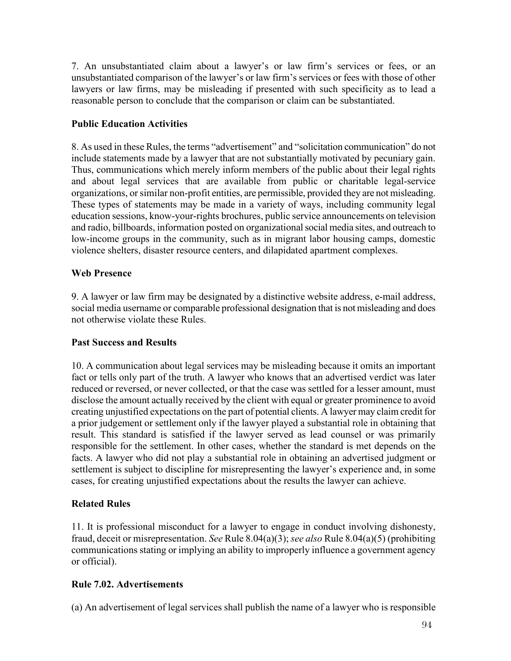7. An unsubstantiated claim about a lawyer's or law firm's services or fees, or an unsubstantiated comparison of the lawyer's or law firm's services or fees with those of other lawyers or law firms, may be misleading if presented with such specificity as to lead a reasonable person to conclude that the comparison or claim can be substantiated.

### **Public Education Activities**

8. As used in these Rules, the terms "advertisement" and "solicitation communication" do not include statements made by a lawyer that are not substantially motivated by pecuniary gain. Thus, communications which merely inform members of the public about their legal rights and about legal services that are available from public or charitable legal-service organizations, or similar non-profit entities, are permissible, provided they are not misleading. These types of statements may be made in a variety of ways, including community legal education sessions, know-your-rights brochures, public service announcements on television and radio, billboards, information posted on organizational social media sites, and outreach to low-income groups in the community, such as in migrant labor housing camps, domestic violence shelters, disaster resource centers, and dilapidated apartment complexes.

### **Web Presence**

9. A lawyer or law firm may be designated by a distinctive website address, e-mail address, social media username or comparable professional designation that is not misleading and does not otherwise violate these Rules.

### **Past Success and Results**

10. A communication about legal services may be misleading because it omits an important fact or tells only part of the truth. A lawyer who knows that an advertised verdict was later reduced or reversed, or never collected, or that the case was settled for a lesser amount, must disclose the amount actually received by the client with equal or greater prominence to avoid creating unjustified expectations on the part of potential clients. A lawyer may claim credit for a prior judgement or settlement only if the lawyer played a substantial role in obtaining that result. This standard is satisfied if the lawyer served as lead counsel or was primarily responsible for the settlement. In other cases, whether the standard is met depends on the facts. A lawyer who did not play a substantial role in obtaining an advertised judgment or settlement is subject to discipline for misrepresenting the lawyer's experience and, in some cases, for creating unjustified expectations about the results the lawyer can achieve.

### **Related Rules**

11. It is professional misconduct for a lawyer to engage in conduct involving dishonesty, fraud, deceit or misrepresentation. *See* Rule 8.04(a)(3); *see also* Rule 8.04(a)(5) (prohibiting communications stating or implying an ability to improperly influence a government agency or official).

# **Rule 7.02. Advertisements**

(a) An advertisement of legal services shall publish the name of a lawyer who is responsible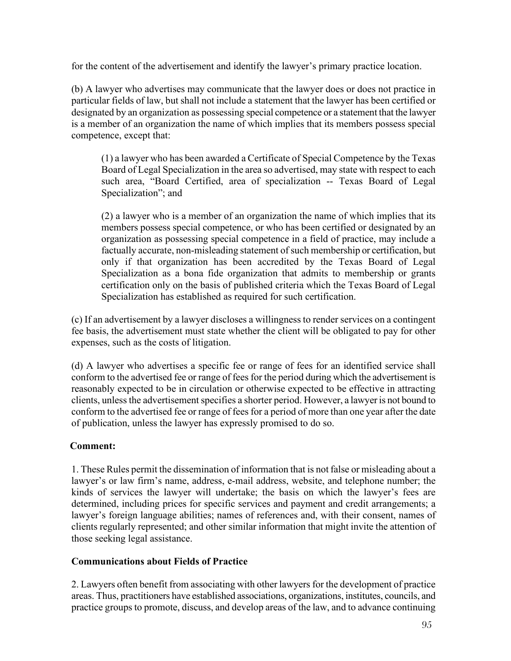for the content of the advertisement and identify the lawyer's primary practice location.

(b) A lawyer who advertises may communicate that the lawyer does or does not practice in particular fields of law, but shall not include a statement that the lawyer has been certified or designated by an organization as possessing special competence or a statement that the lawyer is a member of an organization the name of which implies that its members possess special competence, except that:

(1) a lawyer who has been awarded a Certificate of Special Competence by the Texas Board of Legal Specialization in the area so advertised, may state with respect to each such area, "Board Certified, area of specialization -- Texas Board of Legal Specialization"; and

(2) a lawyer who is a member of an organization the name of which implies that its members possess special competence, or who has been certified or designated by an organization as possessing special competence in a field of practice, may include a factually accurate, non-misleading statement of such membership or certification, but only if that organization has been accredited by the Texas Board of Legal Specialization as a bona fide organization that admits to membership or grants certification only on the basis of published criteria which the Texas Board of Legal Specialization has established as required for such certification.

(c) If an advertisement by a lawyer discloses a willingness to render services on a contingent fee basis, the advertisement must state whether the client will be obligated to pay for other expenses, such as the costs of litigation.

(d) A lawyer who advertises a specific fee or range of fees for an identified service shall conform to the advertised fee or range of fees for the period during which the advertisement is reasonably expected to be in circulation or otherwise expected to be effective in attracting clients, unless the advertisement specifies a shorter period. However, a lawyer is not bound to conform to the advertised fee or range of fees for a period of more than one year after the date of publication, unless the lawyer has expressly promised to do so.

### **Comment:**

1. These Rules permit the dissemination of information that is not false or misleading about a lawyer's or law firm's name, address, e-mail address, website, and telephone number; the kinds of services the lawyer will undertake; the basis on which the lawyer's fees are determined, including prices for specific services and payment and credit arrangements; a lawyer's foreign language abilities; names of references and, with their consent, names of clients regularly represented; and other similar information that might invite the attention of those seeking legal assistance.

### **Communications about Fields of Practice**

2. Lawyers often benefit from associating with other lawyers for the development of practice areas. Thus, practitioners have established associations, organizations, institutes, councils, and practice groups to promote, discuss, and develop areas of the law, and to advance continuing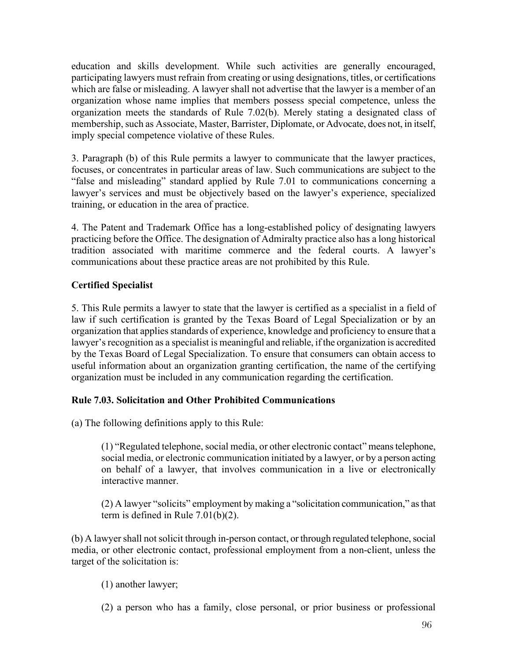education and skills development. While such activities are generally encouraged, participating lawyers must refrain from creating or using designations, titles, or certifications which are false or misleading. A lawyer shall not advertise that the lawyer is a member of an organization whose name implies that members possess special competence, unless the organization meets the standards of Rule 7.02(b). Merely stating a designated class of membership, such as Associate, Master, Barrister, Diplomate, or Advocate, does not, in itself, imply special competence violative of these Rules.

3. Paragraph (b) of this Rule permits a lawyer to communicate that the lawyer practices, focuses, or concentrates in particular areas of law. Such communications are subject to the "false and misleading" standard applied by Rule 7.01 to communications concerning a lawyer's services and must be objectively based on the lawyer's experience, specialized training, or education in the area of practice.

4. The Patent and Trademark Office has a long-established policy of designating lawyers practicing before the Office. The designation of Admiralty practice also has a long historical tradition associated with maritime commerce and the federal courts. A lawyer's communications about these practice areas are not prohibited by this Rule.

### **Certified Specialist**

5. This Rule permits a lawyer to state that the lawyer is certified as a specialist in a field of law if such certification is granted by the Texas Board of Legal Specialization or by an organization that applies standards of experience, knowledge and proficiency to ensure that a lawyer's recognition as a specialist is meaningful and reliable, if the organization is accredited by the Texas Board of Legal Specialization. To ensure that consumers can obtain access to useful information about an organization granting certification, the name of the certifying organization must be included in any communication regarding the certification.

### **Rule 7.03. Solicitation and Other Prohibited Communications**

(a) The following definitions apply to this Rule:

(1) "Regulated telephone, social media, or other electronic contact" means telephone, social media, or electronic communication initiated by a lawyer, or by a person acting on behalf of a lawyer, that involves communication in a live or electronically interactive manner.

(2) A lawyer "solicits" employment by making a "solicitation communication," as that term is defined in Rule 7.01(b)(2).

(b) A lawyer shall not solicit through in-person contact, or through regulated telephone, social media, or other electronic contact, professional employment from a non-client, unless the target of the solicitation is:

(1) another lawyer;

(2) a person who has a family, close personal, or prior business or professional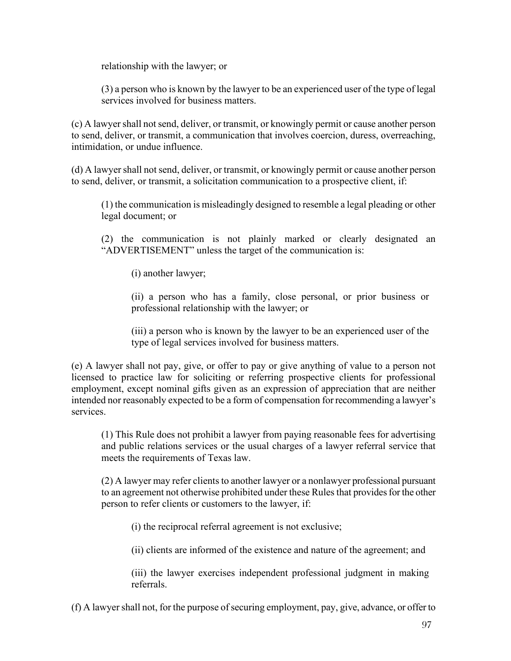relationship with the lawyer; or

(3) a person who is known by the lawyer to be an experienced user of the type of legal services involved for business matters.

(c) A lawyer shall not send, deliver, or transmit, or knowingly permit or cause another person to send, deliver, or transmit, a communication that involves coercion, duress, overreaching, intimidation, or undue influence.

(d) A lawyer shall not send, deliver, or transmit, or knowingly permit or cause another person to send, deliver, or transmit, a solicitation communication to a prospective client, if:

(1) the communication is misleadingly designed to resemble a legal pleading or other legal document; or

(2) the communication is not plainly marked or clearly designated an "ADVERTISEMENT" unless the target of the communication is:

(i) another lawyer;

(ii) a person who has a family, close personal, or prior business or professional relationship with the lawyer; or

(iii) a person who is known by the lawyer to be an experienced user of the type of legal services involved for business matters.

(e) A lawyer shall not pay, give, or offer to pay or give anything of value to a person not licensed to practice law for soliciting or referring prospective clients for professional employment, except nominal gifts given as an expression of appreciation that are neither intended nor reasonably expected to be a form of compensation for recommending a lawyer's services.

(1) This Rule does not prohibit a lawyer from paying reasonable fees for advertising and public relations services or the usual charges of a lawyer referral service that meets the requirements of Texas law.

(2) A lawyer may refer clients to another lawyer or a nonlawyer professional pursuant to an agreement not otherwise prohibited under these Rules that provides for the other person to refer clients or customers to the lawyer, if:

(i) the reciprocal referral agreement is not exclusive;

(ii) clients are informed of the existence and nature of the agreement; and

(iii) the lawyer exercises independent professional judgment in making referrals.

 $(f)$  A lawyer shall not, for the purpose of securing employment, pay, give, advance, or offer to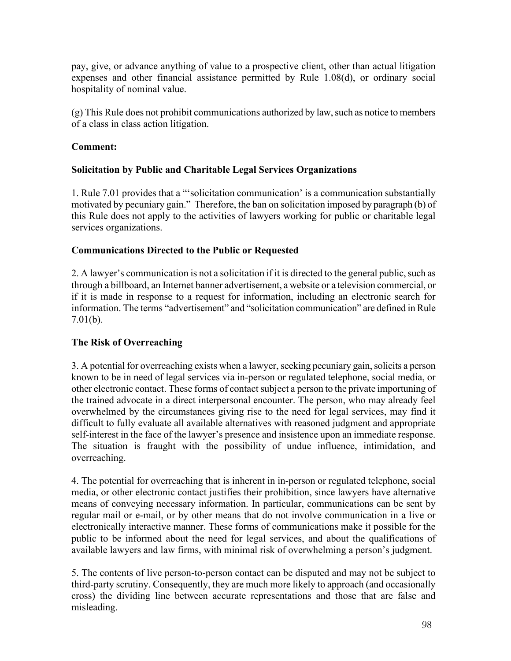pay, give, or advance anything of value to a prospective client, other than actual litigation expenses and other financial assistance permitted by Rule 1.08(d), or ordinary social hospitality of nominal value.

(g) This Rule does not prohibit communications authorized by law, such as notice to members of a class in class action litigation.

# **Comment:**

# **Solicitation by Public and Charitable Legal Services Organizations**

1. Rule 7.01 provides that a "'solicitation communication' is a communication substantially motivated by pecuniary gain." Therefore, the ban on solicitation imposed by paragraph (b) of this Rule does not apply to the activities of lawyers working for public or charitable legal services organizations.

# **Communications Directed to the Public or Requested**

2. A lawyer's communication is not a solicitation if it is directed to the general public, such as through a billboard, an Internet banner advertisement, a website or a television commercial, or if it is made in response to a request for information, including an electronic search for information. The terms "advertisement" and "solicitation communication" are defined in Rule 7.01(b).

# **The Risk of Overreaching**

3. A potential for overreaching exists when a lawyer, seeking pecuniary gain, solicits a person known to be in need of legal services via in-person or regulated telephone, social media, or other electronic contact. These forms of contact subject a person to the private importuning of the trained advocate in a direct interpersonal encounter. The person, who may already feel overwhelmed by the circumstances giving rise to the need for legal services, may find it difficult to fully evaluate all available alternatives with reasoned judgment and appropriate self-interest in the face of the lawyer's presence and insistence upon an immediate response. The situation is fraught with the possibility of undue influence, intimidation, and overreaching.

4. The potential for overreaching that is inherent in in-person or regulated telephone, social media, or other electronic contact justifies their prohibition, since lawyers have alternative means of conveying necessary information. In particular, communications can be sent by regular mail or e-mail, or by other means that do not involve communication in a live or electronically interactive manner. These forms of communications make it possible for the public to be informed about the need for legal services, and about the qualifications of available lawyers and law firms, with minimal risk of overwhelming a person's judgment.

5. The contents of live person-to-person contact can be disputed and may not be subject to third-party scrutiny. Consequently, they are much more likely to approach (and occasionally cross) the dividing line between accurate representations and those that are false and misleading.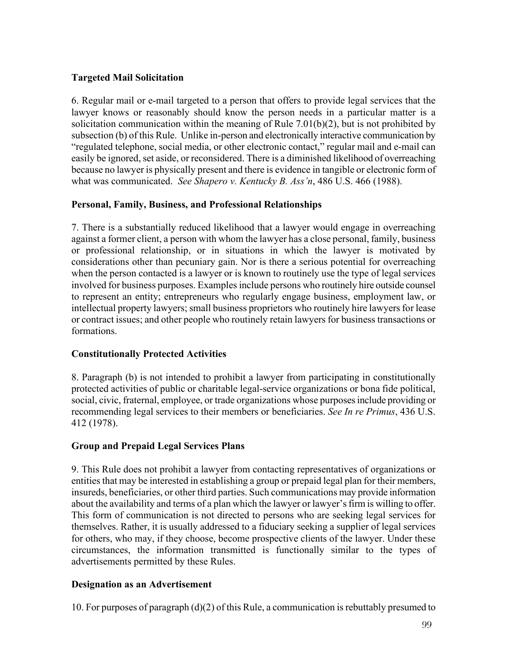### **Targeted Mail Solicitation**

6. Regular mail or e-mail targeted to a person that offers to provide legal services that the lawyer knows or reasonably should know the person needs in a particular matter is a solicitation communication within the meaning of Rule  $7.01(b)(2)$ , but is not prohibited by subsection (b) of this Rule. Unlike in-person and electronically interactive communication by "regulated telephone, social media, or other electronic contact," regular mail and e-mail can easily be ignored, set aside, or reconsidered. There is a diminished likelihood of overreaching because no lawyer is physically present and there is evidence in tangible or electronic form of what was communicated. *See Shapero v. Kentucky B. Ass'n*, 486 U.S. 466 (1988).

# **Personal, Family, Business, and Professional Relationships**

7. There is a substantially reduced likelihood that a lawyer would engage in overreaching against a former client, a person with whom the lawyer has a close personal, family, business or professional relationship, or in situations in which the lawyer is motivated by considerations other than pecuniary gain. Nor is there a serious potential for overreaching when the person contacted is a lawyer or is known to routinely use the type of legal services involved for business purposes. Examples include persons who routinely hire outside counsel to represent an entity; entrepreneurs who regularly engage business, employment law, or intellectual property lawyers; small business proprietors who routinely hire lawyers for lease or contract issues; and other people who routinely retain lawyers for business transactions or formations.

### **Constitutionally Protected Activities**

8. Paragraph (b) is not intended to prohibit a lawyer from participating in constitutionally protected activities of public or charitable legal-service organizations or bona fide political, social, civic, fraternal, employee, or trade organizations whose purposes include providing or recommending legal services to their members or beneficiaries. *See In re Primus*, 436 U.S. 412 (1978).

### **Group and Prepaid Legal Services Plans**

9. This Rule does not prohibit a lawyer from contacting representatives of organizations or entities that may be interested in establishing a group or prepaid legal plan for their members, insureds, beneficiaries, or other third parties. Such communications may provide information about the availability and terms of a plan which the lawyer or lawyer's firm is willing to offer. This form of communication is not directed to persons who are seeking legal services for themselves. Rather, it is usually addressed to a fiduciary seeking a supplier of legal services for others, who may, if they choose, become prospective clients of the lawyer. Under these circumstances, the information transmitted is functionally similar to the types of advertisements permitted by these Rules.

### **Designation as an Advertisement**

10. For purposes of paragraph (d)(2) of this Rule, a communication is rebuttably presumed to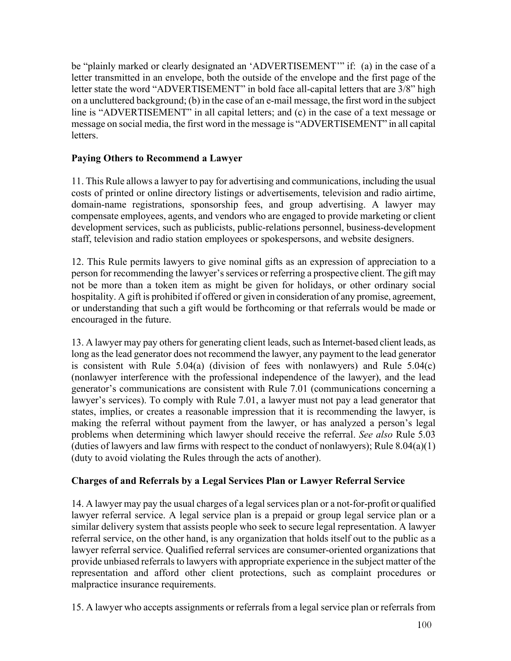be "plainly marked or clearly designated an 'ADVERTISEMENT'" if: (a) in the case of a letter transmitted in an envelope, both the outside of the envelope and the first page of the letter state the word "ADVERTISEMENT" in bold face all-capital letters that are 3/8" high on a uncluttered background; (b) in the case of an e-mail message, the first word in the subject line is "ADVERTISEMENT" in all capital letters; and (c) in the case of a text message or message on social media, the first word in the message is "ADVERTISEMENT" in all capital letters.

# **Paying Others to Recommend a Lawyer**

11. This Rule allows a lawyer to pay for advertising and communications, including the usual costs of printed or online directory listings or advertisements, television and radio airtime, domain-name registrations, sponsorship fees, and group advertising. A lawyer may compensate employees, agents, and vendors who are engaged to provide marketing or client development services, such as publicists, public-relations personnel, business-development staff, television and radio station employees or spokespersons, and website designers.

12. This Rule permits lawyers to give nominal gifts as an expression of appreciation to a person for recommending the lawyer's services or referring a prospective client. The gift may not be more than a token item as might be given for holidays, or other ordinary social hospitality. A gift is prohibited if offered or given in consideration of any promise, agreement, or understanding that such a gift would be forthcoming or that referrals would be made or encouraged in the future.

13. A lawyer may pay others for generating client leads, such as Internet-based client leads, as long as the lead generator does not recommend the lawyer, any payment to the lead generator is consistent with Rule 5.04(a) (division of fees with nonlawyers) and Rule 5.04(c) (nonlawyer interference with the professional independence of the lawyer), and the lead generator's communications are consistent with Rule 7.01 (communications concerning a lawyer's services). To comply with Rule 7.01, a lawyer must not pay a lead generator that states, implies, or creates a reasonable impression that it is recommending the lawyer, is making the referral without payment from the lawyer, or has analyzed a person's legal problems when determining which lawyer should receive the referral. *See also* Rule 5.03 (duties of lawyers and law firms with respect to the conduct of nonlawyers); Rule  $8.04(a)(1)$ (duty to avoid violating the Rules through the acts of another).

### **Charges of and Referrals by a Legal Services Plan or Lawyer Referral Service**

14. A lawyer may pay the usual charges of a legal services plan or a not-for-profit or qualified lawyer referral service. A legal service plan is a prepaid or group legal service plan or a similar delivery system that assists people who seek to secure legal representation. A lawyer referral service, on the other hand, is any organization that holds itself out to the public as a lawyer referral service. Qualified referral services are consumer-oriented organizations that provide unbiased referrals to lawyers with appropriate experience in the subject matter of the representation and afford other client protections, such as complaint procedures or malpractice insurance requirements.

15. A lawyer who accepts assignments or referrals from a legal service plan or referrals from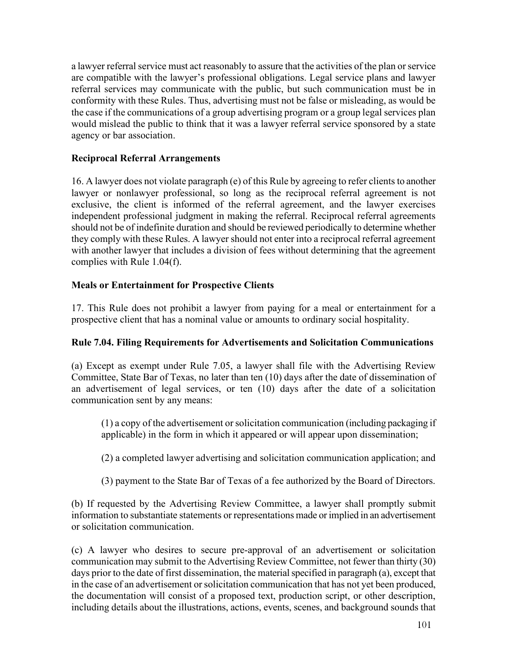a lawyer referral service must act reasonably to assure that the activities of the plan or service are compatible with the lawyer's professional obligations. Legal service plans and lawyer referral services may communicate with the public, but such communication must be in conformity with these Rules. Thus, advertising must not be false or misleading, as would be the case if the communications of a group advertising program or a group legal services plan would mislead the public to think that it was a lawyer referral service sponsored by a state agency or bar association.

### **Reciprocal Referral Arrangements**

16. A lawyer does not violate paragraph (e) of this Rule by agreeing to refer clients to another lawyer or nonlawyer professional, so long as the reciprocal referral agreement is not exclusive, the client is informed of the referral agreement, and the lawyer exercises independent professional judgment in making the referral. Reciprocal referral agreements should not be of indefinite duration and should be reviewed periodically to determine whether they comply with these Rules. A lawyer should not enter into a reciprocal referral agreement with another lawyer that includes a division of fees without determining that the agreement complies with Rule 1.04(f).

# **Meals or Entertainment for Prospective Clients**

17. This Rule does not prohibit a lawyer from paying for a meal or entertainment for a prospective client that has a nominal value or amounts to ordinary social hospitality.

### **Rule 7.04. Filing Requirements for Advertisements and Solicitation Communications**

(a) Except as exempt under Rule 7.05, a lawyer shall file with the Advertising Review Committee, State Bar of Texas, no later than ten (10) days after the date of dissemination of an advertisement of legal services, or ten (10) days after the date of a solicitation communication sent by any means:

(1) a copy of the advertisement or solicitation communication (including packaging if applicable) in the form in which it appeared or will appear upon dissemination;

(2) a completed lawyer advertising and solicitation communication application; and

(3) payment to the State Bar of Texas of a fee authorized by the Board of Directors.

(b) If requested by the Advertising Review Committee, a lawyer shall promptly submit information to substantiate statements or representations made or implied in an advertisement or solicitation communication.

(c) A lawyer who desires to secure pre-approval of an advertisement or solicitation communication may submit to the Advertising Review Committee, not fewer than thirty (30) days prior to the date of first dissemination, the material specified in paragraph (a), except that in the case of an advertisement or solicitation communication that has not yet been produced, the documentation will consist of a proposed text, production script, or other description, including details about the illustrations, actions, events, scenes, and background sounds that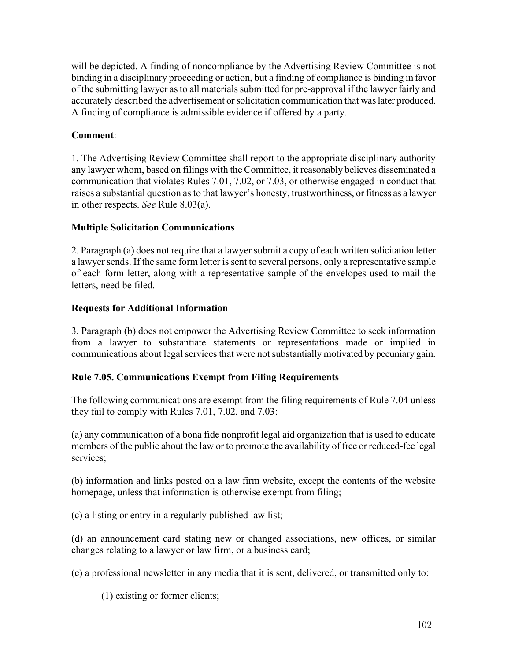will be depicted. A finding of noncompliance by the Advertising Review Committee is not binding in a disciplinary proceeding or action, but a finding of compliance is binding in favor of the submitting lawyer as to all materials submitted for pre-approval if the lawyer fairly and accurately described the advertisement or solicitation communication that was later produced. A finding of compliance is admissible evidence if offered by a party.

### **Comment**:

1. The Advertising Review Committee shall report to the appropriate disciplinary authority any lawyer whom, based on filings with the Committee, it reasonably believes disseminated a communication that violates Rules 7.01, 7.02, or 7.03, or otherwise engaged in conduct that raises a substantial question as to that lawyer's honesty, trustworthiness, or fitness as a lawyer in other respects. *See* Rule 8.03(a).

# **Multiple Solicitation Communications**

2. Paragraph (a) does not require that a lawyer submit a copy of each written solicitation letter a lawyer sends. If the same form letter is sent to several persons, only a representative sample of each form letter, along with a representative sample of the envelopes used to mail the letters, need be filed.

### **Requests for Additional Information**

3. Paragraph (b) does not empower the Advertising Review Committee to seek information from a lawyer to substantiate statements or representations made or implied in communications about legal services that were not substantially motivated by pecuniary gain.

# **Rule 7.05. Communications Exempt from Filing Requirements**

The following communications are exempt from the filing requirements of Rule 7.04 unless they fail to comply with Rules 7.01, 7.02, and 7.03:

(a) any communication of a bona fide nonprofit legal aid organization that is used to educate members of the public about the law or to promote the availability of free or reduced-fee legal services;

(b) information and links posted on a law firm website, except the contents of the website homepage, unless that information is otherwise exempt from filing;

(c) a listing or entry in a regularly published law list;

(d) an announcement card stating new or changed associations, new offices, or similar changes relating to a lawyer or law firm, or a business card;

(e) a professional newsletter in any media that it is sent, delivered, or transmitted only to:

(1) existing or former clients;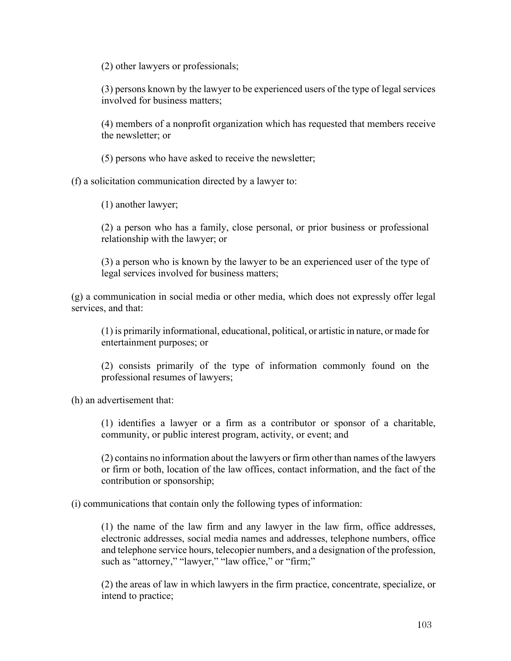(2) other lawyers or professionals;

(3) persons known by the lawyer to be experienced users of the type of legal services involved for business matters;

(4) members of a nonprofit organization which has requested that members receive the newsletter; or

(5) persons who have asked to receive the newsletter;

(f) a solicitation communication directed by a lawyer to:

(1) another lawyer;

(2) a person who has a family, close personal, or prior business or professional relationship with the lawyer; or

(3) a person who is known by the lawyer to be an experienced user of the type of legal services involved for business matters;

(g) a communication in social media or other media, which does not expressly offer legal services, and that:

(1) is primarily informational, educational, political, or artistic in nature, or made for entertainment purposes; or

(2) consists primarily of the type of information commonly found on the professional resumes of lawyers;

(h) an advertisement that:

(1) identifies a lawyer or a firm as a contributor or sponsor of a charitable, community, or public interest program, activity, or event; and

(2) contains no information about the lawyers or firm other than names of the lawyers or firm or both, location of the law offices, contact information, and the fact of the contribution or sponsorship;

(i) communications that contain only the following types of information:

(1) the name of the law firm and any lawyer in the law firm, office addresses, electronic addresses, social media names and addresses, telephone numbers, office and telephone service hours, telecopier numbers, and a designation of the profession, such as "attorney," "lawyer," "law office," or "firm;"

(2) the areas of law in which lawyers in the firm practice, concentrate, specialize, or intend to practice;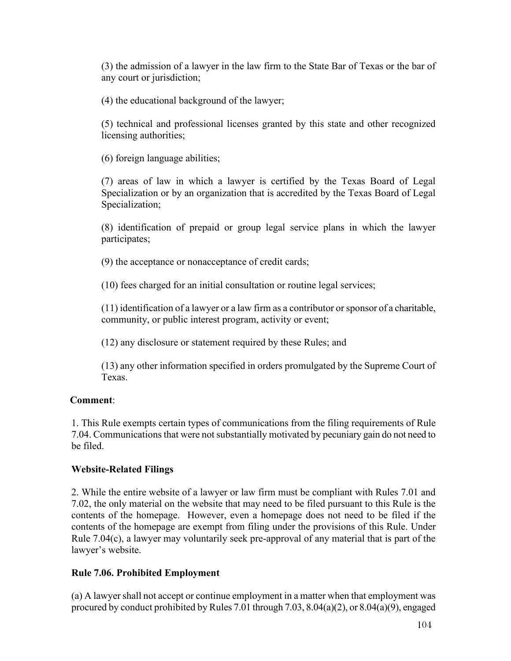(3) the admission of a lawyer in the law firm to the State Bar of Texas or the bar of any court or jurisdiction;

(4) the educational background of the lawyer;

(5) technical and professional licenses granted by this state and other recognized licensing authorities;

(6) foreign language abilities;

(7) areas of law in which a lawyer is certified by the Texas Board of Legal Specialization or by an organization that is accredited by the Texas Board of Legal Specialization;

(8) identification of prepaid or group legal service plans in which the lawyer participates;

(9) the acceptance or nonacceptance of credit cards;

(10) fees charged for an initial consultation or routine legal services;

(11) identification of a lawyer or a law firm as a contributor or sponsor of a charitable, community, or public interest program, activity or event;

(12) any disclosure or statement required by these Rules; and

(13) any other information specified in orders promulgated by the Supreme Court of Texas.

# **Comment**:

1. This Rule exempts certain types of communications from the filing requirements of Rule 7.04. Communications that were not substantially motivated by pecuniary gain do not need to be filed.

### **Website-Related Filings**

2. While the entire website of a lawyer or law firm must be compliant with Rules 7.01 and 7.02, the only material on the website that may need to be filed pursuant to this Rule is the contents of the homepage. However, even a homepage does not need to be filed if the contents of the homepage are exempt from filing under the provisions of this Rule. Under Rule 7.04(c), a lawyer may voluntarily seek pre-approval of any material that is part of the lawyer's website.

# **Rule 7.06. Prohibited Employment**

(a) A lawyer shall not accept or continue employment in a matter when that employment was procured by conduct prohibited by Rules 7.01 through 7.03, 8.04(a)(2), or 8.04(a)(9), engaged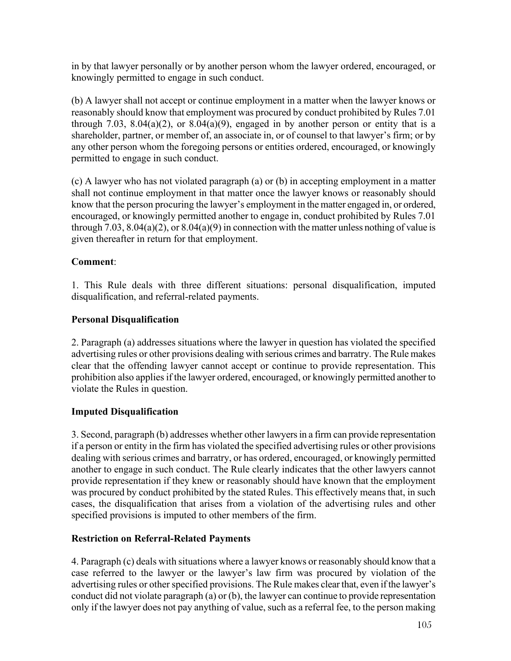in by that lawyer personally or by another person whom the lawyer ordered, encouraged, or knowingly permitted to engage in such conduct.

(b) A lawyer shall not accept or continue employment in a matter when the lawyer knows or reasonably should know that employment was procured by conduct prohibited by Rules 7.01 through 7.03, 8.04(a)(2), or 8.04(a)(9), engaged in by another person or entity that is a shareholder, partner, or member of, an associate in, or of counsel to that lawyer's firm; or by any other person whom the foregoing persons or entities ordered, encouraged, or knowingly permitted to engage in such conduct.

(c) A lawyer who has not violated paragraph (a) or (b) in accepting employment in a matter shall not continue employment in that matter once the lawyer knows or reasonably should know that the person procuring the lawyer's employment in the matter engaged in, or ordered, encouraged, or knowingly permitted another to engage in, conduct prohibited by Rules 7.01 through 7.03,  $8.04(a)(2)$ , or  $8.04(a)(9)$  in connection with the matter unless nothing of value is given thereafter in return for that employment.

# **Comment**:

1. This Rule deals with three different situations: personal disqualification, imputed disqualification, and referral-related payments.

# **Personal Disqualification**

2. Paragraph (a) addresses situations where the lawyer in question has violated the specified advertising rules or other provisions dealing with serious crimes and barratry. The Rule makes clear that the offending lawyer cannot accept or continue to provide representation. This prohibition also applies if the lawyer ordered, encouraged, or knowingly permitted another to violate the Rules in question.

# **Imputed Disqualification**

3. Second, paragraph (b) addresses whether other lawyers in a firm can provide representation if a person or entity in the firm has violated the specified advertising rules or other provisions dealing with serious crimes and barratry, or has ordered, encouraged, or knowingly permitted another to engage in such conduct. The Rule clearly indicates that the other lawyers cannot provide representation if they knew or reasonably should have known that the employment was procured by conduct prohibited by the stated Rules. This effectively means that, in such cases, the disqualification that arises from a violation of the advertising rules and other specified provisions is imputed to other members of the firm.

### **Restriction on Referral-Related Payments**

4. Paragraph (c) deals with situations where a lawyer knows or reasonably should know that a case referred to the lawyer or the lawyer's law firm was procured by violation of the advertising rules or other specified provisions. The Rule makes clear that, even if the lawyer's conduct did not violate paragraph (a) or (b), the lawyer can continue to provide representation only if the lawyer does not pay anything of value, such as a referral fee, to the person making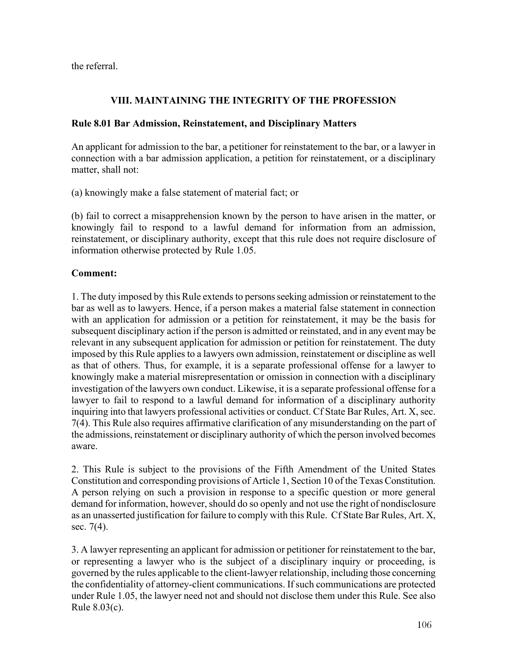the referral.

# **VIII. MAINTAINING THE INTEGRITY OF THE PROFESSION**

#### **Rule 8.01 Bar Admission, Reinstatement, and Disciplinary Matters**

An applicant for admission to the bar, a petitioner for reinstatement to the bar, or a lawyer in connection with a bar admission application, a petition for reinstatement, or a disciplinary matter, shall not:

(a) knowingly make a false statement of material fact; or

(b) fail to correct a misapprehension known by the person to have arisen in the matter, or knowingly fail to respond to a lawful demand for information from an admission, reinstatement, or disciplinary authority, except that this rule does not require disclosure of information otherwise protected by Rule 1.05.

#### **Comment:**

1. The duty imposed by this Rule extends to persons seeking admission or reinstatement to the bar as well as to lawyers. Hence, if a person makes a material false statement in connection with an application for admission or a petition for reinstatement, it may be the basis for subsequent disciplinary action if the person is admitted or reinstated, and in any event may be relevant in any subsequent application for admission or petition for reinstatement. The duty imposed by this Rule applies to a lawyers own admission, reinstatement or discipline as well as that of others. Thus, for example, it is a separate professional offense for a lawyer to knowingly make a material misrepresentation or omission in connection with a disciplinary investigation of the lawyers own conduct. Likewise, it is a separate professional offense for a lawyer to fail to respond to a lawful demand for information of a disciplinary authority inquiring into that lawyers professional activities or conduct. Cf State Bar Rules, Art. X, sec. 7(4). This Rule also requires affirmative clarification of any misunderstanding on the part of the admissions, reinstatement or disciplinary authority of which the person involved becomes aware.

2. This Rule is subject to the provisions of the Fifth Amendment of the United States Constitution and corresponding provisions of Article 1, Section 10 of the Texas Constitution. A person relying on such a provision in response to a specific question or more general demand for information, however, should do so openly and not use the right of nondisclosure as an unasserted justification for failure to comply with this Rule. Cf State Bar Rules, Art. X, sec. 7(4).

3. A lawyer representing an applicant for admission or petitioner for reinstatement to the bar, or representing a lawyer who is the subject of a disciplinary inquiry or proceeding, is governed by the rules applicable to the client-lawyer relationship, including those concerning the confidentiality of attorney-client communications. If such communications are protected under Rule 1.05, the lawyer need not and should not disclose them under this Rule. See also Rule 8.03(c).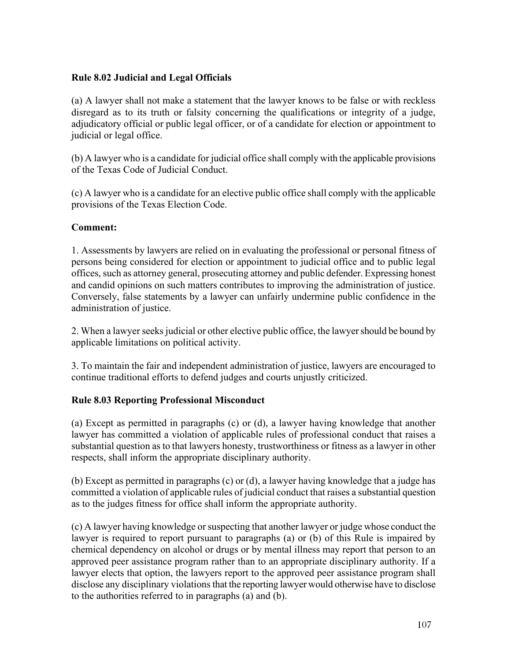### **Rule 8.02 Judicial and Legal Officials**

(a) A lawyer shall not make a statement that the lawyer knows to be false or with reckless disregard as to its truth or falsity concerning the qualifications or integrity of a judge, adjudicatory official or public legal officer, or of a candidate for election or appointment to judicial or legal office.

(b) A lawyer who is a candidate for judicial office shall comply with the applicable provisions of the Texas Code of Judicial Conduct.

(c) A lawyer who is a candidate for an elective public office shall comply with the applicable provisions of the Texas Election Code.

# **Comment:**

1. Assessments by lawyers are relied on in evaluating the professional or personal fitness of persons being considered for election or appointment to judicial office and to public legal offices, such as attorney general, prosecuting attorney and public defender. Expressing honest and candid opinions on such matters contributes to improving the administration of justice. Conversely, false statements by a lawyer can unfairly undermine public confidence in the administration of justice.

2. When a lawyer seeks judicial or other elective public office, the lawyer should be bound by applicable limitations on political activity.

3. To maintain the fair and independent administration of justice, lawyers are encouraged to continue traditional efforts to defend judges and courts unjustly criticized.

# **Rule 8.03 Reporting Professional Misconduct**

(a) Except as permitted in paragraphs (c) or (d), a lawyer having knowledge that another lawyer has committed a violation of applicable rules of professional conduct that raises a substantial question as to that lawyers honesty, trustworthiness or fitness as a lawyer in other respects, shall inform the appropriate disciplinary authority.

(b) Except as permitted in paragraphs (c) or (d), a lawyer having knowledge that a judge has committed a violation of applicable rules of judicial conduct that raises a substantial question as to the judges fitness for office shall inform the appropriate authority.

(c) A lawyer having knowledge or suspecting that another lawyer or judge whose conduct the lawyer is required to report pursuant to paragraphs (a) or (b) of this Rule is impaired by chemical dependency on alcohol or drugs or by mental illness may report that person to an approved peer assistance program rather than to an appropriate disciplinary authority. If a lawyer elects that option, the lawyers report to the approved peer assistance program shall disclose any disciplinary violations that the reporting lawyer would otherwise have to disclose to the authorities referred to in paragraphs (a) and (b).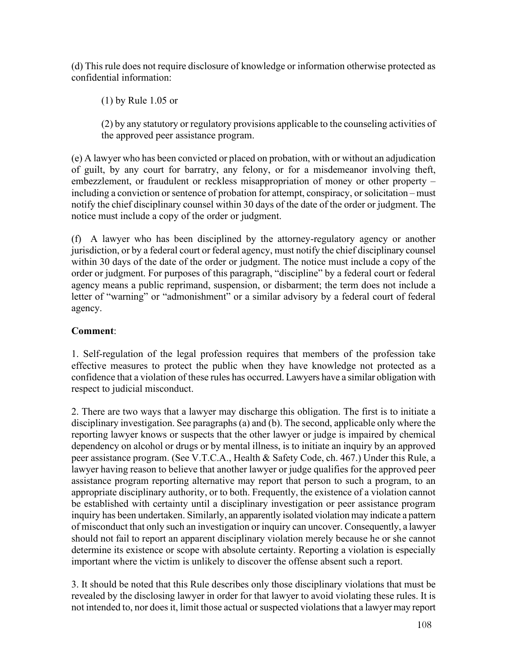(d) This rule does not require disclosure of knowledge or information otherwise protected as confidential information:

(1) by Rule 1.05 or

(2) by any statutory or regulatory provisions applicable to the counseling activities of the approved peer assistance program.

(e) A lawyer who has been convicted or placed on probation, with or without an adjudication of guilt, by any court for barratry, any felony, or for a misdemeanor involving theft, embezzlement, or fraudulent or reckless misappropriation of money or other property – including a conviction or sentence of probation for attempt, conspiracy, or solicitation – must notify the chief disciplinary counsel within 30 days of the date of the order or judgment. The notice must include a copy of the order or judgment.

(f) A lawyer who has been disciplined by the attorney-regulatory agency or another jurisdiction, or by a federal court or federal agency, must notify the chief disciplinary counsel within 30 days of the date of the order or judgment. The notice must include a copy of the order or judgment. For purposes of this paragraph, "discipline" by a federal court or federal agency means a public reprimand, suspension, or disbarment; the term does not include a letter of "warning" or "admonishment" or a similar advisory by a federal court of federal agency.

### **Comment**:

1. Self-regulation of the legal profession requires that members of the profession take effective measures to protect the public when they have knowledge not protected as a confidence that a violation of these rules has occurred. Lawyers have a similar obligation with respect to judicial misconduct.

2. There are two ways that a lawyer may discharge this obligation. The first is to initiate a disciplinary investigation. See paragraphs (a) and (b). The second, applicable only where the reporting lawyer knows or suspects that the other lawyer or judge is impaired by chemical dependency on alcohol or drugs or by mental illness, is to initiate an inquiry by an approved peer assistance program. (See V.T.C.A., Health & Safety Code, ch. 467.) Under this Rule, a lawyer having reason to believe that another lawyer or judge qualifies for the approved peer assistance program reporting alternative may report that person to such a program, to an appropriate disciplinary authority, or to both. Frequently, the existence of a violation cannot be established with certainty until a disciplinary investigation or peer assistance program inquiry has been undertaken. Similarly, an apparently isolated violation may indicate a pattern of misconduct that only such an investigation or inquiry can uncover. Consequently, a lawyer should not fail to report an apparent disciplinary violation merely because he or she cannot determine its existence or scope with absolute certainty. Reporting a violation is especially important where the victim is unlikely to discover the offense absent such a report.

3. It should be noted that this Rule describes only those disciplinary violations that must be revealed by the disclosing lawyer in order for that lawyer to avoid violating these rules. It is not intended to, nor does it, limit those actual or suspected violations that a lawyer may report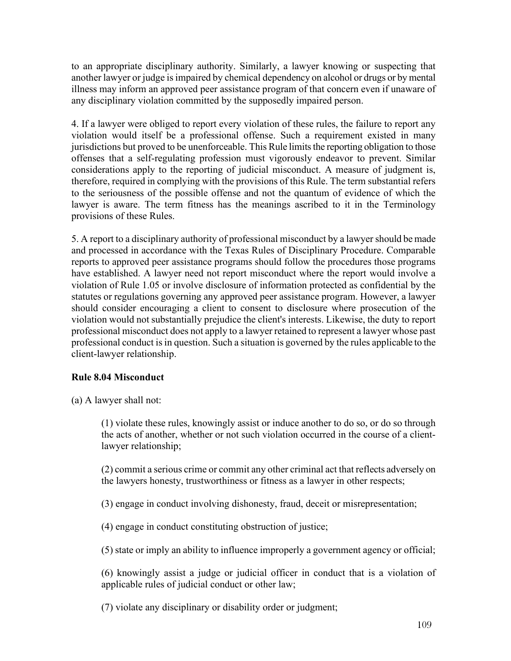to an appropriate disciplinary authority. Similarly, a lawyer knowing or suspecting that another lawyer or judge is impaired by chemical dependency on alcohol or drugs or by mental illness may inform an approved peer assistance program of that concern even if unaware of any disciplinary violation committed by the supposedly impaired person.

4. If a lawyer were obliged to report every violation of these rules, the failure to report any violation would itself be a professional offense. Such a requirement existed in many jurisdictions but proved to be unenforceable. This Rule limits the reporting obligation to those offenses that a self-regulating profession must vigorously endeavor to prevent. Similar considerations apply to the reporting of judicial misconduct. A measure of judgment is, therefore, required in complying with the provisions of this Rule. The term substantial refers to the seriousness of the possible offense and not the quantum of evidence of which the lawyer is aware. The term fitness has the meanings ascribed to it in the Terminology provisions of these Rules.

5. A report to a disciplinary authority of professional misconduct by a lawyer should be made and processed in accordance with the Texas Rules of Disciplinary Procedure. Comparable reports to approved peer assistance programs should follow the procedures those programs have established. A lawyer need not report misconduct where the report would involve a violation of Rule 1.05 or involve disclosure of information protected as confidential by the statutes or regulations governing any approved peer assistance program. However, a lawyer should consider encouraging a client to consent to disclosure where prosecution of the violation would not substantially prejudice the client's interests. Likewise, the duty to report professional misconduct does not apply to a lawyer retained to represent a lawyer whose past professional conduct is in question. Such a situation is governed by the rules applicable to the client-lawyer relationship.

## **Rule 8.04 Misconduct**

(a) A lawyer shall not:

(1) violate these rules, knowingly assist or induce another to do so, or do so through the acts of another, whether or not such violation occurred in the course of a clientlawyer relationship;

(2) commit a serious crime or commit any other criminal act that reflects adversely on the lawyers honesty, trustworthiness or fitness as a lawyer in other respects;

(3) engage in conduct involving dishonesty, fraud, deceit or misrepresentation;

(4) engage in conduct constituting obstruction of justice;

(5) state or imply an ability to influence improperly a government agency or official;

(6) knowingly assist a judge or judicial officer in conduct that is a violation of applicable rules of judicial conduct or other law;

(7) violate any disciplinary or disability order or judgment;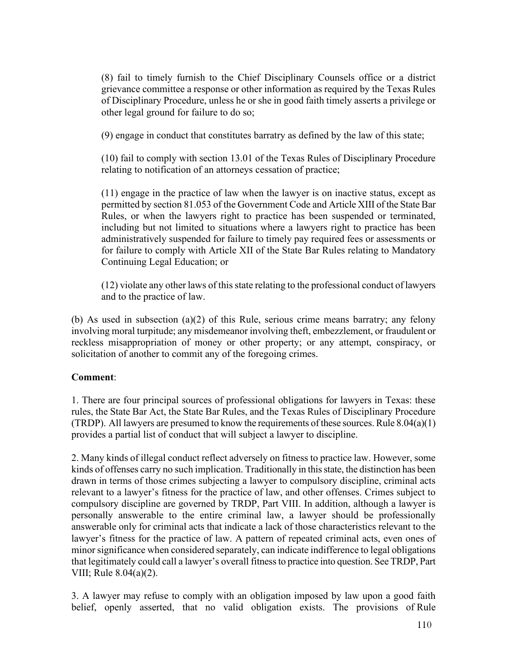(8) fail to timely furnish to the Chief Disciplinary Counsels office or a district grievance committee a response or other information as required by the Texas Rules of Disciplinary Procedure, unless he or she in good faith timely asserts a privilege or other legal ground for failure to do so;

(9) engage in conduct that constitutes barratry as defined by the law of this state;

(10) fail to comply with section 13.01 of the Texas Rules of Disciplinary Procedure relating to notification of an attorneys cessation of practice;

(11) engage in the practice of law when the lawyer is on inactive status, except as permitted by section 81.053 of the Government Code and Article XIII of the State Bar Rules, or when the lawyers right to practice has been suspended or terminated, including but not limited to situations where a lawyers right to practice has been administratively suspended for failure to timely pay required fees or assessments or for failure to comply with Article XII of the State Bar Rules relating to Mandatory Continuing Legal Education; or

(12) violate any other laws of this state relating to the professional conduct of lawyers and to the practice of law.

(b) As used in subsection (a)(2) of this Rule, serious crime means barratry; any felony involving moral turpitude; any misdemeanor involving theft, embezzlement, or fraudulent or reckless misappropriation of money or other property; or any attempt, conspiracy, or solicitation of another to commit any of the foregoing crimes.

## **Comment**:

1. There are four principal sources of professional obligations for lawyers in Texas: these rules, the State Bar Act, the State Bar Rules, and the Texas Rules of Disciplinary Procedure (TRDP). All lawyers are presumed to know the requirements of these sources. Rule 8.04(a)(1) provides a partial list of conduct that will subject a lawyer to discipline.

2. Many kinds of illegal conduct reflect adversely on fitness to practice law. However, some kinds of offenses carry no such implication. Traditionally in this state, the distinction has been drawn in terms of those crimes subjecting a lawyer to compulsory discipline, criminal acts relevant to a lawyer's fitness for the practice of law, and other offenses. Crimes subject to compulsory discipline are governed by TRDP, Part VIII. In addition, although a lawyer is personally answerable to the entire criminal law, a lawyer should be professionally answerable only for criminal acts that indicate a lack of those characteristics relevant to the lawyer's fitness for the practice of law. A pattern of repeated criminal acts, even ones of minor significance when considered separately, can indicate indifference to legal obligations that legitimately could call a lawyer's overall fitness to practice into question. See TRDP, Part VIII; Rule 8.04(a)(2).

3. A lawyer may refuse to comply with an obligation imposed by law upon a good faith belief, openly asserted, that no valid obligation exists. The provisions of Rule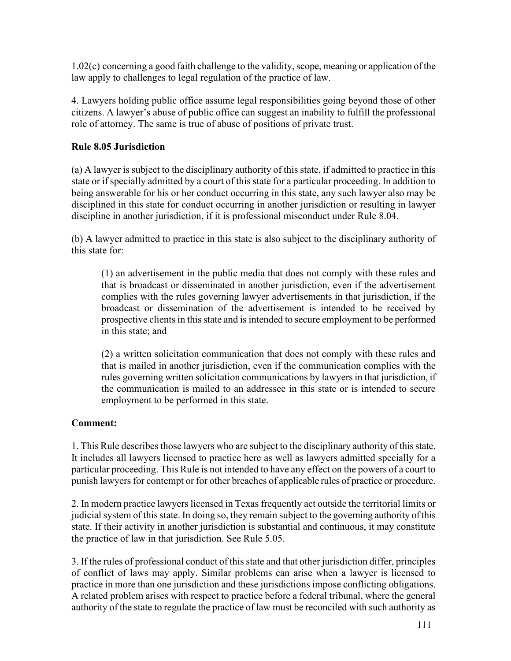1.02(c) concerning a good faith challenge to the validity, scope, meaning or application of the law apply to challenges to legal regulation of the practice of law.

4. Lawyers holding public office assume legal responsibilities going beyond those of other citizens. A lawyer's abuse of public office can suggest an inability to fulfill the professional role of attorney. The same is true of abuse of positions of private trust.

# **Rule 8.05 Jurisdiction**

(a) A lawyer is subject to the disciplinary authority of this state, if admitted to practice in this state or if specially admitted by a court of this state for a particular proceeding. In addition to being answerable for his or her conduct occurring in this state, any such lawyer also may be disciplined in this state for conduct occurring in another jurisdiction or resulting in lawyer discipline in another jurisdiction, if it is professional misconduct under Rule 8.04.

(b) A lawyer admitted to practice in this state is also subject to the disciplinary authority of this state for:

(1) an advertisement in the public media that does not comply with these rules and that is broadcast or disseminated in another jurisdiction, even if the advertisement complies with the rules governing lawyer advertisements in that jurisdiction, if the broadcast or dissemination of the advertisement is intended to be received by prospective clients in this state and is intended to secure employment to be performed in this state; and

(2) a written solicitation communication that does not comply with these rules and that is mailed in another jurisdiction, even if the communication complies with the rules governing written solicitation communications by lawyers in that jurisdiction, if the communication is mailed to an addressee in this state or is intended to secure employment to be performed in this state.

# **Comment:**

1. This Rule describes those lawyers who are subject to the disciplinary authority of this state. It includes all lawyers licensed to practice here as well as lawyers admitted specially for a particular proceeding. This Rule is not intended to have any effect on the powers of a court to punish lawyers for contempt or for other breaches of applicable rules of practice or procedure.

2. In modern practice lawyers licensed in Texas frequently act outside the territorial limits or judicial system of this state. In doing so, they remain subject to the governing authority of this state. If their activity in another jurisdiction is substantial and continuous, it may constitute the practice of law in that jurisdiction. See Rule 5.05.

3. If the rules of professional conduct of this state and that other jurisdiction differ, principles of conflict of laws may apply. Similar problems can arise when a lawyer is licensed to practice in more than one jurisdiction and these jurisdictions impose conflicting obligations. A related problem arises with respect to practice before a federal tribunal, where the general authority of the state to regulate the practice of law must be reconciled with such authority as